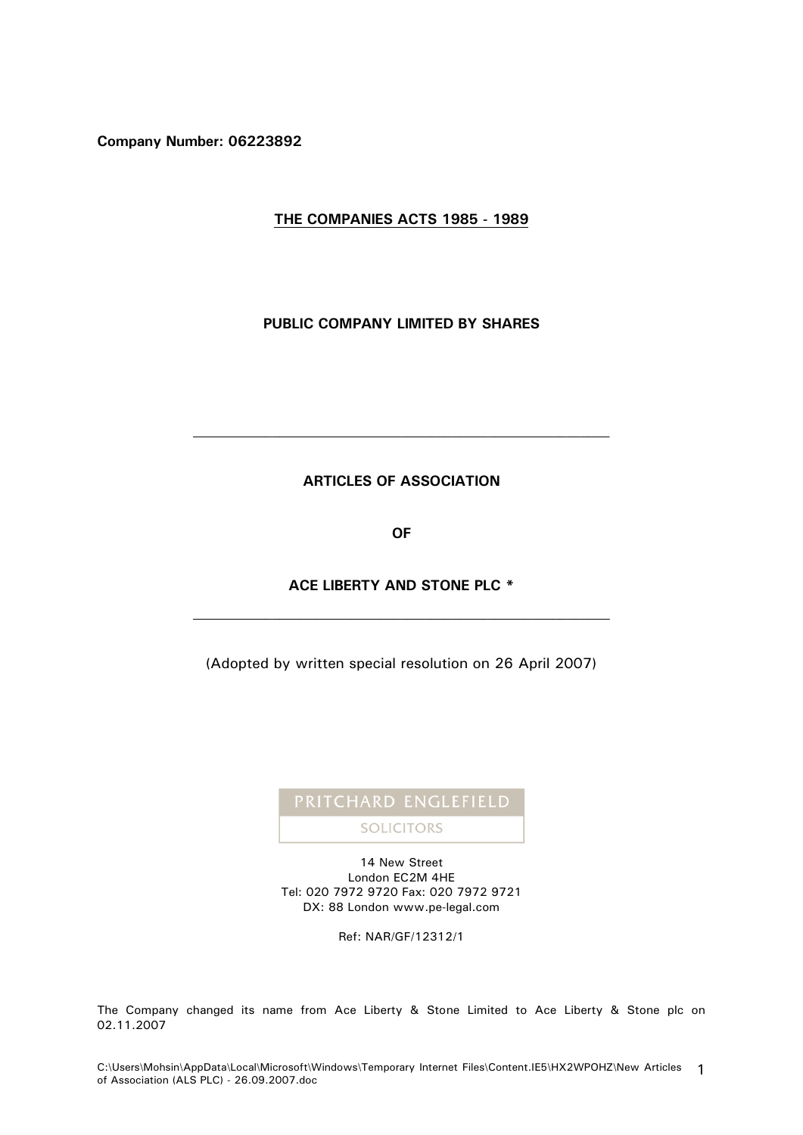**Company Number: 06223892**

# **THE COMPANIES ACTS 1985 - 1989**

## **PUBLIC COMPANY LIMITED BY SHARES**

## **ARTICLES OF ASSOCIATION**

**OF**

# **ACE LIBERTY AND STONE PLC \***

(Adopted by written special resolution on 26 April 2007)

# **SOLICITORS**

14 New Street London EC2M 4HE Tel: 020 7972 9720 Fax: 020 7972 9721 DX: 88 London www.pe-legal.com

Ref: NAR/GF/12312/1

The Company changed its name from Ace Liberty & Stone Limited to Ace Liberty & Stone plc on 02.11.2007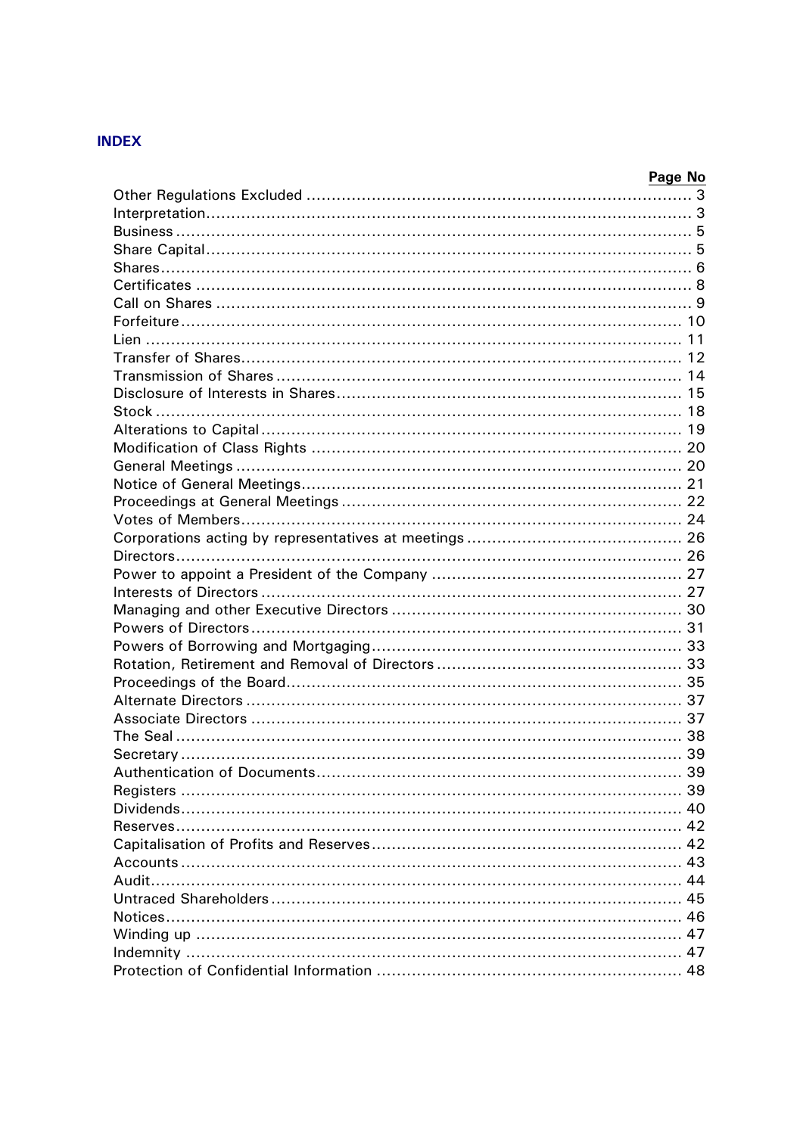# **INDEX**

| Page No |
|---------|
|         |
|         |
|         |
|         |
|         |
|         |
|         |
|         |
|         |
|         |
|         |
|         |
|         |
|         |
|         |
|         |
|         |
|         |
|         |
|         |
|         |
|         |
|         |
|         |
|         |
|         |
|         |
|         |
|         |
|         |
|         |
|         |
| 39      |
|         |
|         |
|         |
|         |
|         |
|         |
|         |
|         |
|         |
|         |
|         |
|         |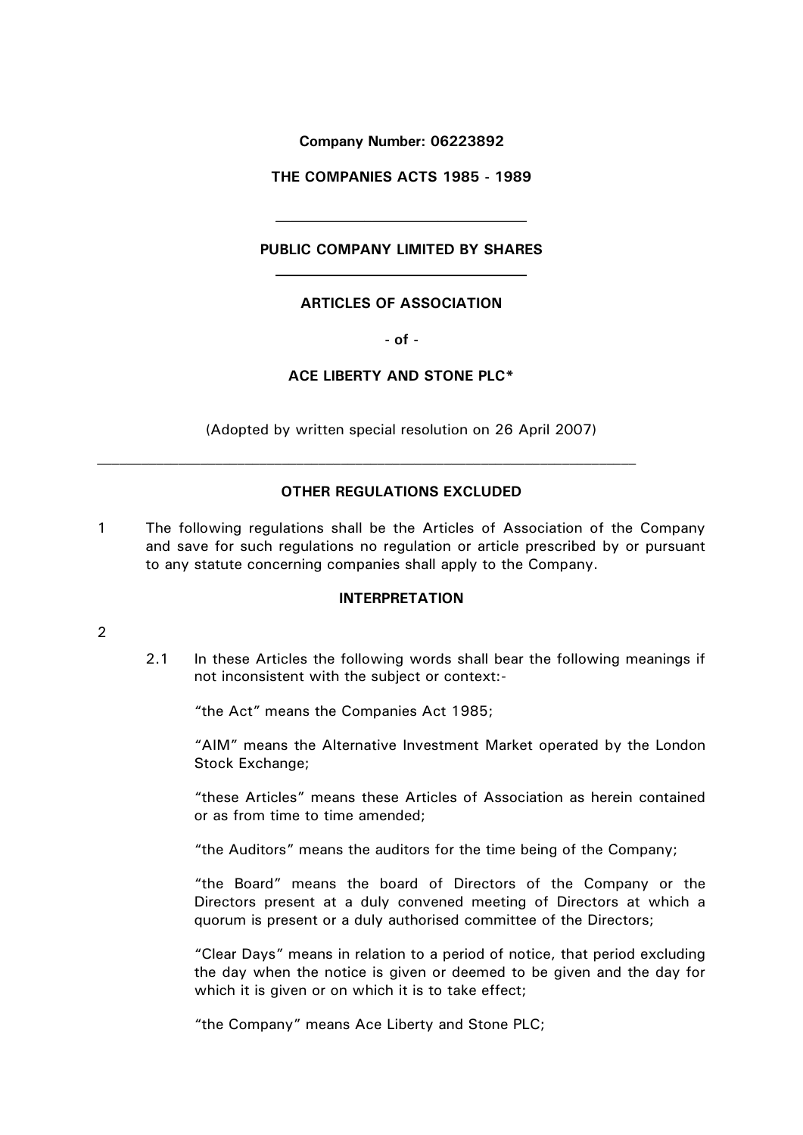**Company Number: 06223892**

**THE COMPANIES ACTS 1985 - 1989**

# **PUBLIC COMPANY LIMITED BY SHARES**

# **ARTICLES OF ASSOCIATION**

**- of -**

# **ACE LIBERTY AND STONE PLC\***

(Adopted by written special resolution on 26 April 2007)

## **OTHER REGULATIONS EXCLUDED**

1 The following regulations shall be the Articles of Association of the Company and save for such regulations no regulation or article prescribed by or pursuant to any statute concerning companies shall apply to the Company.

## **INTERPRETATION**

## 2

2.1 In these Articles the following words shall bear the following meanings if not inconsistent with the subject or context:-

"the Act" means the Companies Act 1985;

"AIM" means the Alternative Investment Market operated by the London Stock Exchange;

"these Articles" means these Articles of Association as herein contained or as from time to time amended;

"the Auditors" means the auditors for the time being of the Company;

"the Board" means the board of Directors of the Company or the Directors present at a duly convened meeting of Directors at which a quorum is present or a duly authorised committee of the Directors;

"Clear Days" means in relation to a period of notice, that period excluding the day when the notice is given or deemed to be given and the day for which it is given or on which it is to take effect;

"the Company" means Ace Liberty and Stone PLC;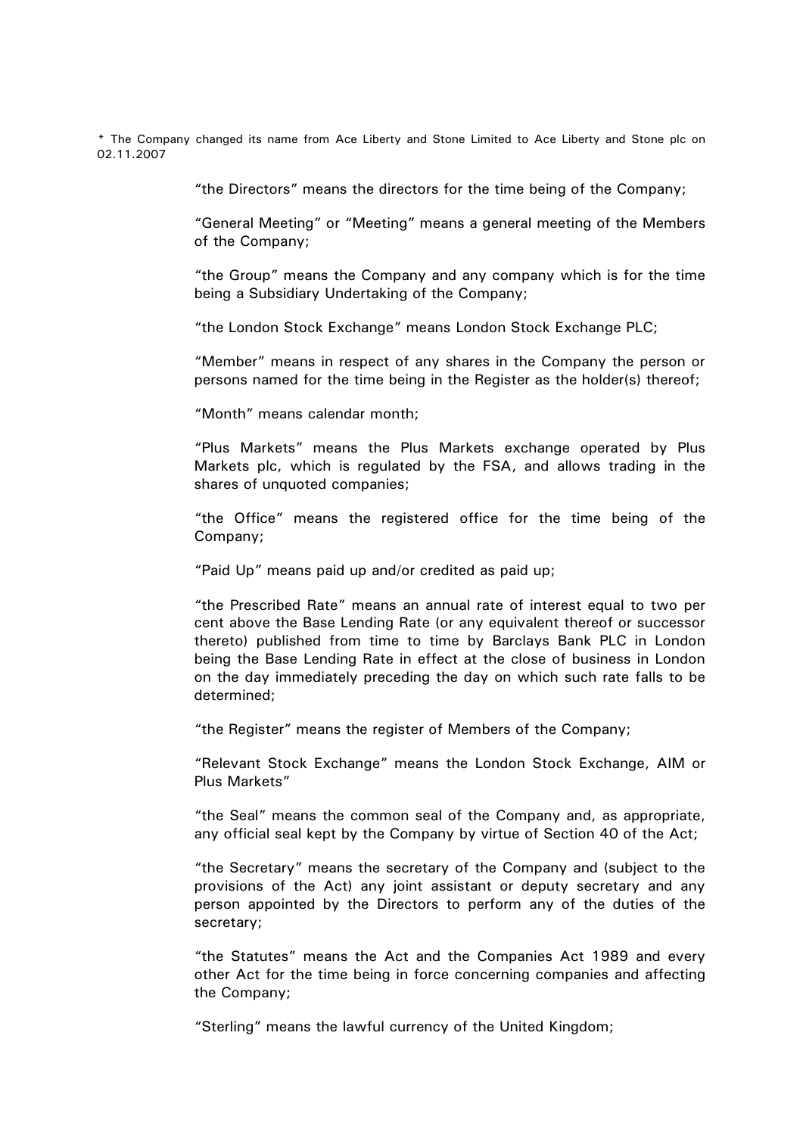\* The Company changed its name from Ace Liberty and Stone Limited to Ace Liberty and Stone plc on 02.11.2007

"the Directors" means the directors for the time being of the Company;

"General Meeting" or "Meeting" means a general meeting of the Members of the Company;

"the Group" means the Company and any company which is for the time being a Subsidiary Undertaking of the Company;

"the London Stock Exchange" means London Stock Exchange PLC;

"Member" means in respect of any shares in the Company the person or persons named for the time being in the Register as the holder(s) thereof;

"Month" means calendar month;

"Plus Markets" means the Plus Markets exchange operated by Plus Markets plc, which is regulated by the FSA, and allows trading in the shares of unquoted companies;

"the Office" means the registered office for the time being of the Company;

"Paid Up" means paid up and/or credited as paid up;

"the Prescribed Rate" means an annual rate of interest equal to two per cent above the Base Lending Rate (or any equivalent thereof or successor thereto) published from time to time by Barclays Bank PLC in London being the Base Lending Rate in effect at the close of business in London on the day immediately preceding the day on which such rate falls to be determined;

"the Register" means the register of Members of the Company;

"Relevant Stock Exchange" means the London Stock Exchange, AIM or Plus Markets"

"the Seal" means the common seal of the Company and, as appropriate, any official seal kept by the Company by virtue of Section 40 of the Act;

"the Secretary" means the secretary of the Company and (subject to the provisions of the Act) any joint assistant or deputy secretary and any person appointed by the Directors to perform any of the duties of the secretary;

"the Statutes" means the Act and the Companies Act 1989 and every other Act for the time being in force concerning companies and affecting the Company;

"Sterling" means the lawful currency of the United Kingdom;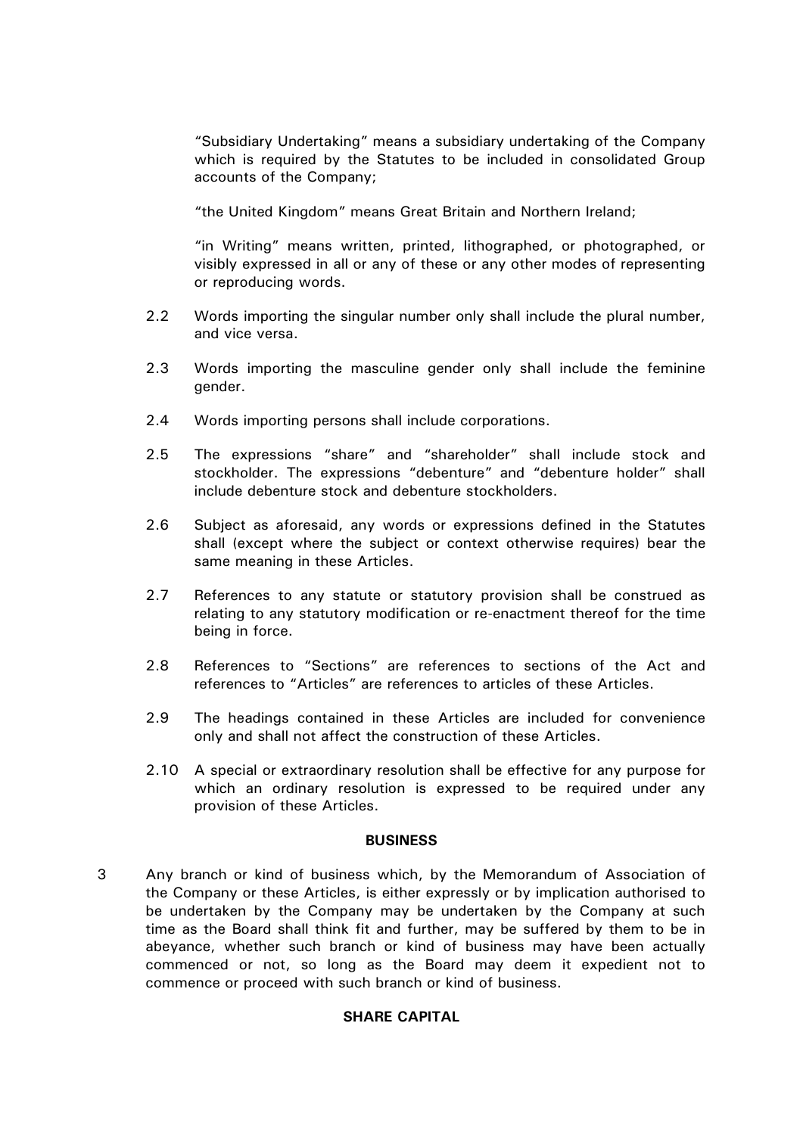"Subsidiary Undertaking" means a subsidiary undertaking of the Company which is required by the Statutes to be included in consolidated Group accounts of the Company;

"the United Kingdom" means Great Britain and Northern Ireland;

"in Writing" means written, printed, lithographed, or photographed, or visibly expressed in all or any of these or any other modes of representing or reproducing words.

- 2.2 Words importing the singular number only shall include the plural number, and vice versa.
- 2.3 Words importing the masculine gender only shall include the feminine gender.
- 2.4 Words importing persons shall include corporations.
- 2.5 The expressions "share" and "shareholder" shall include stock and stockholder. The expressions "debenture" and "debenture holder" shall include debenture stock and debenture stockholders.
- 2.6 Subject as aforesaid, any words or expressions defined in the Statutes shall (except where the subject or context otherwise requires) bear the same meaning in these Articles.
- 2.7 References to any statute or statutory provision shall be construed as relating to any statutory modification or re-enactment thereof for the time being in force.
- 2.8 References to "Sections" are references to sections of the Act and references to "Articles" are references to articles of these Articles.
- 2.9 The headings contained in these Articles are included for convenience only and shall not affect the construction of these Articles.
- 2.10 A special or extraordinary resolution shall be effective for any purpose for which an ordinary resolution is expressed to be required under any provision of these Articles.

## **BUSINESS**

3 Any branch or kind of business which, by the Memorandum of Association of the Company or these Articles, is either expressly or by implication authorised to be undertaken by the Company may be undertaken by the Company at such time as the Board shall think fit and further, may be suffered by them to be in abeyance, whether such branch or kind of business may have been actually commenced or not, so long as the Board may deem it expedient not to commence or proceed with such branch or kind of business.

# **SHARE CAPITAL**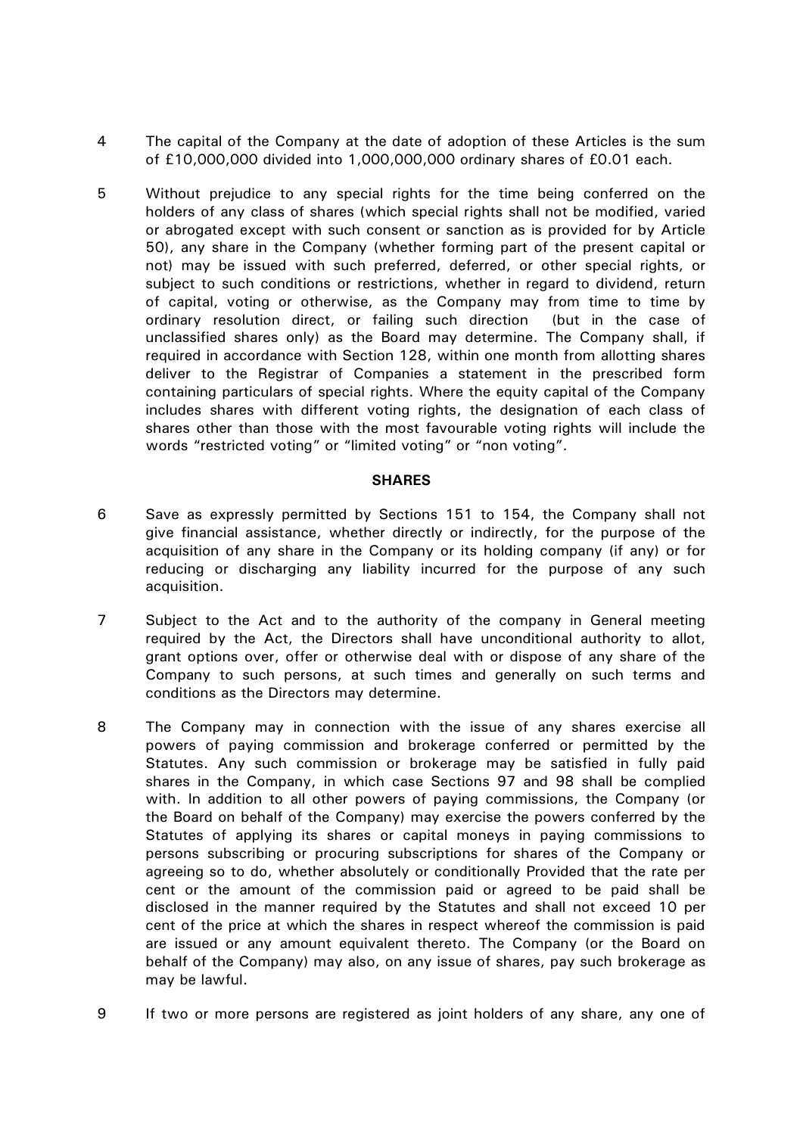- 4 The capital of the Company at the date of adoption of these Articles is the sum of £10,000,000 divided into 1,000,000,000 ordinary shares of £0.01 each.
- 5 Without prejudice to any special rights for the time being conferred on the holders of any class of shares (which special rights shall not be modified, varied or abrogated except with such consent or sanction as is provided for by Article [50\)](#page-19-0), any share in the Company (whether forming part of the present capital or not) may be issued with such preferred, deferred, or other special rights, or subject to such conditions or restrictions, whether in regard to dividend, return of capital, voting or otherwise, as the Company may from time to time by ordinary resolution direct, or failing such direction (but in the case of unclassified shares only) as the Board may determine. The Company shall, if required in accordance with Section 128, within one month from allotting shares deliver to the Registrar of Companies a statement in the prescribed form containing particulars of special rights. Where the equity capital of the Company includes shares with different voting rights, the designation of each class of shares other than those with the most favourable voting rights will include the words "restricted voting" or "limited voting" or "non voting".

#### **SHARES**

- 6 Save as expressly permitted by Sections 151 to 154, the Company shall not give financial assistance, whether directly or indirectly, for the purpose of the acquisition of any share in the Company or its holding company (if any) or for reducing or discharging any liability incurred for the purpose of any such acquisition.
- 7 Subject to the Act and to the authority of the company in General meeting required by the Act, the Directors shall have unconditional authority to allot, grant options over, offer or otherwise deal with or dispose of any share of the Company to such persons, at such times and generally on such terms and conditions as the Directors may determine.
- 8 The Company may in connection with the issue of any shares exercise all powers of paying commission and brokerage conferred or permitted by the Statutes. Any such commission or brokerage may be satisfied in fully paid shares in the Company, in which case Sections 97 and 98 shall be complied with. In addition to all other powers of paying commissions, the Company (or the Board on behalf of the Company) may exercise the powers conferred by the Statutes of applying its shares or capital moneys in paying commissions to persons subscribing or procuring subscriptions for shares of the Company or agreeing so to do, whether absolutely or conditionally Provided that the rate per cent or the amount of the commission paid or agreed to be paid shall be disclosed in the manner required by the Statutes and shall not exceed 10 per cent of the price at which the shares in respect whereof the commission is paid are issued or any amount equivalent thereto. The Company (or the Board on behalf of the Company) may also, on any issue of shares, pay such brokerage as may be lawful.
- 9 If two or more persons are registered as joint holders of any share, any one of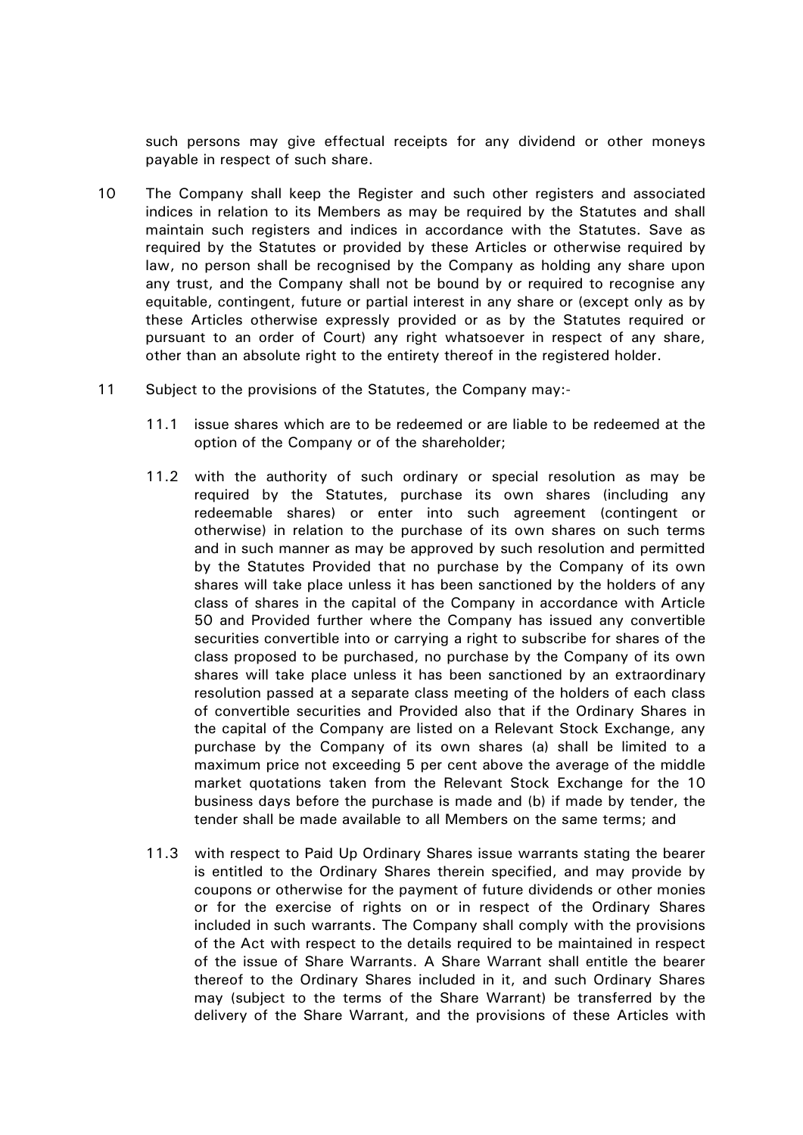such persons may give effectual receipts for any dividend or other moneys payable in respect of such share.

- 10 The Company shall keep the Register and such other registers and associated indices in relation to its Members as may be required by the Statutes and shall maintain such registers and indices in accordance with the Statutes. Save as required by the Statutes or provided by these Articles or otherwise required by law, no person shall be recognised by the Company as holding any share upon any trust, and the Company shall not be bound by or required to recognise any equitable, contingent, future or partial interest in any share or (except only as by these Articles otherwise expressly provided or as by the Statutes required or pursuant to an order of Court) any right whatsoever in respect of any share, other than an absolute right to the entirety thereof in the registered holder.
- 11 Subject to the provisions of the Statutes, the Company may:-
	- 11.1 issue shares which are to be redeemed or are liable to be redeemed at the option of the Company or of the shareholder;
	- 11.2 with the authority of such ordinary or special resolution as may be required by the Statutes, purchase its own shares (including any redeemable shares) or enter into such agreement (contingent or otherwise) in relation to the purchase of its own shares on such terms and in such manner as may be approved by such resolution and permitted by the Statutes Provided that no purchase by the Company of its own shares will take place unless it has been sanctioned by the holders of any class of shares in the capital of the Company in accordance with Article [50](#page-19-0) and Provided further where the Company has issued any convertible securities convertible into or carrying a right to subscribe for shares of the class proposed to be purchased, no purchase by the Company of its own shares will take place unless it has been sanctioned by an extraordinary resolution passed at a separate class meeting of the holders of each class of convertible securities and Provided also that if the Ordinary Shares in the capital of the Company are listed on a Relevant Stock Exchange, any purchase by the Company of its own shares (a) shall be limited to a maximum price not exceeding 5 per cent above the average of the middle market quotations taken from the Relevant Stock Exchange for the 10 business days before the purchase is made and (b) if made by tender, the tender shall be made available to all Members on the same terms; and
	- 11.3 with respect to Paid Up Ordinary Shares issue warrants stating the bearer is entitled to the Ordinary Shares therein specified, and may provide by coupons or otherwise for the payment of future dividends or other monies or for the exercise of rights on or in respect of the Ordinary Shares included in such warrants. The Company shall comply with the provisions of the Act with respect to the details required to be maintained in respect of the issue of Share Warrants. A Share Warrant shall entitle the bearer thereof to the Ordinary Shares included in it, and such Ordinary Shares may (subject to the terms of the Share Warrant) be transferred by the delivery of the Share Warrant, and the provisions of these Articles with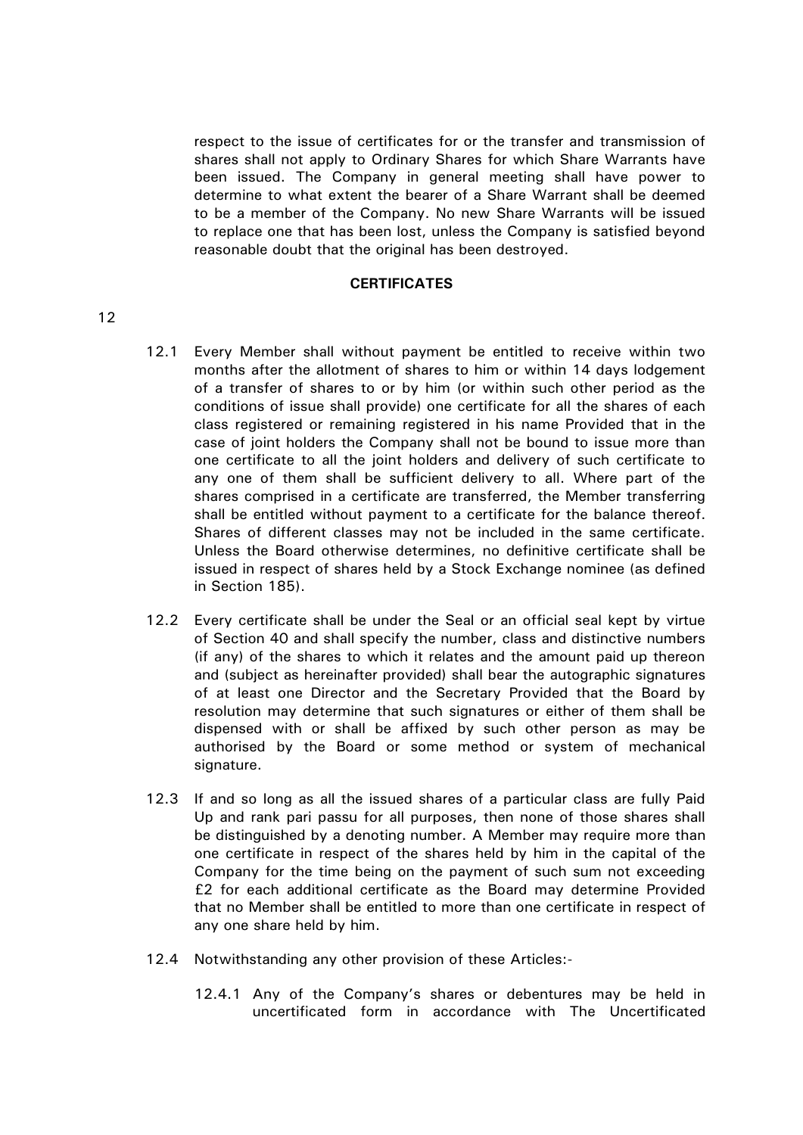respect to the issue of certificates for or the transfer and transmission of shares shall not apply to Ordinary Shares for which Share Warrants have been issued. The Company in general meeting shall have power to determine to what extent the bearer of a Share Warrant shall be deemed to be a member of the Company. No new Share Warrants will be issued to replace one that has been lost, unless the Company is satisfied beyond reasonable doubt that the original has been destroyed.

#### **CERTIFICATES**

- 12.1 Every Member shall without payment be entitled to receive within two months after the allotment of shares to him or within 14 days lodgement of a transfer of shares to or by him (or within such other period as the conditions of issue shall provide) one certificate for all the shares of each class registered or remaining registered in his name Provided that in the case of joint holders the Company shall not be bound to issue more than one certificate to all the joint holders and delivery of such certificate to any one of them shall be sufficient delivery to all. Where part of the shares comprised in a certificate are transferred, the Member transferring shall be entitled without payment to a certificate for the balance thereof. Shares of different classes may not be included in the same certificate. Unless the Board otherwise determines, no definitive certificate shall be issued in respect of shares held by a Stock Exchange nominee (as defined in Section 185).
- 12.2 Every certificate shall be under the Seal or an official seal kept by virtue of Section 40 and shall specify the number, class and distinctive numbers (if any) of the shares to which it relates and the amount paid up thereon and (subject as hereinafter provided) shall bear the autographic signatures of at least one Director and the Secretary Provided that the Board by resolution may determine that such signatures or either of them shall be dispensed with or shall be affixed by such other person as may be authorised by the Board or some method or system of mechanical signature.
- 12.3 If and so long as all the issued shares of a particular class are fully Paid Up and rank pari passu for all purposes, then none of those shares shall be distinguished by a denoting number. A Member may require more than one certificate in respect of the shares held by him in the capital of the Company for the time being on the payment of such sum not exceeding £2 for each additional certificate as the Board may determine Provided that no Member shall be entitled to more than one certificate in respect of any one share held by him.
- <span id="page-7-0"></span>12.4 Notwithstanding any other provision of these Articles:-
	- 12.4.1 Any of the Company's shares or debentures may be held in uncertificated form in accordance with The Uncertificated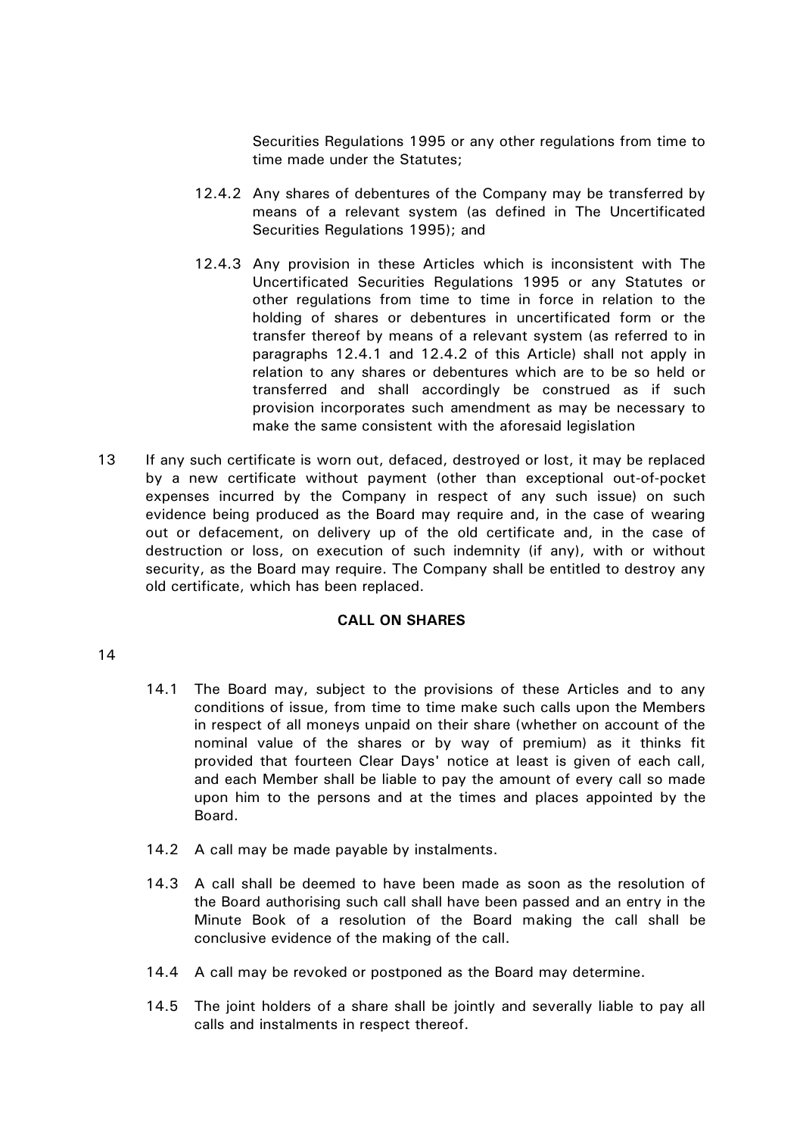Securities Regulations 1995 or any other regulations from time to time made under the Statutes;

- <span id="page-8-0"></span>12.4.2 Any shares of debentures of the Company may be transferred by means of a relevant system (as defined in The Uncertificated Securities Regulations 1995); and
- 12.4.3 Any provision in these Articles which is inconsistent with The Uncertificated Securities Regulations 1995 or any Statutes or other regulations from time to time in force in relation to the holding of shares or debentures in uncertificated form or the transfer thereof by means of a relevant system (as referred to in paragraphs [12.4.1](#page-7-0) and [12.4.2](#page-8-0) of this Article) shall not apply in relation to any shares or debentures which are to be so held or transferred and shall accordingly be construed as if such provision incorporates such amendment as may be necessary to make the same consistent with the aforesaid legislation
- 13 If any such certificate is worn out, defaced, destroyed or lost, it may be replaced by a new certificate without payment (other than exceptional out-of-pocket expenses incurred by the Company in respect of any such issue) on such evidence being produced as the Board may require and, in the case of wearing out or defacement, on delivery up of the old certificate and, in the case of destruction or loss, on execution of such indemnity (if any), with or without security, as the Board may require. The Company shall be entitled to destroy any old certificate, which has been replaced.

## **CALL ON SHARES**

- 14.1 The Board may, subject to the provisions of these Articles and to any conditions of issue, from time to time make such calls upon the Members in respect of all moneys unpaid on their share (whether on account of the nominal value of the shares or by way of premium) as it thinks fit provided that fourteen Clear Days' notice at least is given of each call, and each Member shall be liable to pay the amount of every call so made upon him to the persons and at the times and places appointed by the Board.
- 14.2 A call may be made payable by instalments.
- 14.3 A call shall be deemed to have been made as soon as the resolution of the Board authorising such call shall have been passed and an entry in the Minute Book of a resolution of the Board making the call shall be conclusive evidence of the making of the call.
- 14.4 A call may be revoked or postponed as the Board may determine.
- 14.5 The joint holders of a share shall be jointly and severally liable to pay all calls and instalments in respect thereof.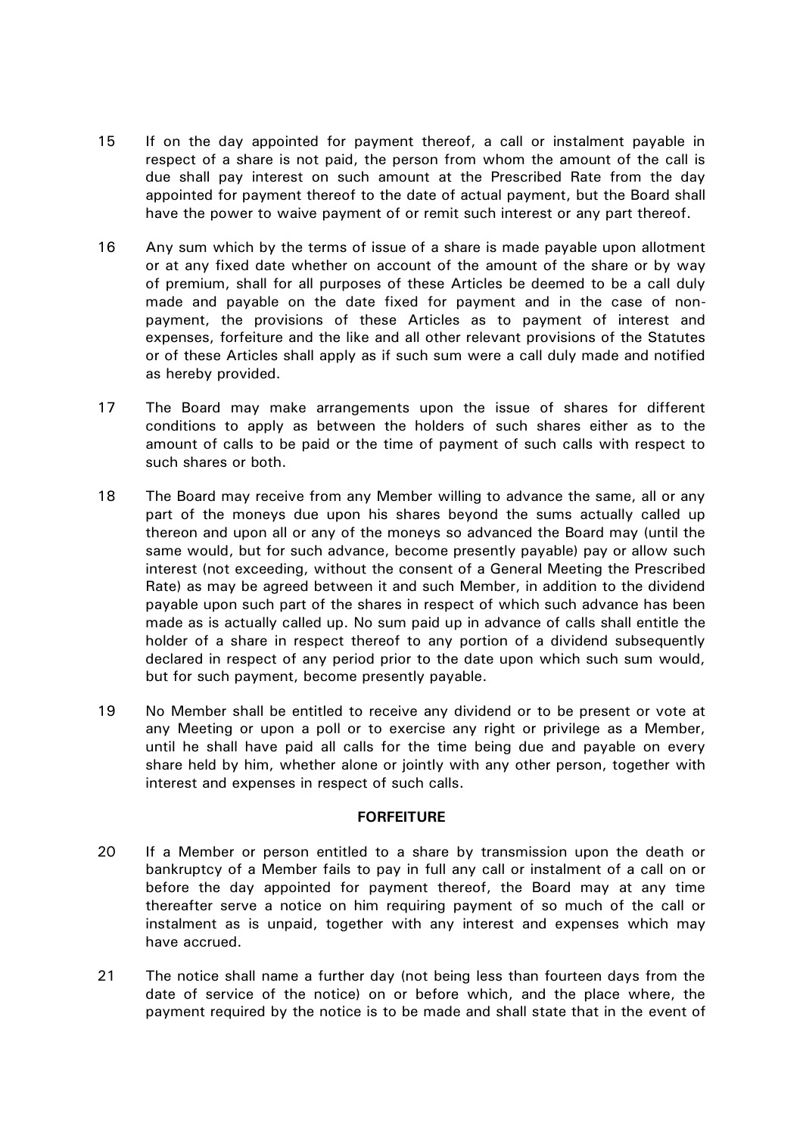- 15 If on the day appointed for payment thereof, a call or instalment payable in respect of a share is not paid, the person from whom the amount of the call is due shall pay interest on such amount at the Prescribed Rate from the day appointed for payment thereof to the date of actual payment, but the Board shall have the power to waive payment of or remit such interest or any part thereof.
- 16 Any sum which by the terms of issue of a share is made payable upon allotment or at any fixed date whether on account of the amount of the share or by way of premium, shall for all purposes of these Articles be deemed to be a call duly made and payable on the date fixed for payment and in the case of nonpayment, the provisions of these Articles as to payment of interest and expenses, forfeiture and the like and all other relevant provisions of the Statutes or of these Articles shall apply as if such sum were a call duly made and notified as hereby provided.
- 17 The Board may make arrangements upon the issue of shares for different conditions to apply as between the holders of such shares either as to the amount of calls to be paid or the time of payment of such calls with respect to such shares or both.
- 18 The Board may receive from any Member willing to advance the same, all or any part of the moneys due upon his shares beyond the sums actually called up thereon and upon all or any of the moneys so advanced the Board may (until the same would, but for such advance, become presently payable) pay or allow such interest (not exceeding, without the consent of a General Meeting the Prescribed Rate) as may be agreed between it and such Member, in addition to the dividend payable upon such part of the shares in respect of which such advance has been made as is actually called up. No sum paid up in advance of calls shall entitle the holder of a share in respect thereof to any portion of a dividend subsequently declared in respect of any period prior to the date upon which such sum would, but for such payment, become presently payable.
- 19 No Member shall be entitled to receive any dividend or to be present or vote at any Meeting or upon a poll or to exercise any right or privilege as a Member, until he shall have paid all calls for the time being due and payable on every share held by him, whether alone or jointly with any other person, together with interest and expenses in respect of such calls.

## **FORFEITURE**

- 20 If a Member or person entitled to a share by transmission upon the death or bankruptcy of a Member fails to pay in full any call or instalment of a call on or before the day appointed for payment thereof, the Board may at any time thereafter serve a notice on him requiring payment of so much of the call or instalment as is unpaid, together with any interest and expenses which may have accrued.
- 21 The notice shall name a further day (not being less than fourteen days from the date of service of the notice) on or before which, and the place where, the payment required by the notice is to be made and shall state that in the event of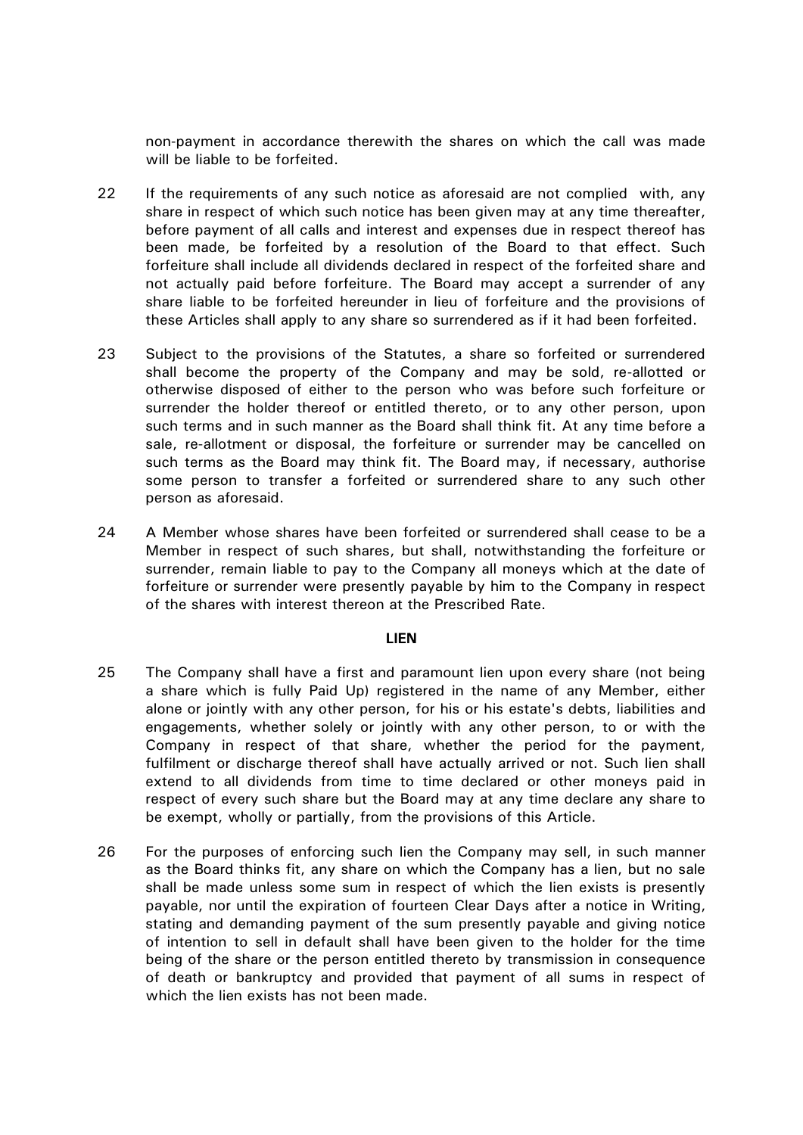non-payment in accordance therewith the shares on which the call was made will be liable to be forfeited.

- 22 If the requirements of any such notice as aforesaid are not complied with, any share in respect of which such notice has been given may at any time thereafter, before payment of all calls and interest and expenses due in respect thereof has been made, be forfeited by a resolution of the Board to that effect. Such forfeiture shall include all dividends declared in respect of the forfeited share and not actually paid before forfeiture. The Board may accept a surrender of any share liable to be forfeited hereunder in lieu of forfeiture and the provisions of these Articles shall apply to any share so surrendered as if it had been forfeited.
- 23 Subject to the provisions of the Statutes, a share so forfeited or surrendered shall become the property of the Company and may be sold, re-allotted or otherwise disposed of either to the person who was before such forfeiture or surrender the holder thereof or entitled thereto, or to any other person, upon such terms and in such manner as the Board shall think fit. At any time before a sale, re-allotment or disposal, the forfeiture or surrender may be cancelled on such terms as the Board may think fit. The Board may, if necessary, authorise some person to transfer a forfeited or surrendered share to any such other person as aforesaid.
- 24 A Member whose shares have been forfeited or surrendered shall cease to be a Member in respect of such shares, but shall, notwithstanding the forfeiture or surrender, remain liable to pay to the Company all moneys which at the date of forfeiture or surrender were presently payable by him to the Company in respect of the shares with interest thereon at the Prescribed Rate.

#### **LIEN**

- 25 The Company shall have a first and paramount lien upon every share (not being a share which is fully Paid Up) registered in the name of any Member, either alone or jointly with any other person, for his or his estate's debts, liabilities and engagements, whether solely or jointly with any other person, to or with the Company in respect of that share, whether the period for the payment, fulfilment or discharge thereof shall have actually arrived or not. Such lien shall extend to all dividends from time to time declared or other moneys paid in respect of every such share but the Board may at any time declare any share to be exempt, wholly or partially, from the provisions of this Article.
- 26 For the purposes of enforcing such lien the Company may sell, in such manner as the Board thinks fit, any share on which the Company has a lien, but no sale shall be made unless some sum in respect of which the lien exists is presently payable, nor until the expiration of fourteen Clear Days after a notice in Writing, stating and demanding payment of the sum presently payable and giving notice of intention to sell in default shall have been given to the holder for the time being of the share or the person entitled thereto by transmission in consequence of death or bankruptcy and provided that payment of all sums in respect of which the lien exists has not been made.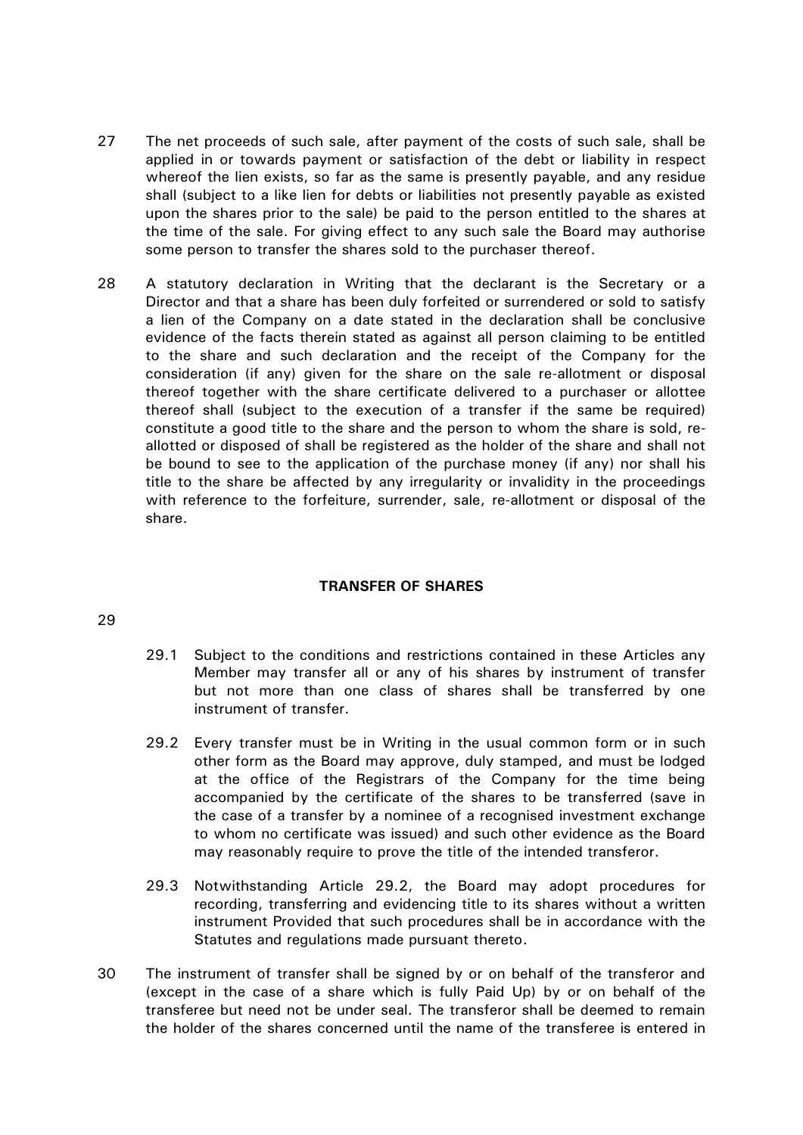- 27 The net proceeds of such sale, after payment of the costs of such sale, shall be applied in or towards payment or satisfaction of the debt or liability in respect whereof the lien exists, so far as the same is presently payable, and any residue shall (subject to a like lien for debts or liabilities not presently payable as existed upon the shares prior to the sale) be paid to the person entitled to the shares at the time of the sale. For giving effect to any such sale the Board may authorise some person to transfer the shares sold to the purchaser thereof.
- 28 A statutory declaration in Writing that the declarant is the Secretary or a Director and that a share has been duly forfeited or surrendered or sold to satisfy a lien of the Company on a date stated in the declaration shall be conclusive evidence of the facts therein stated as against all person claiming to be entitled to the share and such declaration and the receipt of the Company for the consideration (if any) given for the share on the sale re-allotment or disposal thereof together with the share certificate delivered to a purchaser or allottee thereof shall (subject to the execution of a transfer if the same be required) constitute a good title to the share and the person to whom the share is sold, reallotted or disposed of shall be registered as the holder of the share and shall not be bound to see to the application of the purchase money (if any) nor shall his title to the share be affected by any irregularity or invalidity in the proceedings with reference to the forfeiture, surrender, sale, re-allotment or disposal of the share.

# **TRANSFER OF SHARES**

- <span id="page-11-1"></span>29.1 Subject to the conditions and restrictions contained in these Articles any Member may transfer all or any of his shares by instrument of transfer but not more than one class of shares shall be transferred by one instrument of transfer.
- <span id="page-11-0"></span>29.2 Every transfer must be in Writing in the usual common form or in such other form as the Board may approve, duly stamped, and must be lodged at the office of the Registrars of the Company for the time being accompanied by the certificate of the shares to be transferred (save in the case of a transfer by a nominee of a recognised investment exchange to whom no certificate was issued) and such other evidence as the Board may reasonably require to prove the title of the intended transferor.
- 29.3 Notwithstanding Article [29.2,](#page-11-0) the Board may adopt procedures for recording, transferring and evidencing title to its shares without a written instrument Provided that such procedures shall be in accordance with the Statutes and regulations made pursuant thereto.
- 30 The instrument of transfer shall be signed by or on behalf of the transferor and (except in the case of a share which is fully Paid Up) by or on behalf of the transferee but need not be under seal. The transferor shall be deemed to remain the holder of the shares concerned until the name of the transferee is entered in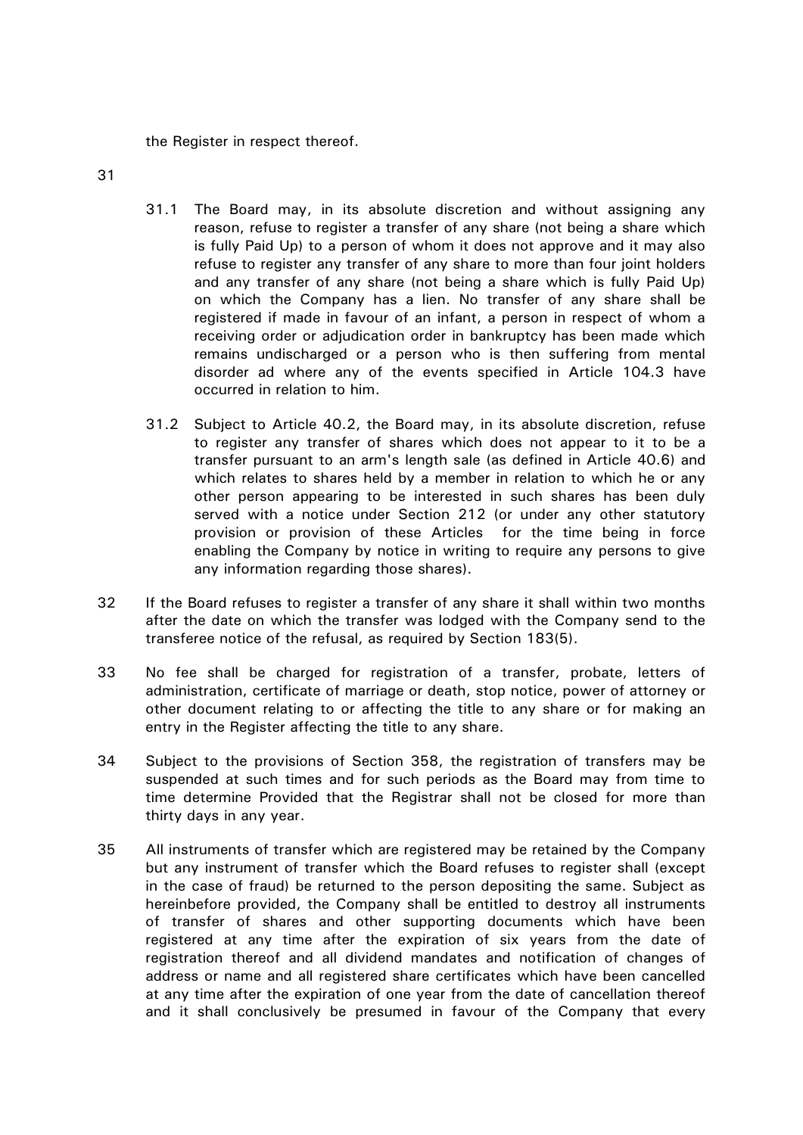the Register in respect thereof.

- <span id="page-12-1"></span>31
- 31.1 The Board may, in its absolute discretion and without assigning any reason, refuse to register a transfer of any share (not being a share which is fully Paid Up) to a person of whom it does not approve and it may also refuse to register any transfer of any share to more than four joint holders and any transfer of any share (not being a share which is fully Paid Up) on which the Company has a lien. No transfer of any share shall be registered if made in favour of an infant, a person in respect of whom a receiving order or adjudication order in bankruptcy has been made which remains undischarged or a person who is then suffering from mental disorder ad where any of the events specified in Article [104.3](#page-32-0) have occurred in relation to him.
- <span id="page-12-0"></span>31.2 Subject to Article [40.2,](#page-14-0) the Board may, in its absolute discretion, refuse to register any transfer of shares which does not appear to it to be a transfer pursuant to an arm's length sale (as defined in Article [40.6\)](#page-17-0) and which relates to shares held by a member in relation to which he or any other person appearing to be interested in such shares has been duly served with a notice under Section 212 (or under any other statutory provision or provision of these Articles for the time being in force enabling the Company by notice in writing to require any persons to give any information regarding those shares).
- 32 If the Board refuses to register a transfer of any share it shall within two months after the date on which the transfer was lodged with the Company send to the transferee notice of the refusal, as required by Section 183(5).
- 33 No fee shall be charged for registration of a transfer, probate, letters of administration, certificate of marriage or death, stop notice, power of attorney or other document relating to or affecting the title to any share or for making an entry in the Register affecting the title to any share.
- 34 Subject to the provisions of Section 358, the registration of transfers may be suspended at such times and for such periods as the Board may from time to time determine Provided that the Registrar shall not be closed for more than thirty days in any year.
- 35 All instruments of transfer which are registered may be retained by the Company but any instrument of transfer which the Board refuses to register shall (except in the case of fraud) be returned to the person depositing the same. Subject as hereinbefore provided, the Company shall be entitled to destroy all instruments of transfer of shares and other supporting documents which have been registered at any time after the expiration of six years from the date of registration thereof and all dividend mandates and notification of changes of address or name and all registered share certificates which have been cancelled at any time after the expiration of one year from the date of cancellation thereof and it shall conclusively be presumed in favour of the Company that every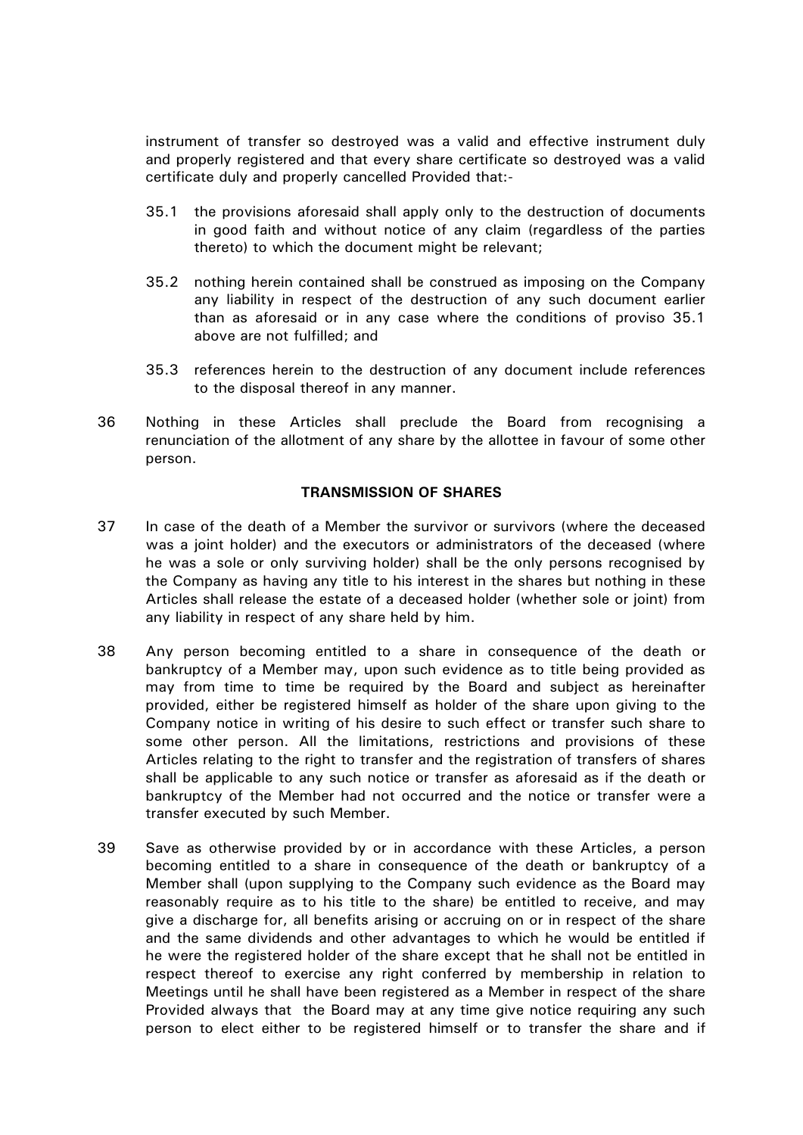instrument of transfer so destroyed was a valid and effective instrument duly and properly registered and that every share certificate so destroyed was a valid certificate duly and properly cancelled Provided that:-

- 35.1 the provisions aforesaid shall apply only to the destruction of documents in good faith and without notice of any claim (regardless of the parties thereto) to which the document might be relevant;
- 35.2 nothing herein contained shall be construed as imposing on the Company any liability in respect of the destruction of any such document earlier than as aforesaid or in any case where the conditions of proviso 35.1 above are not fulfilled; and
- 35.3 references herein to the destruction of any document include references to the disposal thereof in any manner.
- 36 Nothing in these Articles shall preclude the Board from recognising a renunciation of the allotment of any share by the allottee in favour of some other person.

# **TRANSMISSION OF SHARES**

- 37 In case of the death of a Member the survivor or survivors (where the deceased was a joint holder) and the executors or administrators of the deceased (where he was a sole or only surviving holder) shall be the only persons recognised by the Company as having any title to his interest in the shares but nothing in these Articles shall release the estate of a deceased holder (whether sole or joint) from any liability in respect of any share held by him.
- 38 Any person becoming entitled to a share in consequence of the death or bankruptcy of a Member may, upon such evidence as to title being provided as may from time to time be required by the Board and subject as hereinafter provided, either be registered himself as holder of the share upon giving to the Company notice in writing of his desire to such effect or transfer such share to some other person. All the limitations, restrictions and provisions of these Articles relating to the right to transfer and the registration of transfers of shares shall be applicable to any such notice or transfer as aforesaid as if the death or bankruptcy of the Member had not occurred and the notice or transfer were a transfer executed by such Member.
- <span id="page-13-0"></span>39 Save as otherwise provided by or in accordance with these Articles, a person becoming entitled to a share in consequence of the death or bankruptcy of a Member shall (upon supplying to the Company such evidence as the Board may reasonably require as to his title to the share) be entitled to receive, and may give a discharge for, all benefits arising or accruing on or in respect of the share and the same dividends and other advantages to which he would be entitled if he were the registered holder of the share except that he shall not be entitled in respect thereof to exercise any right conferred by membership in relation to Meetings until he shall have been registered as a Member in respect of the share Provided always that the Board may at any time give notice requiring any such person to elect either to be registered himself or to transfer the share and if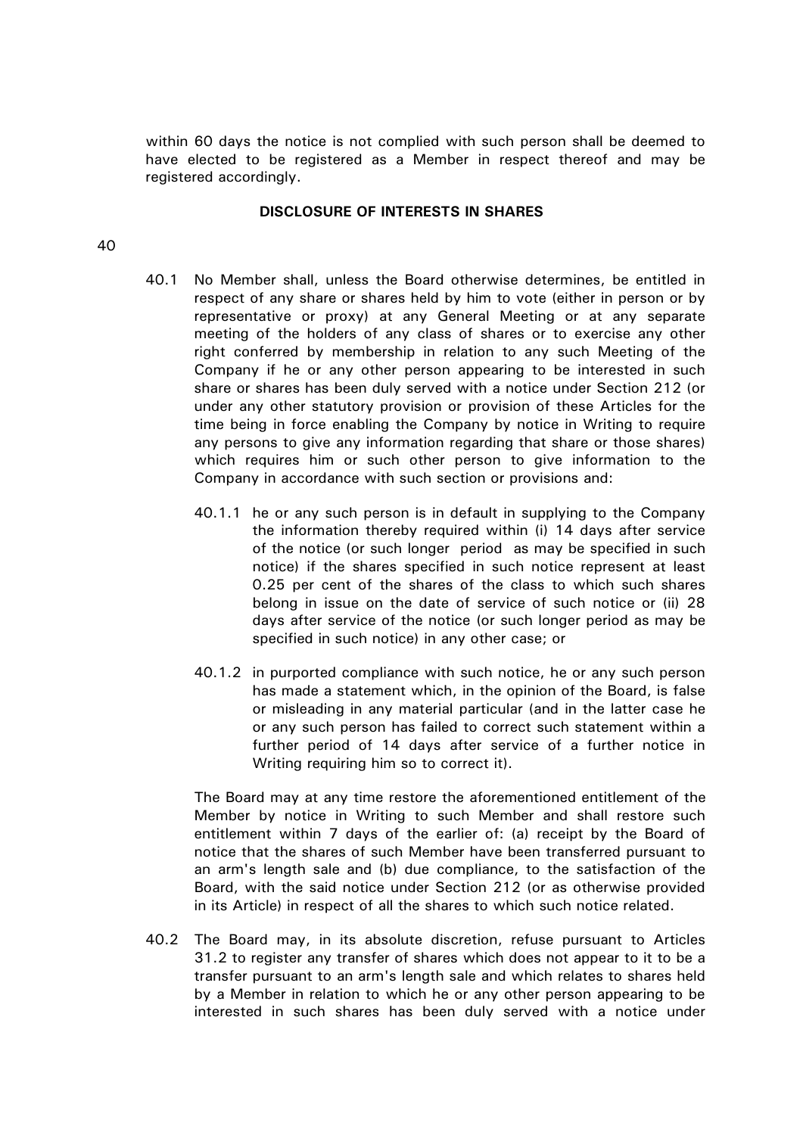within 60 days the notice is not complied with such person shall be deemed to have elected to be registered as a Member in respect thereof and may be registered accordingly.

#### **DISCLOSURE OF INTERESTS IN SHARES**

## <span id="page-14-2"></span><span id="page-14-1"></span>40

- 40.1 No Member shall, unless the Board otherwise determines, be entitled in respect of any share or shares held by him to vote (either in person or by representative or proxy) at any General Meeting or at any separate meeting of the holders of any class of shares or to exercise any other right conferred by membership in relation to any such Meeting of the Company if he or any other person appearing to be interested in such share or shares has been duly served with a notice under Section 212 (or under any other statutory provision or provision of these Articles for the time being in force enabling the Company by notice in Writing to require any persons to give any information regarding that share or those shares) which requires him or such other person to give information to the Company in accordance with such section or provisions and:
	- 40.1.1 he or any such person is in default in supplying to the Company the information thereby required within (i) 14 days after service of the notice (or such longer period as may be specified in such notice) if the shares specified in such notice represent at least 0.25 per cent of the shares of the class to which such shares belong in issue on the date of service of such notice or (ii) 28 days after service of the notice (or such longer period as may be specified in such notice) in any other case; or
	- 40.1.2 in purported compliance with such notice, he or any such person has made a statement which, in the opinion of the Board, is false or misleading in any material particular (and in the latter case he or any such person has failed to correct such statement within a further period of 14 days after service of a further notice in Writing requiring him so to correct it).

The Board may at any time restore the aforementioned entitlement of the Member by notice in Writing to such Member and shall restore such entitlement within 7 days of the earlier of: (a) receipt by the Board of notice that the shares of such Member have been transferred pursuant to an arm's length sale and (b) due compliance, to the satisfaction of the Board, with the said notice under Section 212 (or as otherwise provided in its Article) in respect of all the shares to which such notice related.

<span id="page-14-0"></span>40.2 The Board may, in its absolute discretion, refuse pursuant to Articles [31.2](#page-12-0) to register any transfer of shares which does not appear to it to be a transfer pursuant to an arm's length sale and which relates to shares held by a Member in relation to which he or any other person appearing to be interested in such shares has been duly served with a notice under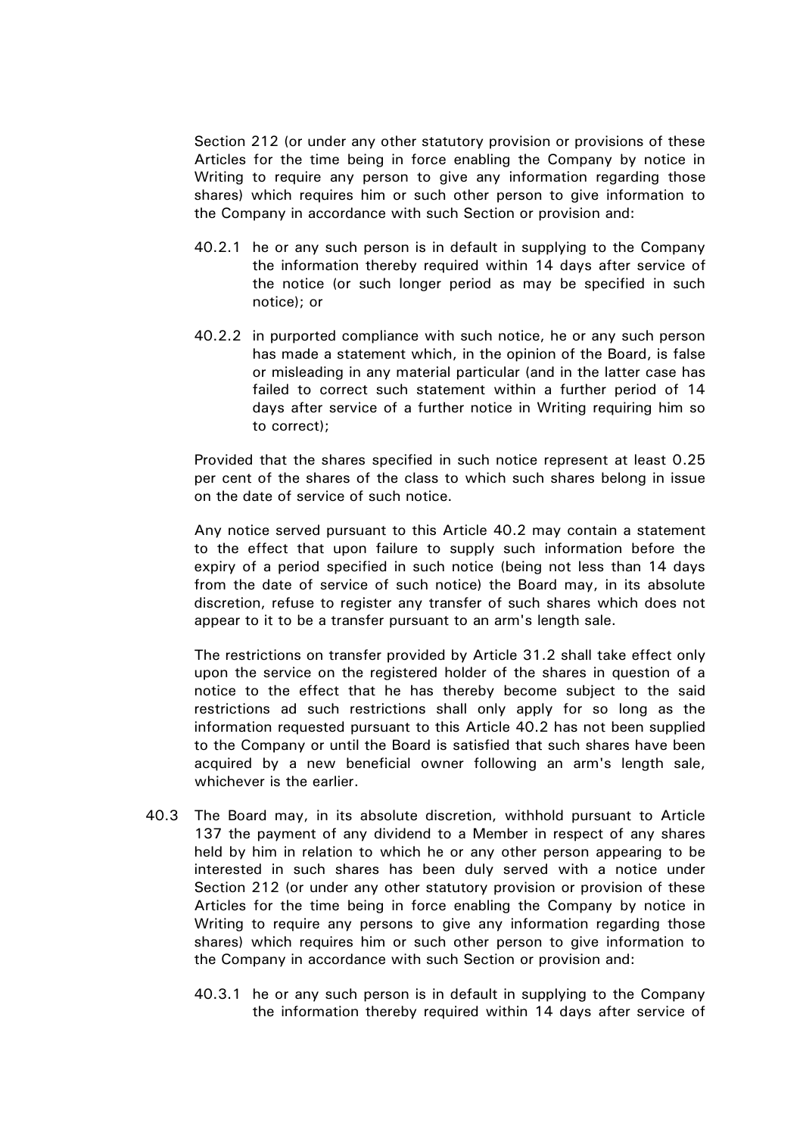Section 212 (or under any other statutory provision or provisions of these Articles for the time being in force enabling the Company by notice in Writing to require any person to give any information regarding those shares) which requires him or such other person to give information to the Company in accordance with such Section or provision and:

- 40.2.1 he or any such person is in default in supplying to the Company the information thereby required within 14 days after service of the notice (or such longer period as may be specified in such notice); or
- 40.2.2 in purported compliance with such notice, he or any such person has made a statement which, in the opinion of the Board, is false or misleading in any material particular (and in the latter case has failed to correct such statement within a further period of 14 days after service of a further notice in Writing requiring him so to correct);

Provided that the shares specified in such notice represent at least 0.25 per cent of the shares of the class to which such shares belong in issue on the date of service of such notice.

Any notice served pursuant to this Article [40.2](#page-14-0) may contain a statement to the effect that upon failure to supply such information before the expiry of a period specified in such notice (being not less than 14 days from the date of service of such notice) the Board may, in its absolute discretion, refuse to register any transfer of such shares which does not appear to it to be a transfer pursuant to an arm's length sale.

The restrictions on transfer provided by Article [31.2](#page-12-0) shall take effect only upon the service on the registered holder of the shares in question of a notice to the effect that he has thereby become subject to the said restrictions ad such restrictions shall only apply for so long as the information requested pursuant to this Article [40.2](#page-14-0) has not been supplied to the Company or until the Board is satisfied that such shares have been acquired by a new beneficial owner following an arm's length sale, whichever is the earlier.

- <span id="page-15-0"></span>40.3 The Board may, in its absolute discretion, withhold pursuant to Article [137](#page-41-0) the payment of any dividend to a Member in respect of any shares held by him in relation to which he or any other person appearing to be interested in such shares has been duly served with a notice under Section 212 (or under any other statutory provision or provision of these Articles for the time being in force enabling the Company by notice in Writing to require any persons to give any information regarding those shares) which requires him or such other person to give information to the Company in accordance with such Section or provision and:
	- 40.3.1 he or any such person is in default in supplying to the Company the information thereby required within 14 days after service of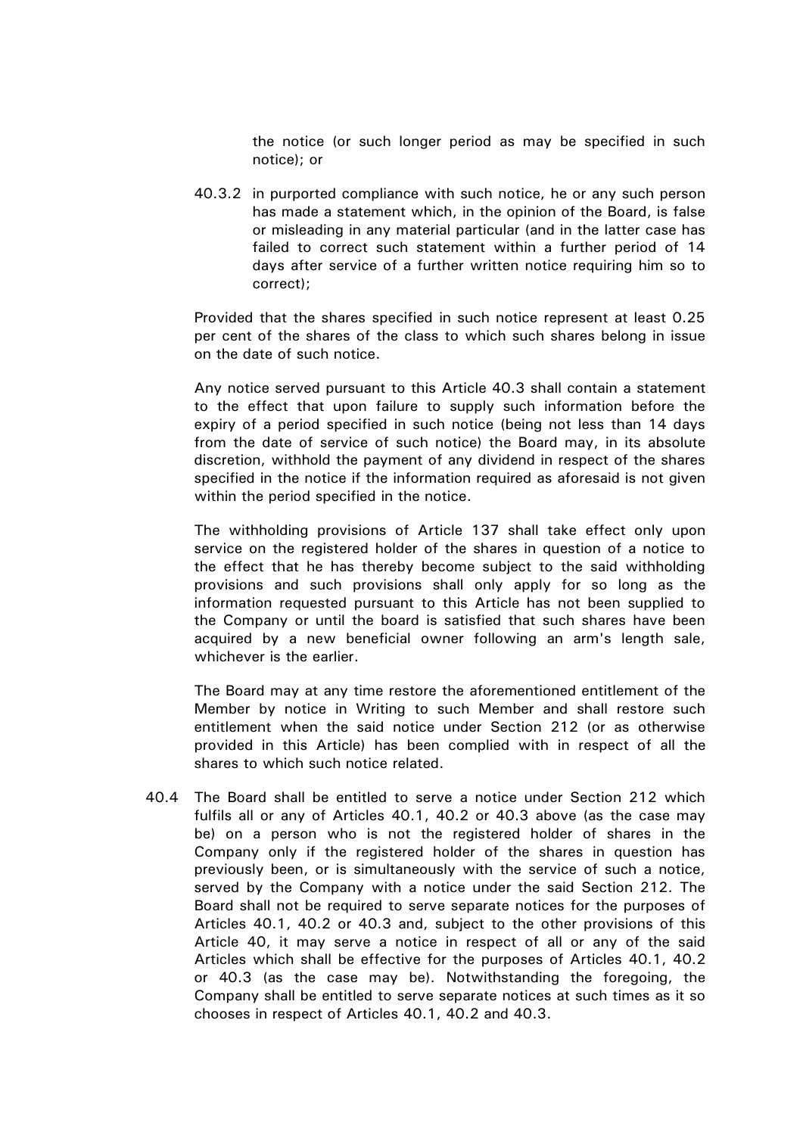the notice (or such longer period as may be specified in such notice); or

40.3.2 in purported compliance with such notice, he or any such person has made a statement which, in the opinion of the Board, is false or misleading in any material particular (and in the latter case has failed to correct such statement within a further period of 14 days after service of a further written notice requiring him so to correct);

Provided that the shares specified in such notice represent at least 0.25 per cent of the shares of the class to which such shares belong in issue on the date of such notice.

Any notice served pursuant to this Article [40.3](#page-15-0) shall contain a statement to the effect that upon failure to supply such information before the expiry of a period specified in such notice (being not less than 14 days from the date of service of such notice) the Board may, in its absolute discretion, withhold the payment of any dividend in respect of the shares specified in the notice if the information required as aforesaid is not given within the period specified in the notice.

The withholding provisions of Article [137](#page-41-0) shall take effect only upon service on the registered holder of the shares in question of a notice to the effect that he has thereby become subject to the said withholding provisions and such provisions shall only apply for so long as the information requested pursuant to this Article has not been supplied to the Company or until the board is satisfied that such shares have been acquired by a new beneficial owner following an arm's length sale, whichever is the earlier.

The Board may at any time restore the aforementioned entitlement of the Member by notice in Writing to such Member and shall restore such entitlement when the said notice under Section 212 (or as otherwise provided in this Article) has been complied with in respect of all the shares to which such notice related.

40.4 The Board shall be entitled to serve a notice under Section 212 which fulfils all or any of Articles [40.1,](#page-14-1) [40.2](#page-14-0) or [40.3](#page-15-0) above (as the case may be) on a person who is not the registered holder of shares in the Company only if the registered holder of the shares in question has previously been, or is simultaneously with the service of such a notice, served by the Company with a notice under the said Section 212. The Board shall not be required to serve separate notices for the purposes of Articles [40.1,](#page-14-1) [40.2](#page-14-0) or [40.3](#page-15-0) and, subject to the other provisions of this Article [40,](#page-14-2) it may serve a notice in respect of all or any of the said Articles which shall be effective for the purposes of Articles [40.1,](#page-14-1) [40.2](#page-14-0) or [40.3](#page-15-0) (as the case may be). Notwithstanding the foregoing, the Company shall be entitled to serve separate notices at such times as it so chooses in respect of Articles [40.1,](#page-14-1) [40.2](#page-14-0) and [40.3.](#page-15-0)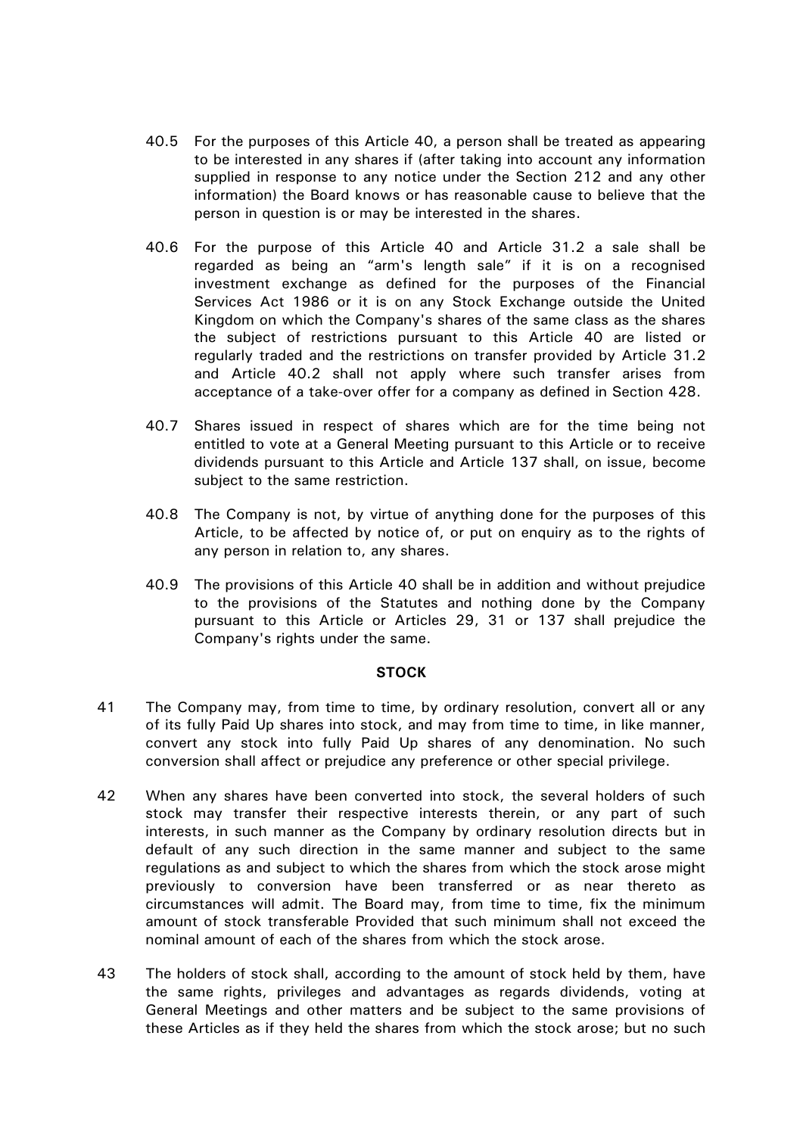- 40.5 For the purposes of this Article [40,](#page-14-2) a person shall be treated as appearing to be interested in any shares if (after taking into account any information supplied in response to any notice under the Section 212 and any other information) the Board knows or has reasonable cause to believe that the person in question is or may be interested in the shares.
- <span id="page-17-0"></span>40.6 For the purpose of this Article [40](#page-14-2) and Article [31.2](#page-12-0) a sale shall be regarded as being an "arm's length sale" if it is on a recognised investment exchange as defined for the purposes of the Financial Services Act 1986 or it is on any Stock Exchange outside the United Kingdom on which the Company's shares of the same class as the shares the subject of restrictions pursuant to this Article [40](#page-14-2) are listed or regularly traded and the restrictions on transfer provided by Article [31.2](#page-12-0) and Article [40.2](#page-14-0) shall not apply where such transfer arises from acceptance of a take-over offer for a company as defined in Section 428.
- 40.7 Shares issued in respect of shares which are for the time being not entitled to vote at a General Meeting pursuant to this Article or to receive dividends pursuant to this Article and Article [137](#page-41-0) shall, on issue, become subject to the same restriction.
- 40.8 The Company is not, by virtue of anything done for the purposes of this Article, to be affected by notice of, or put on enquiry as to the rights of any person in relation to, any shares.
- 40.9 The provisions of this Article [40](#page-14-2) shall be in addition and without prejudice to the provisions of the Statutes and nothing done by the Company pursuant to this Article or Articles [29,](#page-11-1) [31](#page-12-1) or [137](#page-41-0) shall prejudice the Company's rights under the same.

## **STOCK**

- 41 The Company may, from time to time, by ordinary resolution, convert all or any of its fully Paid Up shares into stock, and may from time to time, in like manner, convert any stock into fully Paid Up shares of any denomination. No such conversion shall affect or prejudice any preference or other special privilege.
- 42 When any shares have been converted into stock, the several holders of such stock may transfer their respective interests therein, or any part of such interests, in such manner as the Company by ordinary resolution directs but in default of any such direction in the same manner and subject to the same regulations as and subject to which the shares from which the stock arose might previously to conversion have been transferred or as near thereto as circumstances will admit. The Board may, from time to time, fix the minimum amount of stock transferable Provided that such minimum shall not exceed the nominal amount of each of the shares from which the stock arose.
- 43 The holders of stock shall, according to the amount of stock held by them, have the same rights, privileges and advantages as regards dividends, voting at General Meetings and other matters and be subject to the same provisions of these Articles as if they held the shares from which the stock arose; but no such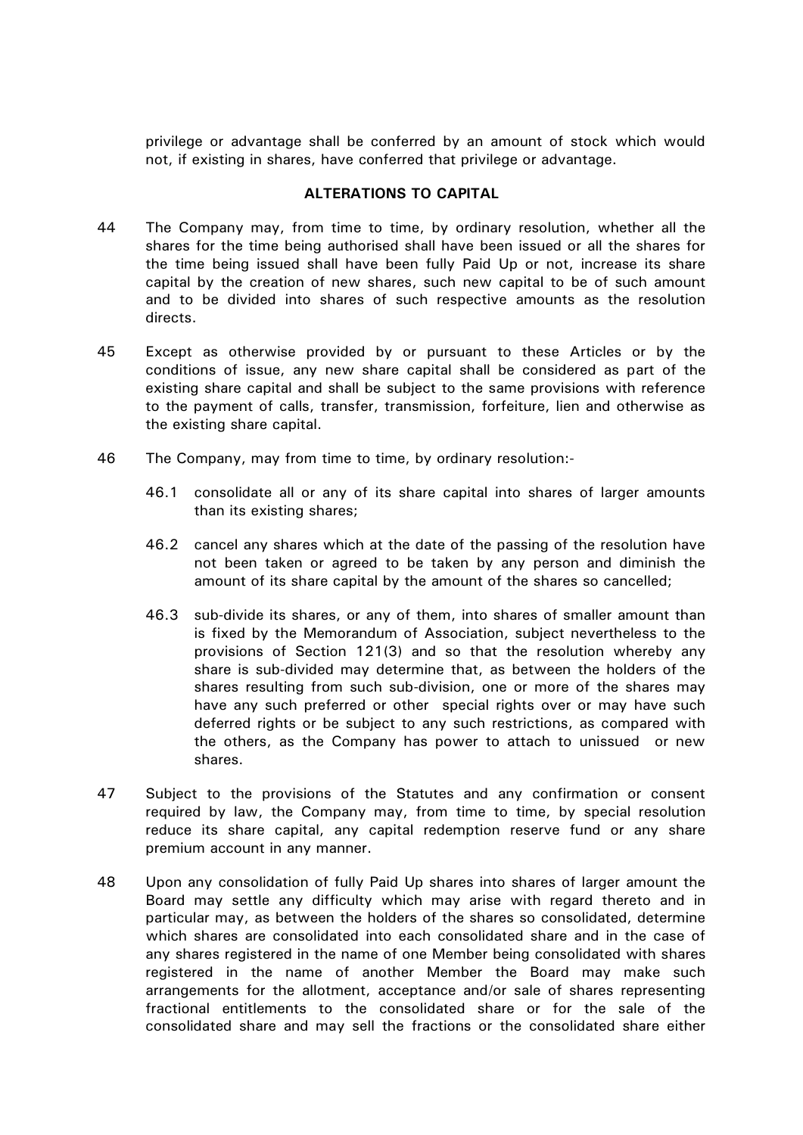privilege or advantage shall be conferred by an amount of stock which would not, if existing in shares, have conferred that privilege or advantage.

# **ALTERATIONS TO CAPITAL**

- 44 The Company may, from time to time, by ordinary resolution, whether all the shares for the time being authorised shall have been issued or all the shares for the time being issued shall have been fully Paid Up or not, increase its share capital by the creation of new shares, such new capital to be of such amount and to be divided into shares of such respective amounts as the resolution directs.
- 45 Except as otherwise provided by or pursuant to these Articles or by the conditions of issue, any new share capital shall be considered as part of the existing share capital and shall be subject to the same provisions with reference to the payment of calls, transfer, transmission, forfeiture, lien and otherwise as the existing share capital.
- 46 The Company, may from time to time, by ordinary resolution:-
	- 46.1 consolidate all or any of its share capital into shares of larger amounts than its existing shares;
	- 46.2 cancel any shares which at the date of the passing of the resolution have not been taken or agreed to be taken by any person and diminish the amount of its share capital by the amount of the shares so cancelled;
	- 46.3 sub-divide its shares, or any of them, into shares of smaller amount than is fixed by the Memorandum of Association, subject nevertheless to the provisions of Section 121(3) and so that the resolution whereby any share is sub-divided may determine that, as between the holders of the shares resulting from such sub-division, one or more of the shares may have any such preferred or other special rights over or may have such deferred rights or be subject to any such restrictions, as compared with the others, as the Company has power to attach to unissued or new shares.
- 47 Subject to the provisions of the Statutes and any confirmation or consent required by law, the Company may, from time to time, by special resolution reduce its share capital, any capital redemption reserve fund or any share premium account in any manner.
- 48 Upon any consolidation of fully Paid Up shares into shares of larger amount the Board may settle any difficulty which may arise with regard thereto and in particular may, as between the holders of the shares so consolidated, determine which shares are consolidated into each consolidated share and in the case of any shares registered in the name of one Member being consolidated with shares registered in the name of another Member the Board may make such arrangements for the allotment, acceptance and/or sale of shares representing fractional entitlements to the consolidated share or for the sale of the consolidated share and may sell the fractions or the consolidated share either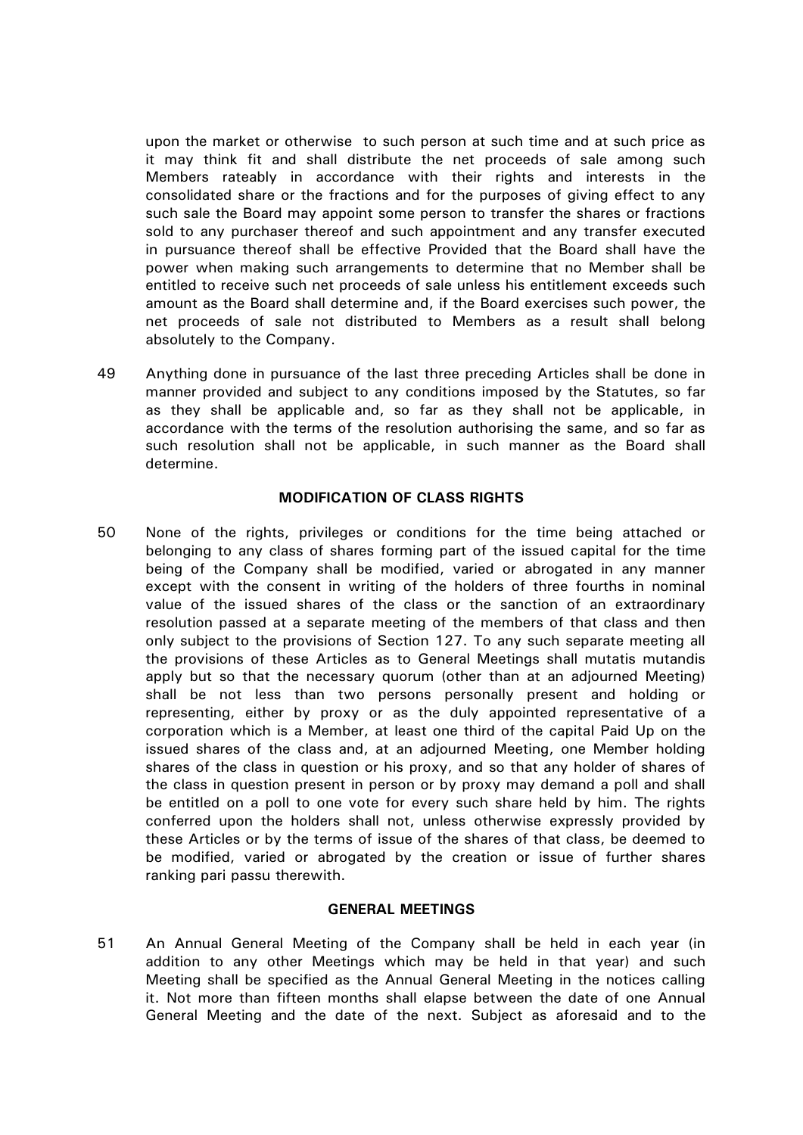upon the market or otherwise to such person at such time and at such price as it may think fit and shall distribute the net proceeds of sale among such Members rateably in accordance with their rights and interests in the consolidated share or the fractions and for the purposes of giving effect to any such sale the Board may appoint some person to transfer the shares or fractions sold to any purchaser thereof and such appointment and any transfer executed in pursuance thereof shall be effective Provided that the Board shall have the power when making such arrangements to determine that no Member shall be entitled to receive such net proceeds of sale unless his entitlement exceeds such amount as the Board shall determine and, if the Board exercises such power, the net proceeds of sale not distributed to Members as a result shall belong absolutely to the Company.

49 Anything done in pursuance of the last three preceding Articles shall be done in manner provided and subject to any conditions imposed by the Statutes, so far as they shall be applicable and, so far as they shall not be applicable, in accordance with the terms of the resolution authorising the same, and so far as such resolution shall not be applicable, in such manner as the Board shall determine.

# **MODIFICATION OF CLASS RIGHTS**

<span id="page-19-0"></span>50 None of the rights, privileges or conditions for the time being attached or belonging to any class of shares forming part of the issued capital for the time being of the Company shall be modified, varied or abrogated in any manner except with the consent in writing of the holders of three fourths in nominal value of the issued shares of the class or the sanction of an extraordinary resolution passed at a separate meeting of the members of that class and then only subject to the provisions of Section 127. To any such separate meeting all the provisions of these Articles as to General Meetings shall mutatis mutandis apply but so that the necessary quorum (other than at an adjourned Meeting) shall be not less than two persons personally present and holding or representing, either by proxy or as the duly appointed representative of a corporation which is a Member, at least one third of the capital Paid Up on the issued shares of the class and, at an adjourned Meeting, one Member holding shares of the class in question or his proxy, and so that any holder of shares of the class in question present in person or by proxy may demand a poll and shall be entitled on a poll to one vote for every such share held by him. The rights conferred upon the holders shall not, unless otherwise expressly provided by these Articles or by the terms of issue of the shares of that class, be deemed to be modified, varied or abrogated by the creation or issue of further shares ranking pari passu therewith.

# **GENERAL MEETINGS**

51 An Annual General Meeting of the Company shall be held in each year (in addition to any other Meetings which may be held in that year) and such Meeting shall be specified as the Annual General Meeting in the notices calling it. Not more than fifteen months shall elapse between the date of one Annual General Meeting and the date of the next. Subject as aforesaid and to the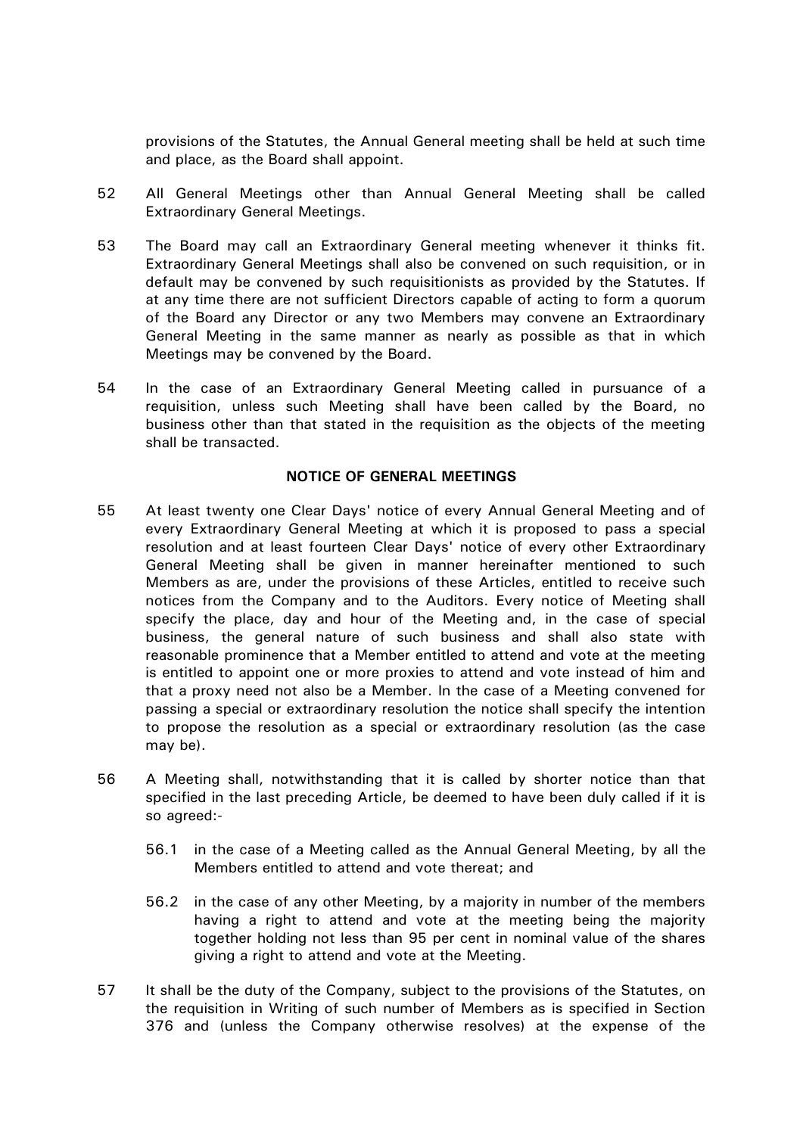provisions of the Statutes, the Annual General meeting shall be held at such time and place, as the Board shall appoint.

- 52 All General Meetings other than Annual General Meeting shall be called Extraordinary General Meetings.
- 53 The Board may call an Extraordinary General meeting whenever it thinks fit. Extraordinary General Meetings shall also be convened on such requisition, or in default may be convened by such requisitionists as provided by the Statutes. If at any time there are not sufficient Directors capable of acting to form a quorum of the Board any Director or any two Members may convene an Extraordinary General Meeting in the same manner as nearly as possible as that in which Meetings may be convened by the Board.
- 54 In the case of an Extraordinary General Meeting called in pursuance of a requisition, unless such Meeting shall have been called by the Board, no business other than that stated in the requisition as the objects of the meeting shall be transacted.

## **NOTICE OF GENERAL MEETINGS**

- 55 At least twenty one Clear Days' notice of every Annual General Meeting and of every Extraordinary General Meeting at which it is proposed to pass a special resolution and at least fourteen Clear Days' notice of every other Extraordinary General Meeting shall be given in manner hereinafter mentioned to such Members as are, under the provisions of these Articles, entitled to receive such notices from the Company and to the Auditors. Every notice of Meeting shall specify the place, day and hour of the Meeting and, in the case of special business, the general nature of such business and shall also state with reasonable prominence that a Member entitled to attend and vote at the meeting is entitled to appoint one or more proxies to attend and vote instead of him and that a proxy need not also be a Member. In the case of a Meeting convened for passing a special or extraordinary resolution the notice shall specify the intention to propose the resolution as a special or extraordinary resolution (as the case may be).
- 56 A Meeting shall, notwithstanding that it is called by shorter notice than that specified in the last preceding Article, be deemed to have been duly called if it is so agreed:-
	- 56.1 in the case of a Meeting called as the Annual General Meeting, by all the Members entitled to attend and vote thereat; and
	- 56.2 in the case of any other Meeting, by a majority in number of the members having a right to attend and vote at the meeting being the majority together holding not less than 95 per cent in nominal value of the shares giving a right to attend and vote at the Meeting.
- 57 It shall be the duty of the Company, subject to the provisions of the Statutes, on the requisition in Writing of such number of Members as is specified in Section 376 and (unless the Company otherwise resolves) at the expense of the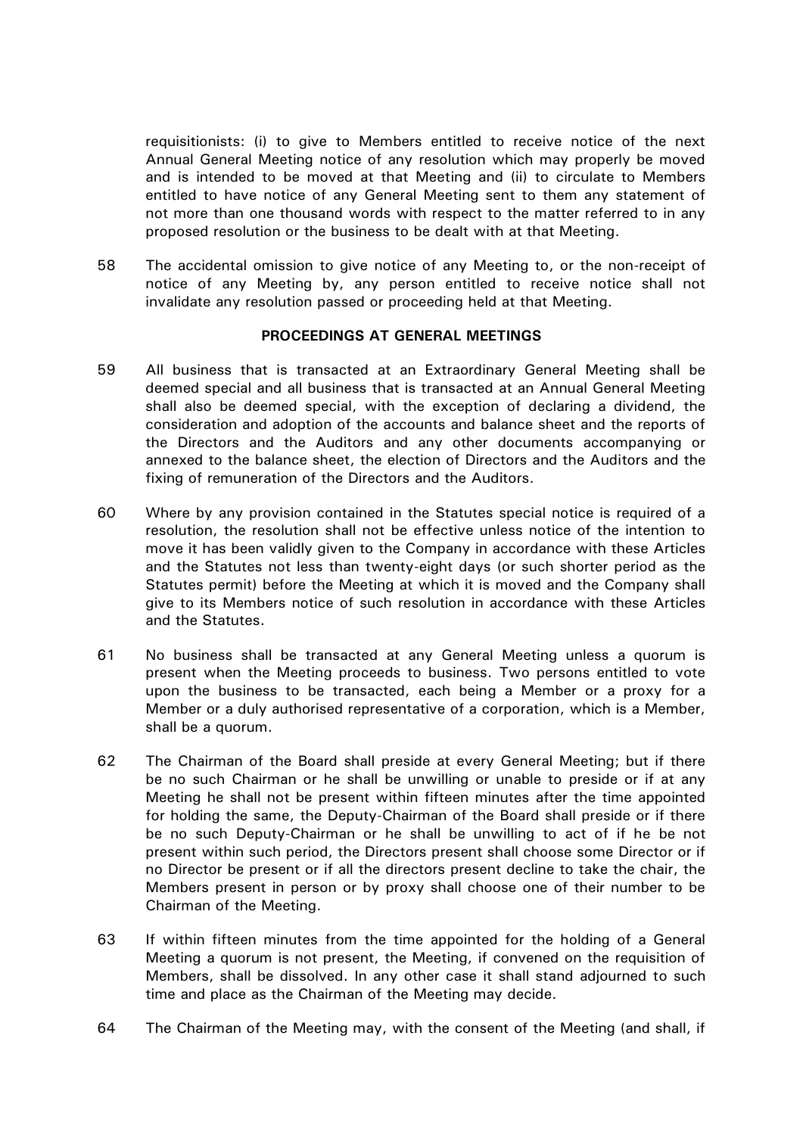requisitionists: (i) to give to Members entitled to receive notice of the next Annual General Meeting notice of any resolution which may properly be moved and is intended to be moved at that Meeting and (ii) to circulate to Members entitled to have notice of any General Meeting sent to them any statement of not more than one thousand words with respect to the matter referred to in any proposed resolution or the business to be dealt with at that Meeting.

58 The accidental omission to give notice of any Meeting to, or the non-receipt of notice of any Meeting by, any person entitled to receive notice shall not invalidate any resolution passed or proceeding held at that Meeting.

## **PROCEEDINGS AT GENERAL MEETINGS**

- 59 All business that is transacted at an Extraordinary General Meeting shall be deemed special and all business that is transacted at an Annual General Meeting shall also be deemed special, with the exception of declaring a dividend, the consideration and adoption of the accounts and balance sheet and the reports of the Directors and the Auditors and any other documents accompanying or annexed to the balance sheet, the election of Directors and the Auditors and the fixing of remuneration of the Directors and the Auditors.
- 60 Where by any provision contained in the Statutes special notice is required of a resolution, the resolution shall not be effective unless notice of the intention to move it has been validly given to the Company in accordance with these Articles and the Statutes not less than twenty-eight days (or such shorter period as the Statutes permit) before the Meeting at which it is moved and the Company shall give to its Members notice of such resolution in accordance with these Articles and the Statutes.
- 61 No business shall be transacted at any General Meeting unless a quorum is present when the Meeting proceeds to business. Two persons entitled to vote upon the business to be transacted, each being a Member or a proxy for a Member or a duly authorised representative of a corporation, which is a Member, shall be a quorum.
- 62 The Chairman of the Board shall preside at every General Meeting; but if there be no such Chairman or he shall be unwilling or unable to preside or if at any Meeting he shall not be present within fifteen minutes after the time appointed for holding the same, the Deputy-Chairman of the Board shall preside or if there be no such Deputy-Chairman or he shall be unwilling to act of if he be not present within such period, the Directors present shall choose some Director or if no Director be present or if all the directors present decline to take the chair, the Members present in person or by proxy shall choose one of their number to be Chairman of the Meeting.
- 63 If within fifteen minutes from the time appointed for the holding of a General Meeting a quorum is not present, the Meeting, if convened on the requisition of Members, shall be dissolved. In any other case it shall stand adjourned to such time and place as the Chairman of the Meeting may decide.
- 64 The Chairman of the Meeting may, with the consent of the Meeting (and shall, if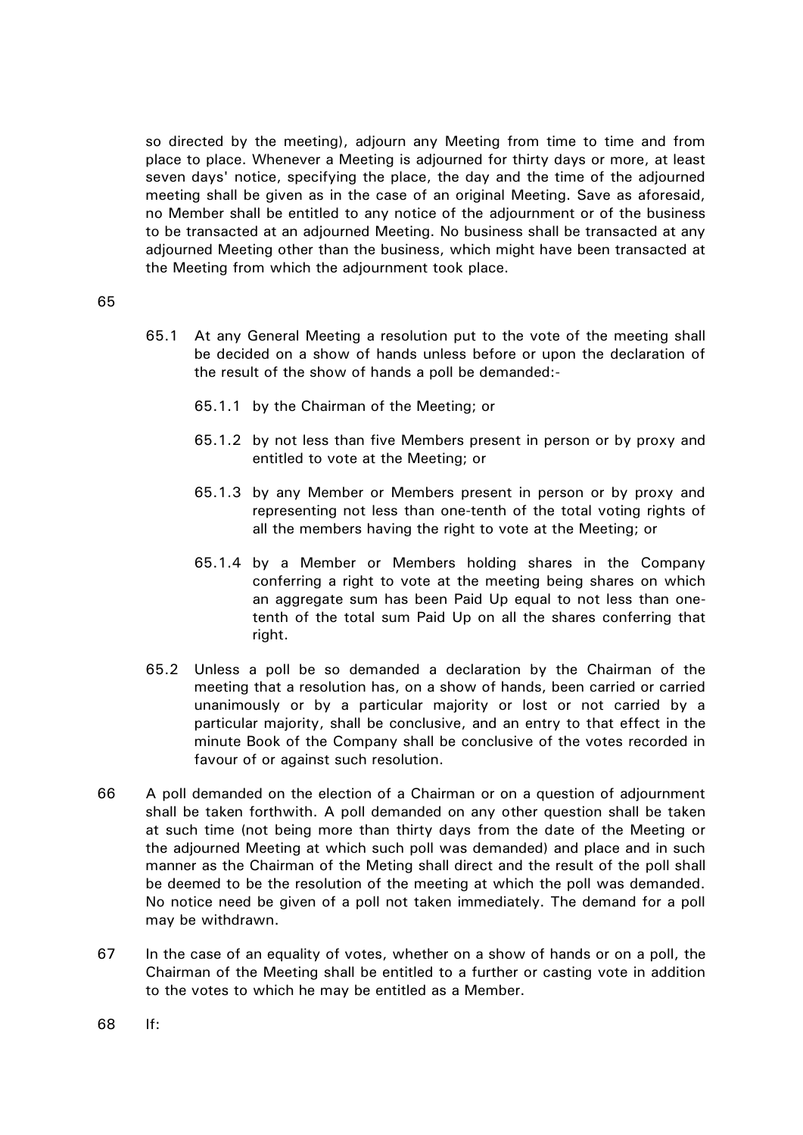so directed by the meeting), adjourn any Meeting from time to time and from place to place. Whenever a Meeting is adjourned for thirty days or more, at least seven days' notice, specifying the place, the day and the time of the adjourned meeting shall be given as in the case of an original Meeting. Save as aforesaid, no Member shall be entitled to any notice of the adjournment or of the business to be transacted at an adjourned Meeting. No business shall be transacted at any adjourned Meeting other than the business, which might have been transacted at the Meeting from which the adjournment took place.

- 65.1 At any General Meeting a resolution put to the vote of the meeting shall be decided on a show of hands unless before or upon the declaration of the result of the show of hands a poll be demanded:-
	- 65.1.1 by the Chairman of the Meeting; or
	- 65.1.2 by not less than five Members present in person or by proxy and entitled to vote at the Meeting; or
	- 65.1.3 by any Member or Members present in person or by proxy and representing not less than one-tenth of the total voting rights of all the members having the right to vote at the Meeting; or
	- 65.1.4 by a Member or Members holding shares in the Company conferring a right to vote at the meeting being shares on which an aggregate sum has been Paid Up equal to not less than onetenth of the total sum Paid Up on all the shares conferring that right.
- 65.2 Unless a poll be so demanded a declaration by the Chairman of the meeting that a resolution has, on a show of hands, been carried or carried unanimously or by a particular majority or lost or not carried by a particular majority, shall be conclusive, and an entry to that effect in the minute Book of the Company shall be conclusive of the votes recorded in favour of or against such resolution.
- 66 A poll demanded on the election of a Chairman or on a question of adjournment shall be taken forthwith. A poll demanded on any other question shall be taken at such time (not being more than thirty days from the date of the Meeting or the adjourned Meeting at which such poll was demanded) and place and in such manner as the Chairman of the Meting shall direct and the result of the poll shall be deemed to be the resolution of the meeting at which the poll was demanded. No notice need be given of a poll not taken immediately. The demand for a poll may be withdrawn.
- 67 In the case of an equality of votes, whether on a show of hands or on a poll, the Chairman of the Meeting shall be entitled to a further or casting vote in addition to the votes to which he may be entitled as a Member.
- 68 If: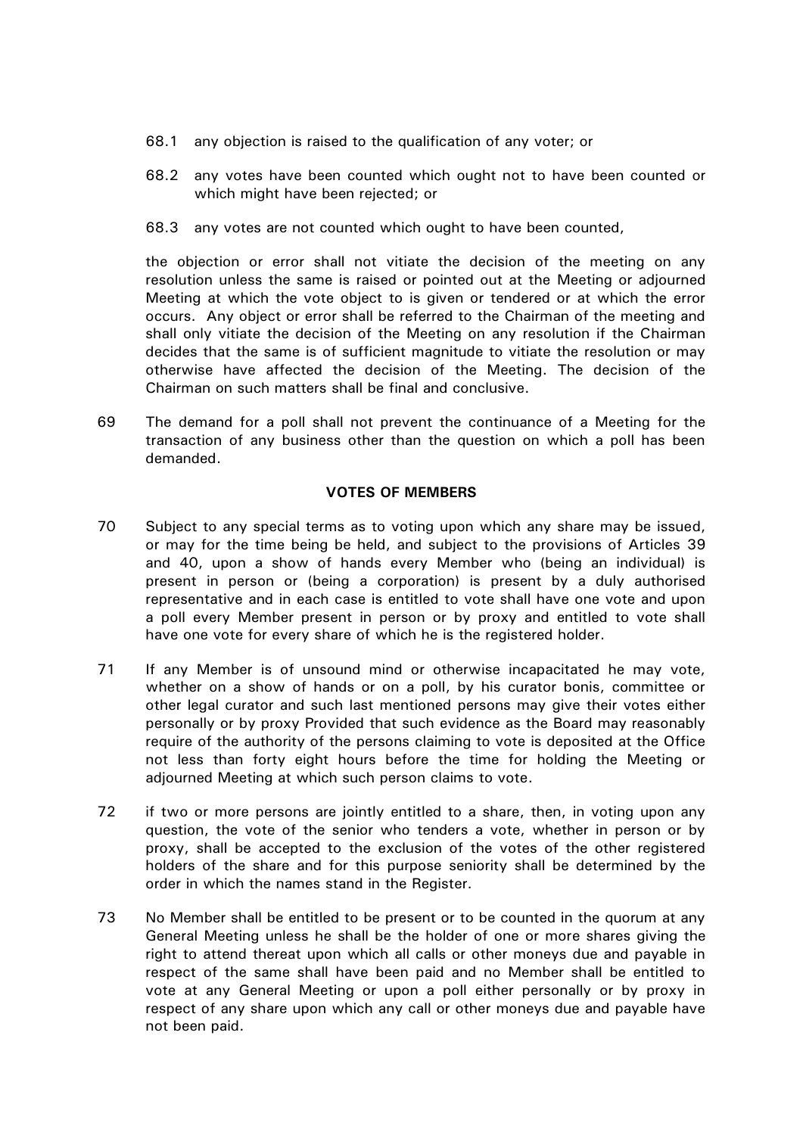- 68.1 any objection is raised to the qualification of any voter; or
- 68.2 any votes have been counted which ought not to have been counted or which might have been rejected; or
- 68.3 any votes are not counted which ought to have been counted,

the objection or error shall not vitiate the decision of the meeting on any resolution unless the same is raised or pointed out at the Meeting or adjourned Meeting at which the vote object to is given or tendered or at which the error occurs. Any object or error shall be referred to the Chairman of the meeting and shall only vitiate the decision of the Meeting on any resolution if the Chairman decides that the same is of sufficient magnitude to vitiate the resolution or may otherwise have affected the decision of the Meeting. The decision of the Chairman on such matters shall be final and conclusive.

69 The demand for a poll shall not prevent the continuance of a Meeting for the transaction of any business other than the question on which a poll has been demanded.

# **VOTES OF MEMBERS**

- 70 Subject to any special terms as to voting upon which any share may be issued, or may for the time being be held, and subject to the provisions of Articles [39](#page-13-0) and [40,](#page-14-2) upon a show of hands every Member who (being an individual) is present in person or (being a corporation) is present by a duly authorised representative and in each case is entitled to vote shall have one vote and upon a poll every Member present in person or by proxy and entitled to vote shall have one vote for every share of which he is the registered holder.
- 71 If any Member is of unsound mind or otherwise incapacitated he may vote, whether on a show of hands or on a poll, by his curator bonis, committee or other legal curator and such last mentioned persons may give their votes either personally or by proxy Provided that such evidence as the Board may reasonably require of the authority of the persons claiming to vote is deposited at the Office not less than forty eight hours before the time for holding the Meeting or adjourned Meeting at which such person claims to vote.
- 72 if two or more persons are jointly entitled to a share, then, in voting upon any question, the vote of the senior who tenders a vote, whether in person or by proxy, shall be accepted to the exclusion of the votes of the other registered holders of the share and for this purpose seniority shall be determined by the order in which the names stand in the Register.
- 73 No Member shall be entitled to be present or to be counted in the quorum at any General Meeting unless he shall be the holder of one or more shares giving the right to attend thereat upon which all calls or other moneys due and payable in respect of the same shall have been paid and no Member shall be entitled to vote at any General Meeting or upon a poll either personally or by proxy in respect of any share upon which any call or other moneys due and payable have not been paid.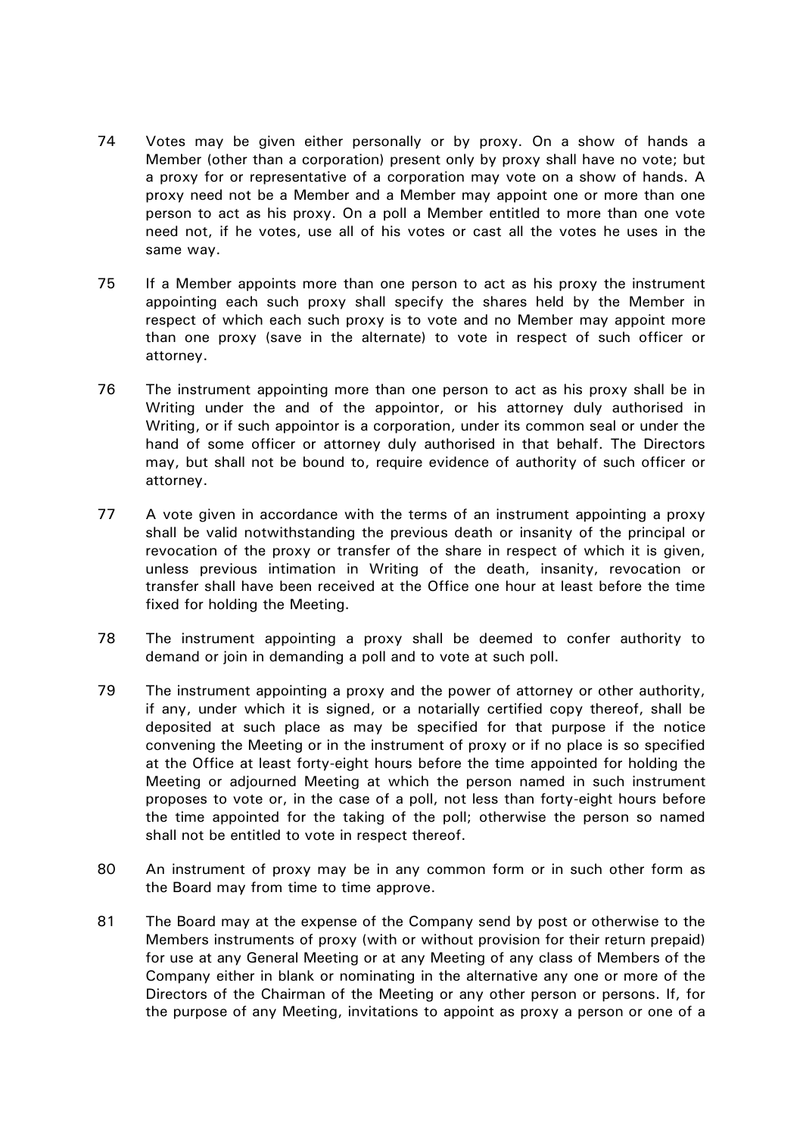- 74 Votes may be given either personally or by proxy. On a show of hands a Member (other than a corporation) present only by proxy shall have no vote; but a proxy for or representative of a corporation may vote on a show of hands. A proxy need not be a Member and a Member may appoint one or more than one person to act as his proxy. On a poll a Member entitled to more than one vote need not, if he votes, use all of his votes or cast all the votes he uses in the same way.
- 75 If a Member appoints more than one person to act as his proxy the instrument appointing each such proxy shall specify the shares held by the Member in respect of which each such proxy is to vote and no Member may appoint more than one proxy (save in the alternate) to vote in respect of such officer or attorney.
- 76 The instrument appointing more than one person to act as his proxy shall be in Writing under the and of the appointor, or his attorney duly authorised in Writing, or if such appointor is a corporation, under its common seal or under the hand of some officer or attorney duly authorised in that behalf. The Directors may, but shall not be bound to, require evidence of authority of such officer or attorney.
- 77 A vote given in accordance with the terms of an instrument appointing a proxy shall be valid notwithstanding the previous death or insanity of the principal or revocation of the proxy or transfer of the share in respect of which it is given, unless previous intimation in Writing of the death, insanity, revocation or transfer shall have been received at the Office one hour at least before the time fixed for holding the Meeting.
- 78 The instrument appointing a proxy shall be deemed to confer authority to demand or join in demanding a poll and to vote at such poll.
- 79 The instrument appointing a proxy and the power of attorney or other authority, if any, under which it is signed, or a notarially certified copy thereof, shall be deposited at such place as may be specified for that purpose if the notice convening the Meeting or in the instrument of proxy or if no place is so specified at the Office at least forty-eight hours before the time appointed for holding the Meeting or adjourned Meeting at which the person named in such instrument proposes to vote or, in the case of a poll, not less than forty-eight hours before the time appointed for the taking of the poll; otherwise the person so named shall not be entitled to vote in respect thereof.
- 80 An instrument of proxy may be in any common form or in such other form as the Board may from time to time approve.
- 81 The Board may at the expense of the Company send by post or otherwise to the Members instruments of proxy (with or without provision for their return prepaid) for use at any General Meeting or at any Meeting of any class of Members of the Company either in blank or nominating in the alternative any one or more of the Directors of the Chairman of the Meeting or any other person or persons. If, for the purpose of any Meeting, invitations to appoint as proxy a person or one of a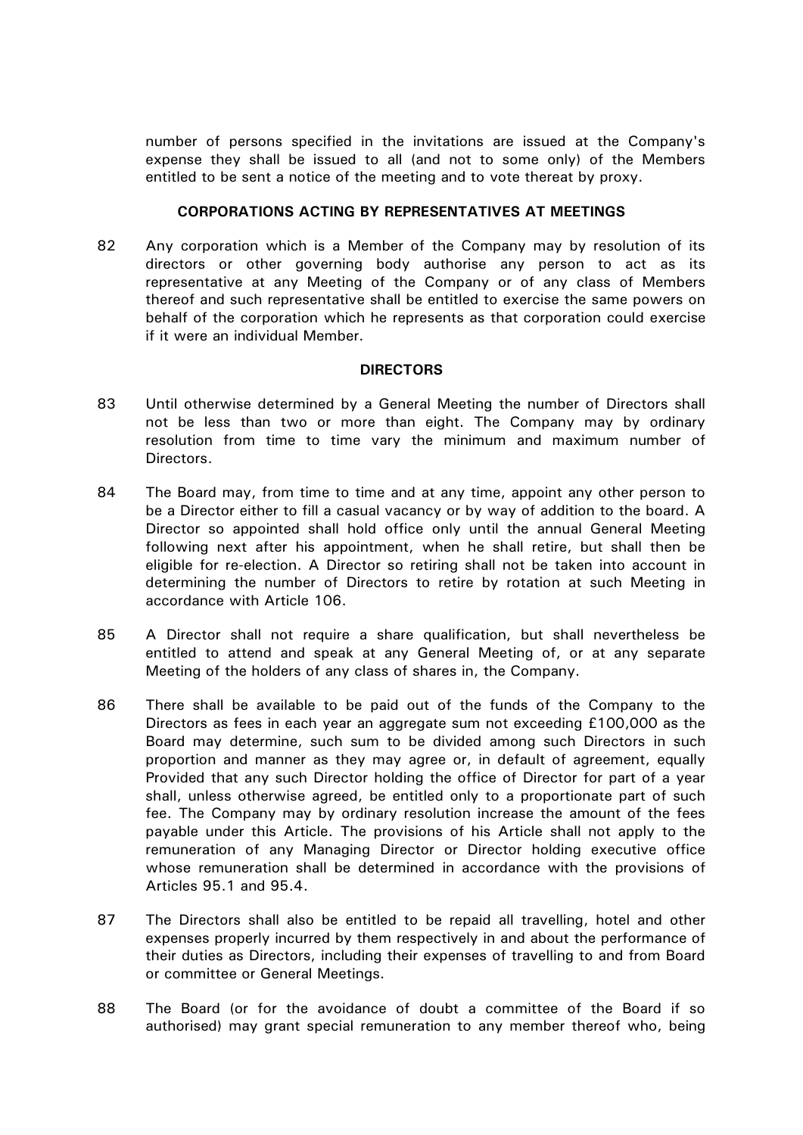number of persons specified in the invitations are issued at the Company's expense they shall be issued to all (and not to some only) of the Members entitled to be sent a notice of the meeting and to vote thereat by proxy.

# **CORPORATIONS ACTING BY REPRESENTATIVES AT MEETINGS**

82 Any corporation which is a Member of the Company may by resolution of its directors or other governing body authorise any person to act as its representative at any Meeting of the Company or of any class of Members thereof and such representative shall be entitled to exercise the same powers on behalf of the corporation which he represents as that corporation could exercise if it were an individual Member.

# **DIRECTORS**

- 83 Until otherwise determined by a General Meeting the number of Directors shall not be less than two or more than eight. The Company may by ordinary resolution from time to time vary the minimum and maximum number of Directors.
- <span id="page-25-0"></span>84 The Board may, from time to time and at any time, appoint any other person to be a Director either to fill a casual vacancy or by way of addition to the board. A Director so appointed shall hold office only until the annual General Meeting following next after his appointment, when he shall retire, but shall then be eligible for re-election. A Director so retiring shall not be taken into account in determining the number of Directors to retire by rotation at such Meeting in accordance with Article [106.](#page-33-0)
- 85 A Director shall not require a share qualification, but shall nevertheless be entitled to attend and speak at any General Meeting of, or at any separate Meeting of the holders of any class of shares in, the Company.
- 86 There shall be available to be paid out of the funds of the Company to the Directors as fees in each year an aggregate sum not exceeding £100,000 as the Board may determine, such sum to be divided among such Directors in such proportion and manner as they may agree or, in default of agreement, equally Provided that any such Director holding the office of Director for part of a year shall, unless otherwise agreed, be entitled only to a proportionate part of such fee. The Company may by ordinary resolution increase the amount of the fees payable under this Article. The provisions of his Article shall not apply to the remuneration of any Managing Director or Director holding executive office whose remuneration shall be determined in accordance with the provisions of Articles [95.1](#page-29-0) and [95.4.](#page-29-1)
- 87 The Directors shall also be entitled to be repaid all travelling, hotel and other expenses properly incurred by them respectively in and about the performance of their duties as Directors, including their expenses of travelling to and from Board or committee or General Meetings.
- 88 The Board (or for the avoidance of doubt a committee of the Board if so authorised) may grant special remuneration to any member thereof who, being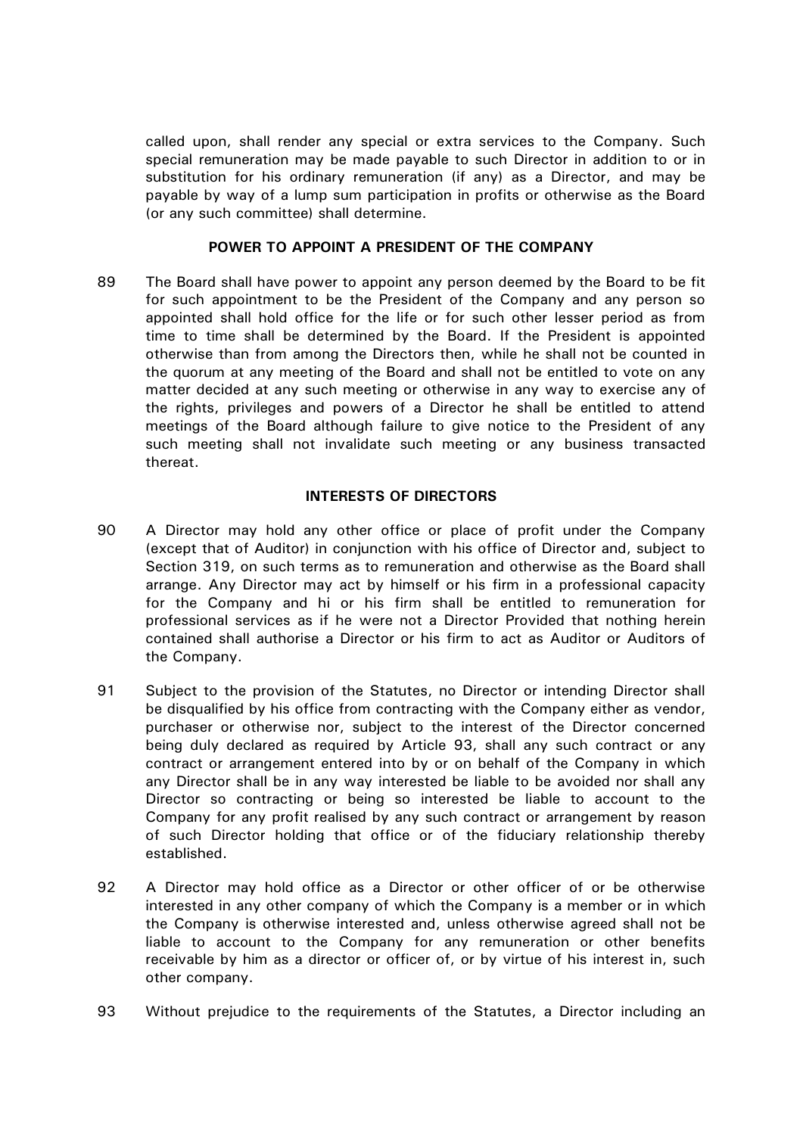called upon, shall render any special or extra services to the Company. Such special remuneration may be made payable to such Director in addition to or in substitution for his ordinary remuneration (if any) as a Director, and may be payable by way of a lump sum participation in profits or otherwise as the Board (or any such committee) shall determine.

# **POWER TO APPOINT A PRESIDENT OF THE COMPANY**

89 The Board shall have power to appoint any person deemed by the Board to be fit for such appointment to be the President of the Company and any person so appointed shall hold office for the life or for such other lesser period as from time to time shall be determined by the Board. If the President is appointed otherwise than from among the Directors then, while he shall not be counted in the quorum at any meeting of the Board and shall not be entitled to vote on any matter decided at any such meeting or otherwise in any way to exercise any of the rights, privileges and powers of a Director he shall be entitled to attend meetings of the Board although failure to give notice to the President of any such meeting shall not invalidate such meeting or any business transacted thereat.

# **INTERESTS OF DIRECTORS**

- 90 A Director may hold any other office or place of profit under the Company (except that of Auditor) in conjunction with his office of Director and, subject to Section 319, on such terms as to remuneration and otherwise as the Board shall arrange. Any Director may act by himself or his firm in a professional capacity for the Company and hi or his firm shall be entitled to remuneration for professional services as if he were not a Director Provided that nothing herein contained shall authorise a Director or his firm to act as Auditor or Auditors of the Company.
- 91 Subject to the provision of the Statutes, no Director or intending Director shall be disqualified by his office from contracting with the Company either as vendor, purchaser or otherwise nor, subject to the interest of the Director concerned being duly declared as required by Article [93,](#page-26-0) shall any such contract or any contract or arrangement entered into by or on behalf of the Company in which any Director shall be in any way interested be liable to be avoided nor shall any Director so contracting or being so interested be liable to account to the Company for any profit realised by any such contract or arrangement by reason of such Director holding that office or of the fiduciary relationship thereby established.
- 92 A Director may hold office as a Director or other officer of or be otherwise interested in any other company of which the Company is a member or in which the Company is otherwise interested and, unless otherwise agreed shall not be liable to account to the Company for any remuneration or other benefits receivable by him as a director or officer of, or by virtue of his interest in, such other company.
- <span id="page-26-0"></span>93 Without prejudice to the requirements of the Statutes, a Director including an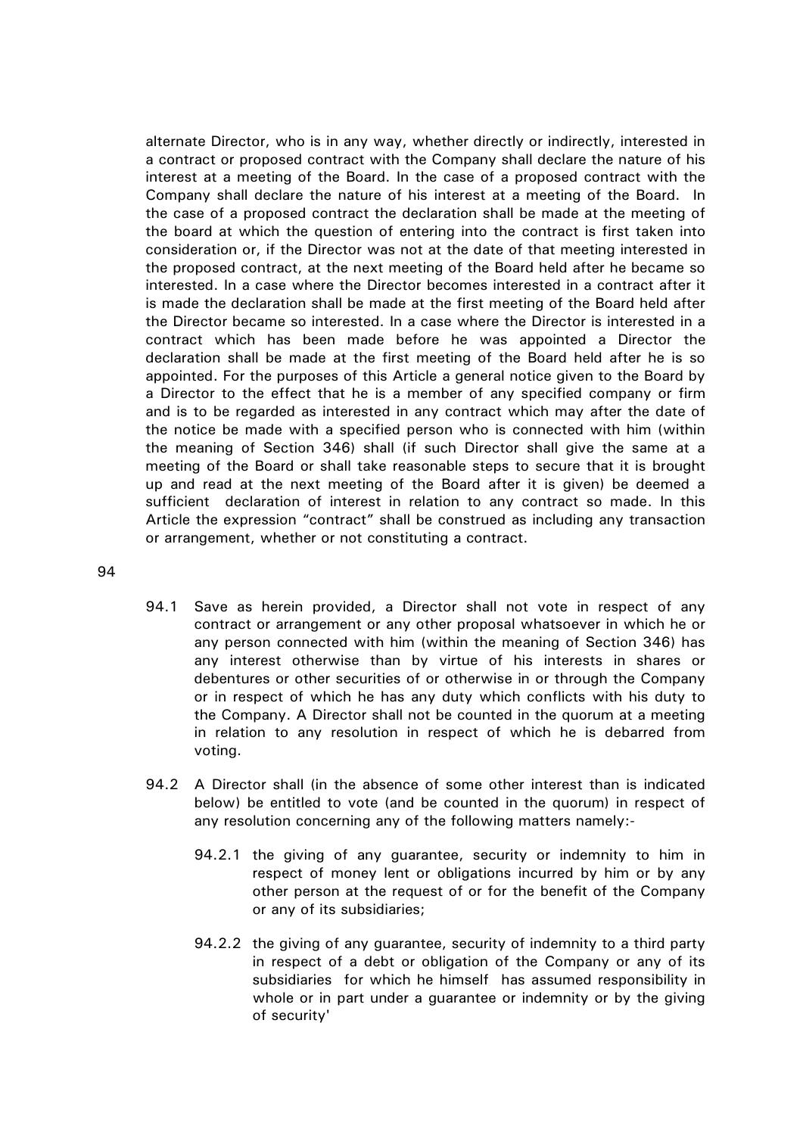alternate Director, who is in any way, whether directly or indirectly, interested in a contract or proposed contract with the Company shall declare the nature of his interest at a meeting of the Board. In the case of a proposed contract with the Company shall declare the nature of his interest at a meeting of the Board. In the case of a proposed contract the declaration shall be made at the meeting of the board at which the question of entering into the contract is first taken into consideration or, if the Director was not at the date of that meeting interested in the proposed contract, at the next meeting of the Board held after he became so interested. In a case where the Director becomes interested in a contract after it is made the declaration shall be made at the first meeting of the Board held after the Director became so interested. In a case where the Director is interested in a contract which has been made before he was appointed a Director the declaration shall be made at the first meeting of the Board held after he is so appointed. For the purposes of this Article a general notice given to the Board by a Director to the effect that he is a member of any specified company or firm and is to be regarded as interested in any contract which may after the date of the notice be made with a specified person who is connected with him (within the meaning of Section 346) shall (if such Director shall give the same at a meeting of the Board or shall take reasonable steps to secure that it is brought up and read at the next meeting of the Board after it is given) be deemed a sufficient declaration of interest in relation to any contract so made. In this Article the expression "contract" shall be construed as including any transaction or arrangement, whether or not constituting a contract.

- <span id="page-27-0"></span>94.1 Save as herein provided, a Director shall not vote in respect of any contract or arrangement or any other proposal whatsoever in which he or any person connected with him (within the meaning of Section 346) has any interest otherwise than by virtue of his interests in shares or debentures or other securities of or otherwise in or through the Company or in respect of which he has any duty which conflicts with his duty to the Company. A Director shall not be counted in the quorum at a meeting in relation to any resolution in respect of which he is debarred from voting.
- 94.2 A Director shall (in the absence of some other interest than is indicated below) be entitled to vote (and be counted in the quorum) in respect of any resolution concerning any of the following matters namely:-
	- 94.2.1 the giving of any guarantee, security or indemnity to him in respect of money lent or obligations incurred by him or by any other person at the request of or for the benefit of the Company or any of its subsidiaries;
	- 94.2.2 the giving of any guarantee, security of indemnity to a third party in respect of a debt or obligation of the Company or any of its subsidiaries for which he himself has assumed responsibility in whole or in part under a guarantee or indemnity or by the giving of security'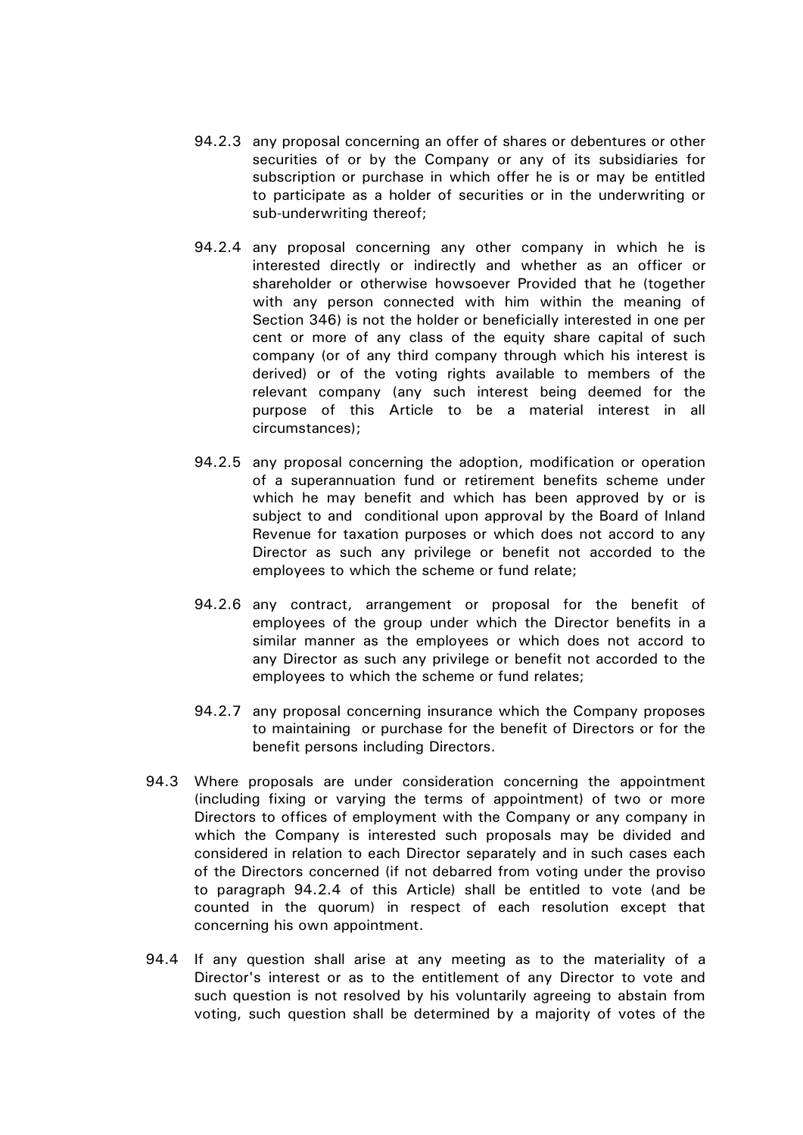- 94.2.3 any proposal concerning an offer of shares or debentures or other securities of or by the Company or any of its subsidiaries for subscription or purchase in which offer he is or may be entitled to participate as a holder of securities or in the underwriting or sub-underwriting thereof;
- <span id="page-28-0"></span>94.2.4 any proposal concerning any other company in which he is interested directly or indirectly and whether as an officer or shareholder or otherwise howsoever Provided that he (together with any person connected with him within the meaning of Section 346) is not the holder or beneficially interested in one per cent or more of any class of the equity share capital of such company (or of any third company through which his interest is derived) or of the voting rights available to members of the relevant company (any such interest being deemed for the purpose of this Article to be a material interest in all circumstances);
- 94.2.5 any proposal concerning the adoption, modification or operation of a superannuation fund or retirement benefits scheme under which he may benefit and which has been approved by or is subject to and conditional upon approval by the Board of Inland Revenue for taxation purposes or which does not accord to any Director as such any privilege or benefit not accorded to the employees to which the scheme or fund relate;
- 94.2.6 any contract, arrangement or proposal for the benefit of employees of the group under which the Director benefits in a similar manner as the employees or which does not accord to any Director as such any privilege or benefit not accorded to the employees to which the scheme or fund relates;
- 94.2.7 any proposal concerning insurance which the Company proposes to maintaining or purchase for the benefit of Directors or for the benefit persons including Directors.
- 94.3 Where proposals are under consideration concerning the appointment (including fixing or varying the terms of appointment) of two or more Directors to offices of employment with the Company or any company in which the Company is interested such proposals may be divided and considered in relation to each Director separately and in such cases each of the Directors concerned (if not debarred from voting under the proviso to paragraph [94.2.4](#page-28-0) of this Article) shall be entitled to vote (and be counted in the quorum) in respect of each resolution except that concerning his own appointment.
- 94.4 If any question shall arise at any meeting as to the materiality of a Director's interest or as to the entitlement of any Director to vote and such question is not resolved by his voluntarily agreeing to abstain from voting, such question shall be determined by a majority of votes of the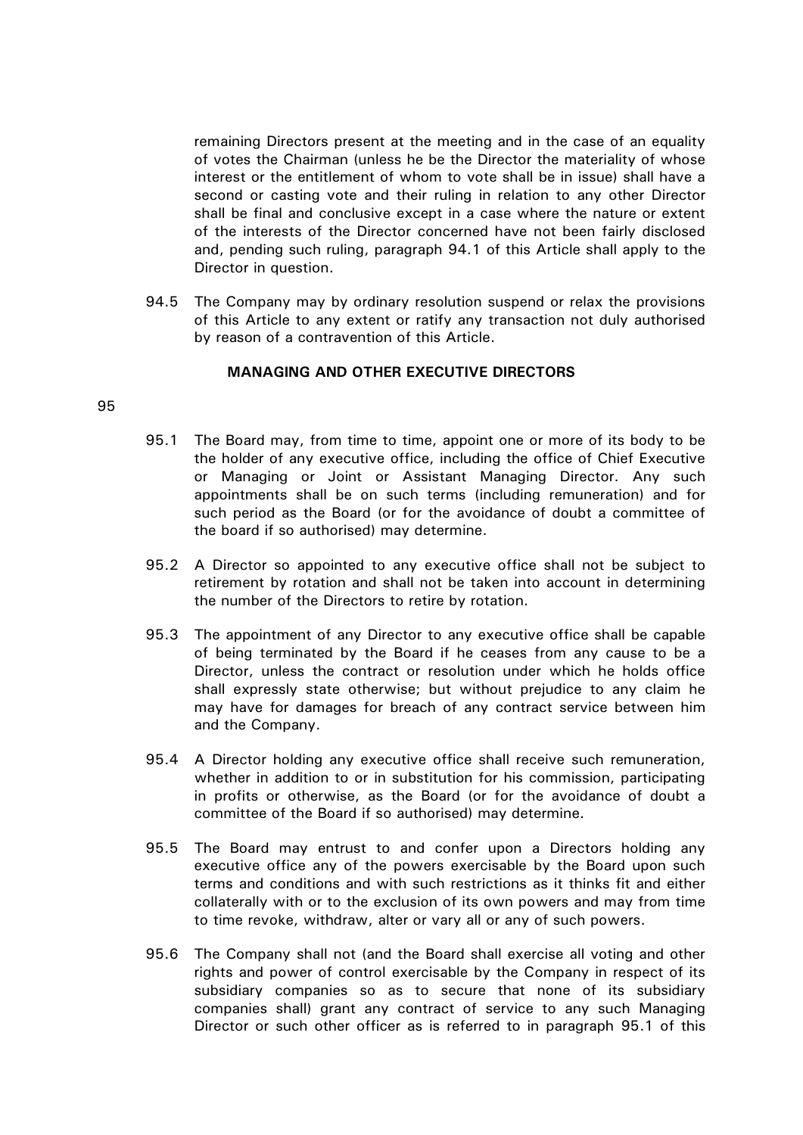remaining Directors present at the meeting and in the case of an equality of votes the Chairman (unless he be the Director the materiality of whose interest or the entitlement of whom to vote shall be in issue) shall have a second or casting vote and their ruling in relation to any other Director shall be final and conclusive except in a case where the nature or extent of the interests of the Director concerned have not been fairly disclosed and, pending such ruling, paragraph [94.1](#page-27-0) of this Article shall apply to the Director in question.

94.5 The Company may by ordinary resolution suspend or relax the provisions of this Article to any extent or ratify any transaction not duly authorised by reason of a contravention of this Article.

# **MANAGING AND OTHER EXECUTIVE DIRECTORS**

- <span id="page-29-0"></span>95.1 The Board may, from time to time, appoint one or more of its body to be the holder of any executive office, including the office of Chief Executive or Managing or Joint or Assistant Managing Director. Any such appointments shall be on such terms (including remuneration) and for such period as the Board (or for the avoidance of doubt a committee of the board if so authorised) may determine.
- <span id="page-29-2"></span>95.2 A Director so appointed to any executive office shall not be subject to retirement by rotation and shall not be taken into account in determining the number of the Directors to retire by rotation.
- 95.3 The appointment of any Director to any executive office shall be capable of being terminated by the Board if he ceases from any cause to be a Director, unless the contract or resolution under which he holds office shall expressly state otherwise; but without prejudice to any claim he may have for damages for breach of any contract service between him and the Company.
- <span id="page-29-1"></span>95.4 A Director holding any executive office shall receive such remuneration, whether in addition to or in substitution for his commission, participating in profits or otherwise, as the Board (or for the avoidance of doubt a committee of the Board if so authorised) may determine.
- 95.5 The Board may entrust to and confer upon a Directors holding any executive office any of the powers exercisable by the Board upon such terms and conditions and with such restrictions as it thinks fit and either collaterally with or to the exclusion of its own powers and may from time to time revoke, withdraw, alter or vary all or any of such powers.
- 95.6 The Company shall not (and the Board shall exercise all voting and other rights and power of control exercisable by the Company in respect of its subsidiary companies so as to secure that none of its subsidiary companies shall) grant any contract of service to any such Managing Director or such other officer as is referred to in paragraph [95.1](#page-29-0) of this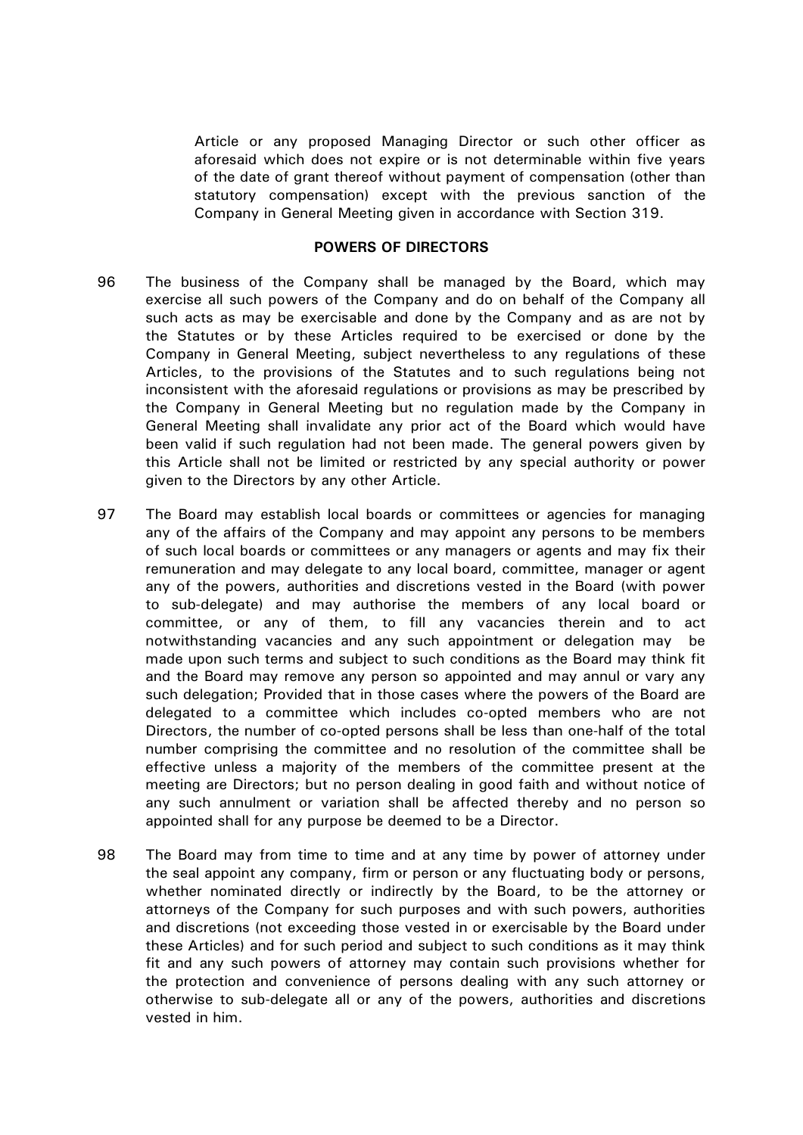Article or any proposed Managing Director or such other officer as aforesaid which does not expire or is not determinable within five years of the date of grant thereof without payment of compensation (other than statutory compensation) except with the previous sanction of the Company in General Meeting given in accordance with Section 319.

#### **POWERS OF DIRECTORS**

- 96 The business of the Company shall be managed by the Board, which may exercise all such powers of the Company and do on behalf of the Company all such acts as may be exercisable and done by the Company and as are not by the Statutes or by these Articles required to be exercised or done by the Company in General Meeting, subject nevertheless to any regulations of these Articles, to the provisions of the Statutes and to such regulations being not inconsistent with the aforesaid regulations or provisions as may be prescribed by the Company in General Meeting but no regulation made by the Company in General Meeting shall invalidate any prior act of the Board which would have been valid if such regulation had not been made. The general powers given by this Article shall not be limited or restricted by any special authority or power given to the Directors by any other Article.
- 97 The Board may establish local boards or committees or agencies for managing any of the affairs of the Company and may appoint any persons to be members of such local boards or committees or any managers or agents and may fix their remuneration and may delegate to any local board, committee, manager or agent any of the powers, authorities and discretions vested in the Board (with power to sub-delegate) and may authorise the members of any local board or committee, or any of them, to fill any vacancies therein and to act notwithstanding vacancies and any such appointment or delegation may be made upon such terms and subject to such conditions as the Board may think fit and the Board may remove any person so appointed and may annul or vary any such delegation; Provided that in those cases where the powers of the Board are delegated to a committee which includes co-opted members who are not Directors, the number of co-opted persons shall be less than one-half of the total number comprising the committee and no resolution of the committee shall be effective unless a majority of the members of the committee present at the meeting are Directors; but no person dealing in good faith and without notice of any such annulment or variation shall be affected thereby and no person so appointed shall for any purpose be deemed to be a Director.
- 98 The Board may from time to time and at any time by power of attorney under the seal appoint any company, firm or person or any fluctuating body or persons, whether nominated directly or indirectly by the Board, to be the attorney or attorneys of the Company for such purposes and with such powers, authorities and discretions (not exceeding those vested in or exercisable by the Board under these Articles) and for such period and subject to such conditions as it may think fit and any such powers of attorney may contain such provisions whether for the protection and convenience of persons dealing with any such attorney or otherwise to sub-delegate all or any of the powers, authorities and discretions vested in him.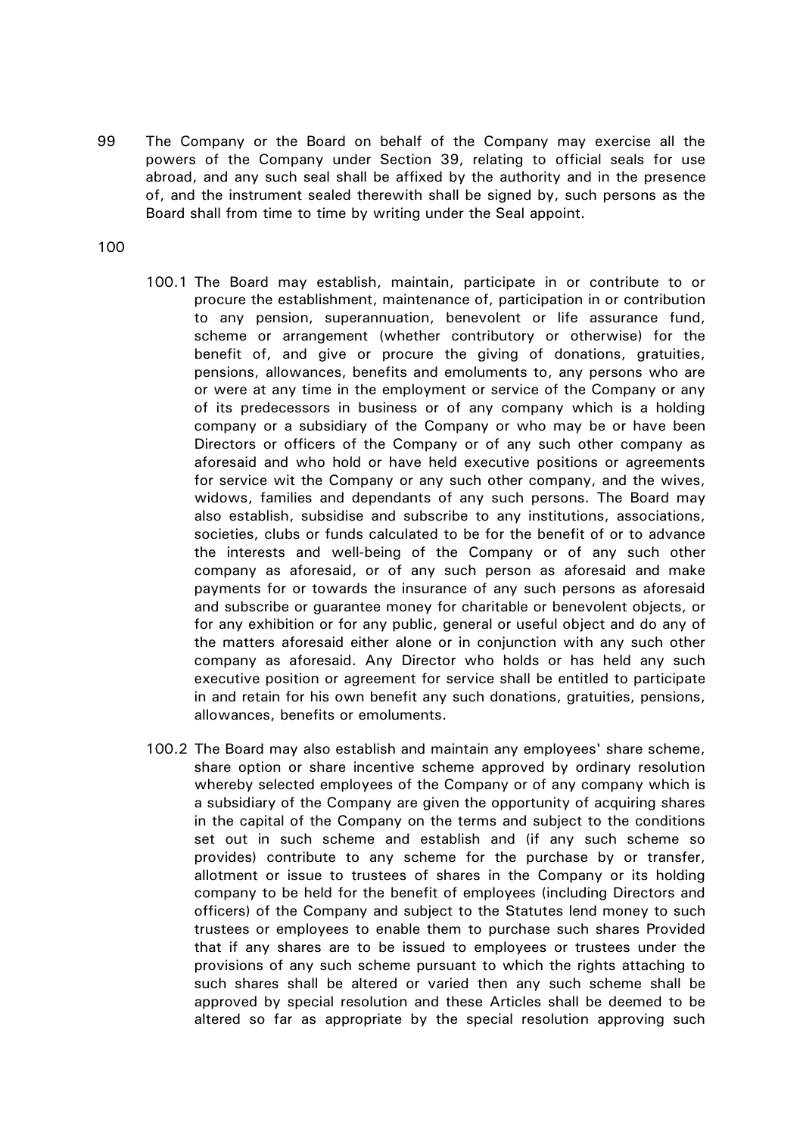- 99 The Company or the Board on behalf of the Company may exercise all the powers of the Company under Section 39, relating to official seals for use abroad, and any such seal shall be affixed by the authority and in the presence of, and the instrument sealed therewith shall be signed by, such persons as the Board shall from time to time by writing under the Seal appoint.
- 100
- 100.1 The Board may establish, maintain, participate in or contribute to or procure the establishment, maintenance of, participation in or contribution to any pension, superannuation, benevolent or life assurance fund, scheme or arrangement (whether contributory or otherwise) for the benefit of, and give or procure the giving of donations, gratuities, pensions, allowances, benefits and emoluments to, any persons who are or were at any time in the employment or service of the Company or any of its predecessors in business or of any company which is a holding company or a subsidiary of the Company or who may be or have been Directors or officers of the Company or of any such other company as aforesaid and who hold or have held executive positions or agreements for service wit the Company or any such other company, and the wives, widows, families and dependants of any such persons. The Board may also establish, subsidise and subscribe to any institutions, associations, societies, clubs or funds calculated to be for the benefit of or to advance the interests and well-being of the Company or of any such other company as aforesaid, or of any such person as aforesaid and make payments for or towards the insurance of any such persons as aforesaid and subscribe or guarantee money for charitable or benevolent objects, or for any exhibition or for any public, general or useful object and do any of the matters aforesaid either alone or in conjunction with any such other company as aforesaid. Any Director who holds or has held any such executive position or agreement for service shall be entitled to participate in and retain for his own benefit any such donations, gratuities, pensions, allowances, benefits or emoluments.
- 100.2 The Board may also establish and maintain any employees' share scheme, share option or share incentive scheme approved by ordinary resolution whereby selected employees of the Company or of any company which is a subsidiary of the Company are given the opportunity of acquiring shares in the capital of the Company on the terms and subject to the conditions set out in such scheme and establish and (if any such scheme so provides) contribute to any scheme for the purchase by or transfer, allotment or issue to trustees of shares in the Company or its holding company to be held for the benefit of employees (including Directors and officers) of the Company and subject to the Statutes lend money to such trustees or employees to enable them to purchase such shares Provided that if any shares are to be issued to employees or trustees under the provisions of any such scheme pursuant to which the rights attaching to such shares shall be altered or varied then any such scheme shall be approved by special resolution and these Articles shall be deemed to be altered so far as appropriate by the special resolution approving such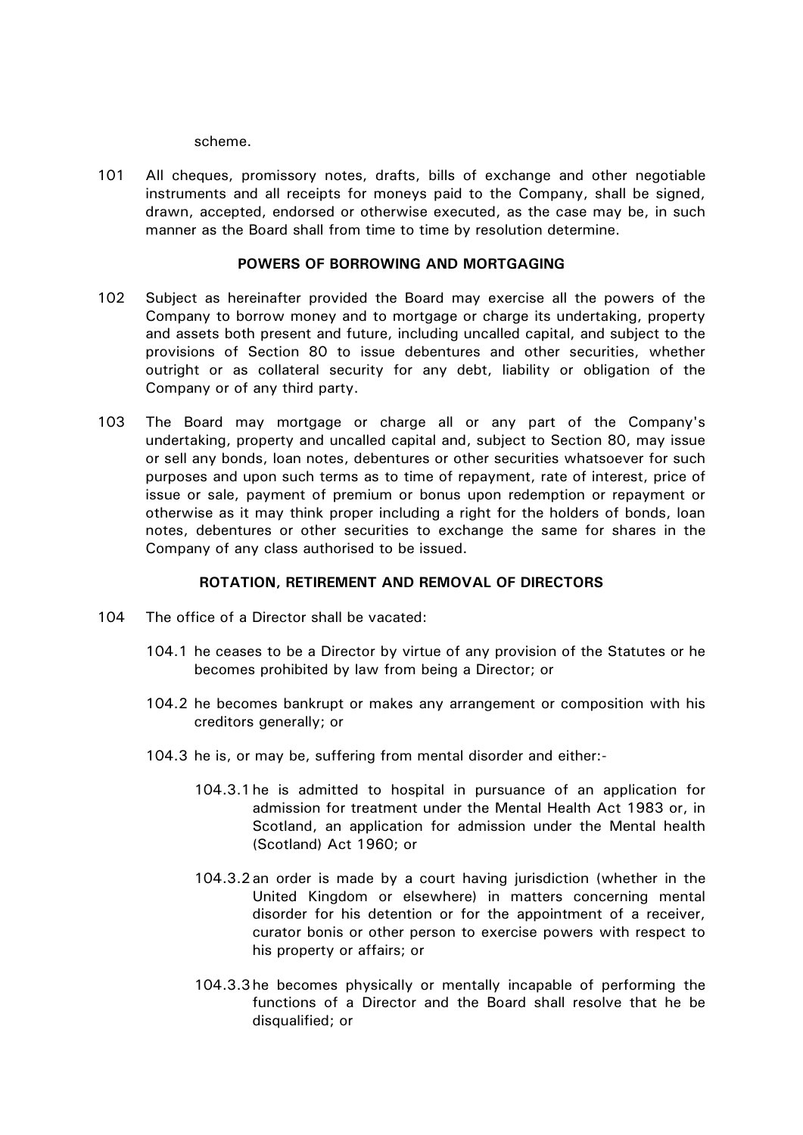scheme.

101 All cheques, promissory notes, drafts, bills of exchange and other negotiable instruments and all receipts for moneys paid to the Company, shall be signed, drawn, accepted, endorsed or otherwise executed, as the case may be, in such manner as the Board shall from time to time by resolution determine.

## **POWERS OF BORROWING AND MORTGAGING**

- 102 Subject as hereinafter provided the Board may exercise all the powers of the Company to borrow money and to mortgage or charge its undertaking, property and assets both present and future, including uncalled capital, and subject to the provisions of Section 80 to issue debentures and other securities, whether outright or as collateral security for any debt, liability or obligation of the Company or of any third party.
- 103 The Board may mortgage or charge all or any part of the Company's undertaking, property and uncalled capital and, subject to Section 80, may issue or sell any bonds, loan notes, debentures or other securities whatsoever for such purposes and upon such terms as to time of repayment, rate of interest, price of issue or sale, payment of premium or bonus upon redemption or repayment or otherwise as it may think proper including a right for the holders of bonds, loan notes, debentures or other securities to exchange the same for shares in the Company of any class authorised to be issued.

# **ROTATION, RETIREMENT AND REMOVAL OF DIRECTORS**

- <span id="page-32-0"></span>104 The office of a Director shall be vacated:
	- 104.1 he ceases to be a Director by virtue of any provision of the Statutes or he becomes prohibited by law from being a Director; or
	- 104.2 he becomes bankrupt or makes any arrangement or composition with his creditors generally; or
	- 104.3 he is, or may be, suffering from mental disorder and either:-
		- 104.3.1he is admitted to hospital in pursuance of an application for admission for treatment under the Mental Health Act 1983 or, in Scotland, an application for admission under the Mental health (Scotland) Act 1960; or
		- 104.3.2an order is made by a court having jurisdiction (whether in the United Kingdom or elsewhere) in matters concerning mental disorder for his detention or for the appointment of a receiver, curator bonis or other person to exercise powers with respect to his property or affairs; or
		- 104.3.3he becomes physically or mentally incapable of performing the functions of a Director and the Board shall resolve that he be disqualified; or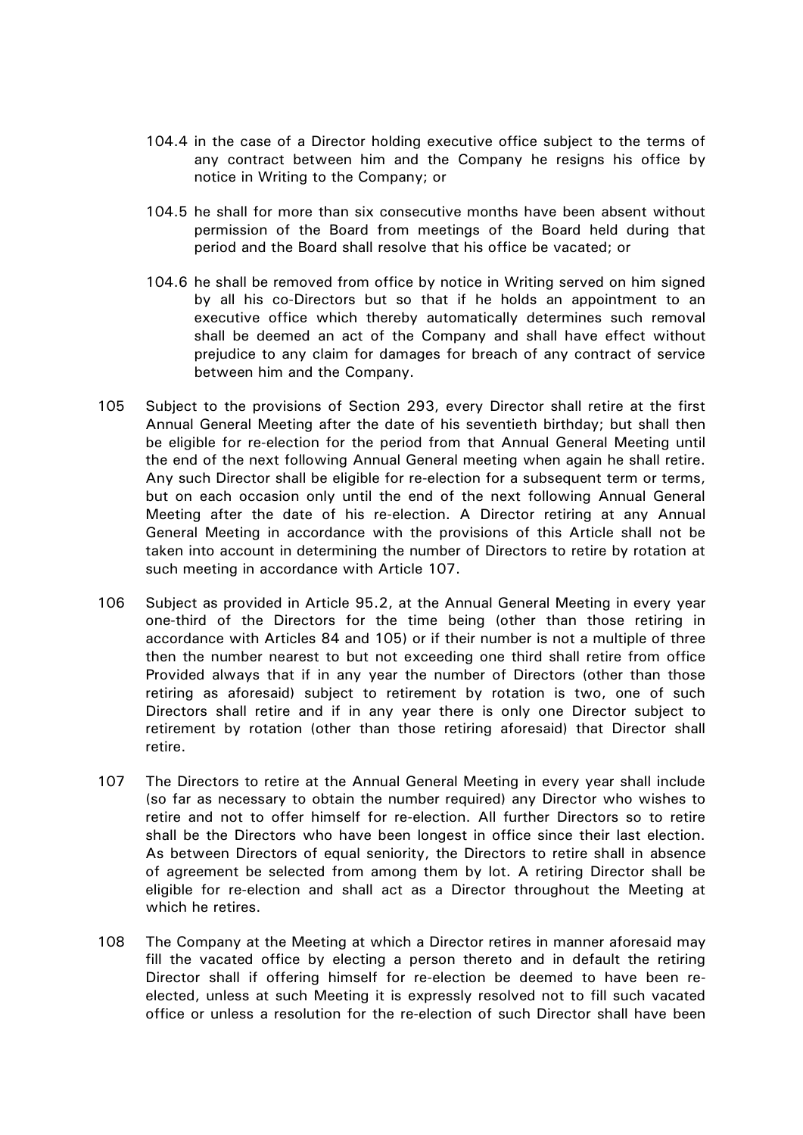- 104.4 in the case of a Director holding executive office subject to the terms of any contract between him and the Company he resigns his office by notice in Writing to the Company; or
- 104.5 he shall for more than six consecutive months have been absent without permission of the Board from meetings of the Board held during that period and the Board shall resolve that his office be vacated; or
- 104.6 he shall be removed from office by notice in Writing served on him signed by all his co-Directors but so that if he holds an appointment to an executive office which thereby automatically determines such removal shall be deemed an act of the Company and shall have effect without prejudice to any claim for damages for breach of any contract of service between him and the Company.
- <span id="page-33-2"></span>105 Subject to the provisions of Section 293, every Director shall retire at the first Annual General Meeting after the date of his seventieth birthday; but shall then be eligible for re-election for the period from that Annual General Meeting until the end of the next following Annual General meeting when again he shall retire. Any such Director shall be eligible for re-election for a subsequent term or terms, but on each occasion only until the end of the next following Annual General Meeting after the date of his re-election. A Director retiring at any Annual General Meeting in accordance with the provisions of this Article shall not be taken into account in determining the number of Directors to retire by rotation at such meeting in accordance with Article [107.](#page-33-1)
- <span id="page-33-0"></span>106 Subject as provided in Article [95.2,](#page-29-2) at the Annual General Meeting in every year one-third of the Directors for the time being (other than those retiring in accordance with Articles [84](#page-25-0) and [105\)](#page-33-2) or if their number is not a multiple of three then the number nearest to but not exceeding one third shall retire from office Provided always that if in any year the number of Directors (other than those retiring as aforesaid) subject to retirement by rotation is two, one of such Directors shall retire and if in any year there is only one Director subject to retirement by rotation (other than those retiring aforesaid) that Director shall retire.
- <span id="page-33-1"></span>107 The Directors to retire at the Annual General Meeting in every year shall include (so far as necessary to obtain the number required) any Director who wishes to retire and not to offer himself for re-election. All further Directors so to retire shall be the Directors who have been longest in office since their last election. As between Directors of equal seniority, the Directors to retire shall in absence of agreement be selected from among them by lot. A retiring Director shall be eligible for re-election and shall act as a Director throughout the Meeting at which he retires.
- 108 The Company at the Meeting at which a Director retires in manner aforesaid may fill the vacated office by electing a person thereto and in default the retiring Director shall if offering himself for re-election be deemed to have been reelected, unless at such Meeting it is expressly resolved not to fill such vacated office or unless a resolution for the re-election of such Director shall have been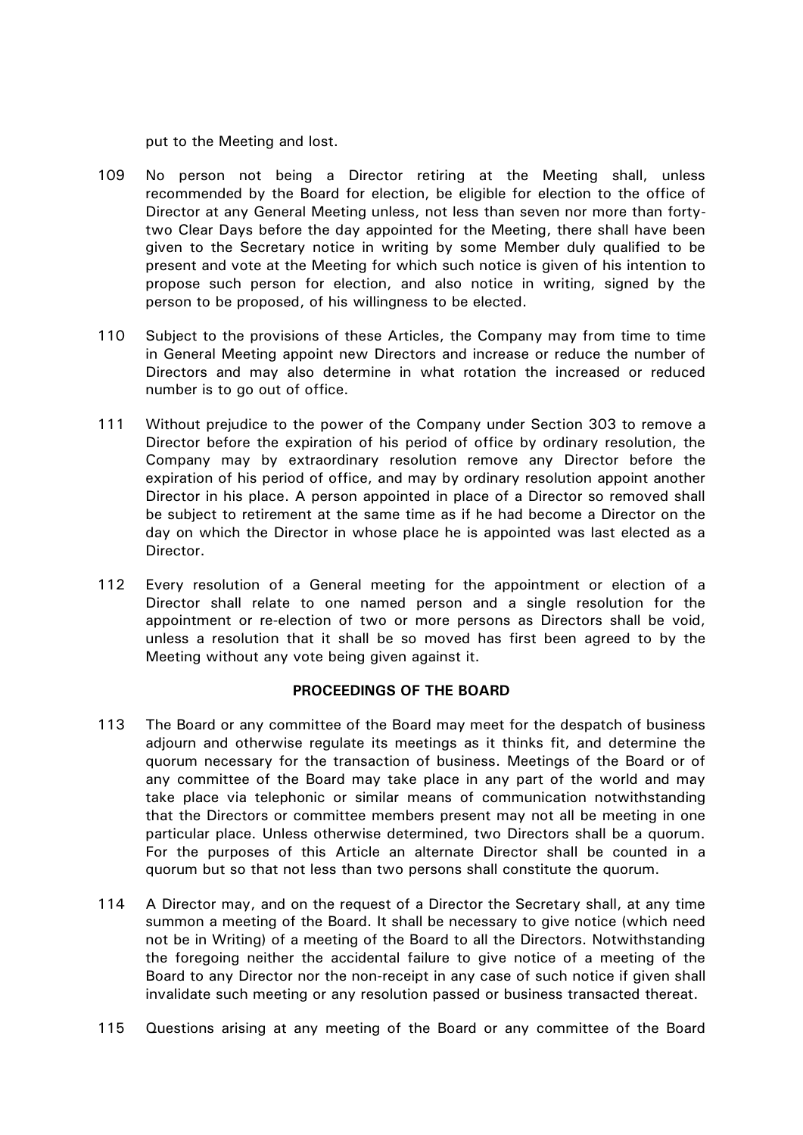put to the Meeting and lost.

- 109 No person not being a Director retiring at the Meeting shall, unless recommended by the Board for election, be eligible for election to the office of Director at any General Meeting unless, not less than seven nor more than fortytwo Clear Days before the day appointed for the Meeting, there shall have been given to the Secretary notice in writing by some Member duly qualified to be present and vote at the Meeting for which such notice is given of his intention to propose such person for election, and also notice in writing, signed by the person to be proposed, of his willingness to be elected.
- 110 Subject to the provisions of these Articles, the Company may from time to time in General Meeting appoint new Directors and increase or reduce the number of Directors and may also determine in what rotation the increased or reduced number is to go out of office.
- 111 Without prejudice to the power of the Company under Section 303 to remove a Director before the expiration of his period of office by ordinary resolution, the Company may by extraordinary resolution remove any Director before the expiration of his period of office, and may by ordinary resolution appoint another Director in his place. A person appointed in place of a Director so removed shall be subject to retirement at the same time as if he had become a Director on the day on which the Director in whose place he is appointed was last elected as a Director.
- 112 Every resolution of a General meeting for the appointment or election of a Director shall relate to one named person and a single resolution for the appointment or re-election of two or more persons as Directors shall be void, unless a resolution that it shall be so moved has first been agreed to by the Meeting without any vote being given against it.

## **PROCEEDINGS OF THE BOARD**

- 113 The Board or any committee of the Board may meet for the despatch of business adjourn and otherwise regulate its meetings as it thinks fit, and determine the quorum necessary for the transaction of business. Meetings of the Board or of any committee of the Board may take place in any part of the world and may take place via telephonic or similar means of communication notwithstanding that the Directors or committee members present may not all be meeting in one particular place. Unless otherwise determined, two Directors shall be a quorum. For the purposes of this Article an alternate Director shall be counted in a quorum but so that not less than two persons shall constitute the quorum.
- 114 A Director may, and on the request of a Director the Secretary shall, at any time summon a meeting of the Board. It shall be necessary to give notice (which need not be in Writing) of a meeting of the Board to all the Directors. Notwithstanding the foregoing neither the accidental failure to give notice of a meeting of the Board to any Director nor the non-receipt in any case of such notice if given shall invalidate such meeting or any resolution passed or business transacted thereat.
- 115 Questions arising at any meeting of the Board or any committee of the Board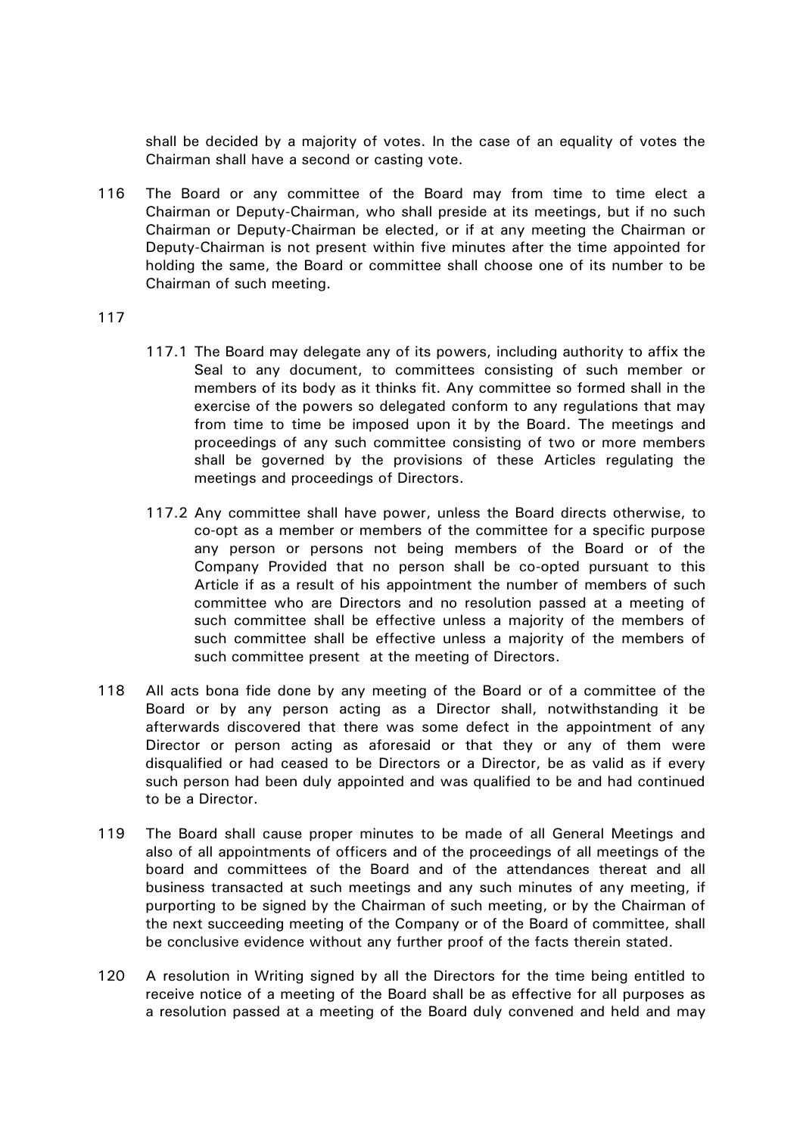shall be decided by a majority of votes. In the case of an equality of votes the Chairman shall have a second or casting vote.

116 The Board or any committee of the Board may from time to time elect a Chairman or Deputy-Chairman, who shall preside at its meetings, but if no such Chairman or Deputy-Chairman be elected, or if at any meeting the Chairman or Deputy-Chairman is not present within five minutes after the time appointed for holding the same, the Board or committee shall choose one of its number to be Chairman of such meeting.

- 117.1 The Board may delegate any of its powers, including authority to affix the Seal to any document, to committees consisting of such member or members of its body as it thinks fit. Any committee so formed shall in the exercise of the powers so delegated conform to any regulations that may from time to time be imposed upon it by the Board. The meetings and proceedings of any such committee consisting of two or more members shall be governed by the provisions of these Articles regulating the meetings and proceedings of Directors.
- 117.2 Any committee shall have power, unless the Board directs otherwise, to co-opt as a member or members of the committee for a specific purpose any person or persons not being members of the Board or of the Company Provided that no person shall be co-opted pursuant to this Article if as a result of his appointment the number of members of such committee who are Directors and no resolution passed at a meeting of such committee shall be effective unless a majority of the members of such committee shall be effective unless a majority of the members of such committee present at the meeting of Directors.
- 118 All acts bona fide done by any meeting of the Board or of a committee of the Board or by any person acting as a Director shall, notwithstanding it be afterwards discovered that there was some defect in the appointment of any Director or person acting as aforesaid or that they or any of them were disqualified or had ceased to be Directors or a Director, be as valid as if every such person had been duly appointed and was qualified to be and had continued to be a Director.
- 119 The Board shall cause proper minutes to be made of all General Meetings and also of all appointments of officers and of the proceedings of all meetings of the board and committees of the Board and of the attendances thereat and all business transacted at such meetings and any such minutes of any meeting, if purporting to be signed by the Chairman of such meeting, or by the Chairman of the next succeeding meeting of the Company or of the Board of committee, shall be conclusive evidence without any further proof of the facts therein stated.
- 120 A resolution in Writing signed by all the Directors for the time being entitled to receive notice of a meeting of the Board shall be as effective for all purposes as a resolution passed at a meeting of the Board duly convened and held and may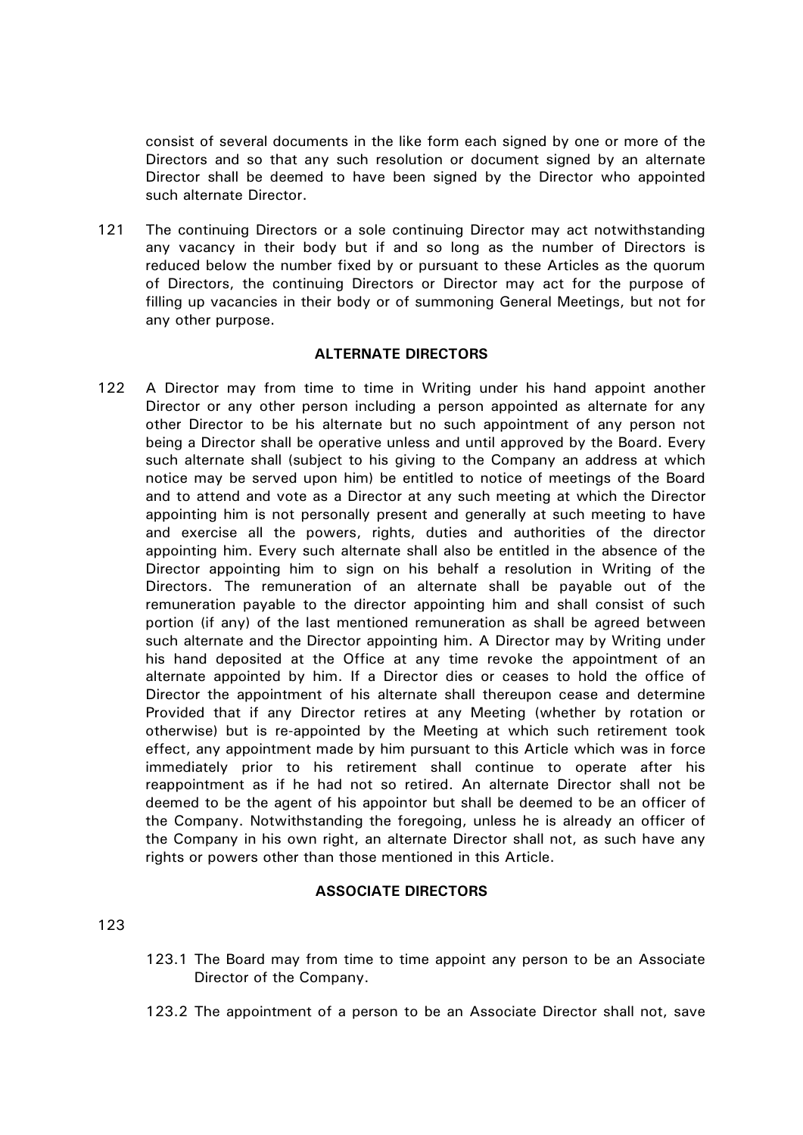consist of several documents in the like form each signed by one or more of the Directors and so that any such resolution or document signed by an alternate Director shall be deemed to have been signed by the Director who appointed such alternate Director.

121 The continuing Directors or a sole continuing Director may act notwithstanding any vacancy in their body but if and so long as the number of Directors is reduced below the number fixed by or pursuant to these Articles as the quorum of Directors, the continuing Directors or Director may act for the purpose of filling up vacancies in their body or of summoning General Meetings, but not for any other purpose.

# **ALTERNATE DIRECTORS**

122 A Director may from time to time in Writing under his hand appoint another Director or any other person including a person appointed as alternate for any other Director to be his alternate but no such appointment of any person not being a Director shall be operative unless and until approved by the Board. Every such alternate shall (subject to his giving to the Company an address at which notice may be served upon him) be entitled to notice of meetings of the Board and to attend and vote as a Director at any such meeting at which the Director appointing him is not personally present and generally at such meeting to have and exercise all the powers, rights, duties and authorities of the director appointing him. Every such alternate shall also be entitled in the absence of the Director appointing him to sign on his behalf a resolution in Writing of the Directors. The remuneration of an alternate shall be payable out of the remuneration payable to the director appointing him and shall consist of such portion (if any) of the last mentioned remuneration as shall be agreed between such alternate and the Director appointing him. A Director may by Writing under his hand deposited at the Office at any time revoke the appointment of an alternate appointed by him. If a Director dies or ceases to hold the office of Director the appointment of his alternate shall thereupon cease and determine Provided that if any Director retires at any Meeting (whether by rotation or otherwise) but is re-appointed by the Meeting at which such retirement took effect, any appointment made by him pursuant to this Article which was in force immediately prior to his retirement shall continue to operate after his reappointment as if he had not so retired. An alternate Director shall not be deemed to be the agent of his appointor but shall be deemed to be an officer of the Company. Notwithstanding the foregoing, unless he is already an officer of the Company in his own right, an alternate Director shall not, as such have any rights or powers other than those mentioned in this Article.

# **ASSOCIATE DIRECTORS**

- 123.1 The Board may from time to time appoint any person to be an Associate Director of the Company.
- 123.2 The appointment of a person to be an Associate Director shall not, save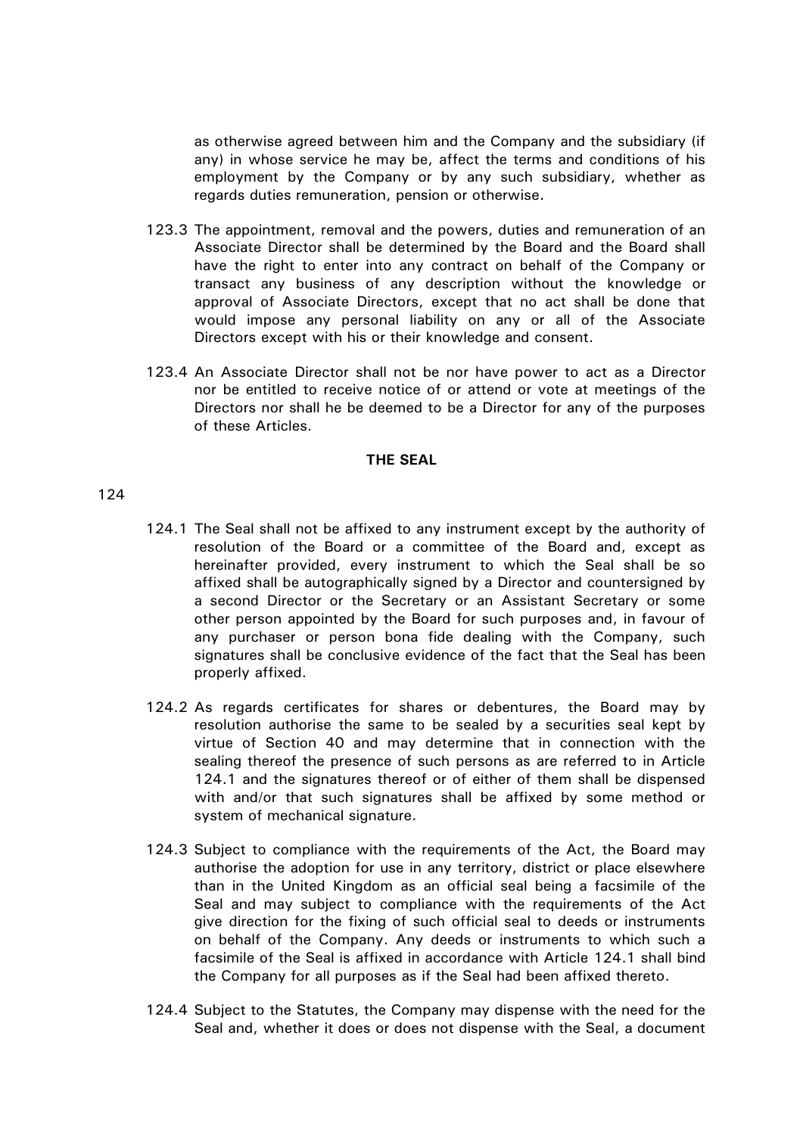as otherwise agreed between him and the Company and the subsidiary (if any) in whose service he may be, affect the terms and conditions of his employment by the Company or by any such subsidiary, whether as regards duties remuneration, pension or otherwise.

- 123.3 The appointment, removal and the powers, duties and remuneration of an Associate Director shall be determined by the Board and the Board shall have the right to enter into any contract on behalf of the Company or transact any business of any description without the knowledge or approval of Associate Directors, except that no act shall be done that would impose any personal liability on any or all of the Associate Directors except with his or their knowledge and consent.
- 123.4 An Associate Director shall not be nor have power to act as a Director nor be entitled to receive notice of or attend or vote at meetings of the Directors nor shall he be deemed to be a Director for any of the purposes of these Articles.

### **THE SEAL**

- <span id="page-37-0"></span>124.1 The Seal shall not be affixed to any instrument except by the authority of resolution of the Board or a committee of the Board and, except as hereinafter provided, every instrument to which the Seal shall be so affixed shall be autographically signed by a Director and countersigned by a second Director or the Secretary or an Assistant Secretary or some other person appointed by the Board for such purposes and, in favour of any purchaser or person bona fide dealing with the Company, such signatures shall be conclusive evidence of the fact that the Seal has been properly affixed.
- 124.2 As regards certificates for shares or debentures, the Board may by resolution authorise the same to be sealed by a securities seal kept by virtue of Section 40 and may determine that in connection with the sealing thereof the presence of such persons as are referred to in Article [124.1](#page-37-0) and the signatures thereof or of either of them shall be dispensed with and/or that such signatures shall be affixed by some method or system of mechanical signature.
- 124.3 Subject to compliance with the requirements of the Act, the Board may authorise the adoption for use in any territory, district or place elsewhere than in the United Kingdom as an official seal being a facsimile of the Seal and may subject to compliance with the requirements of the Act give direction for the fixing of such official seal to deeds or instruments on behalf of the Company. Any deeds or instruments to which such a facsimile of the Seal is affixed in accordance with Article [124.1](#page-37-0) shall bind the Company for all purposes as if the Seal had been affixed thereto.
- 124.4 Subject to the Statutes, the Company may dispense with the need for the Seal and, whether it does or does not dispense with the Seal, a document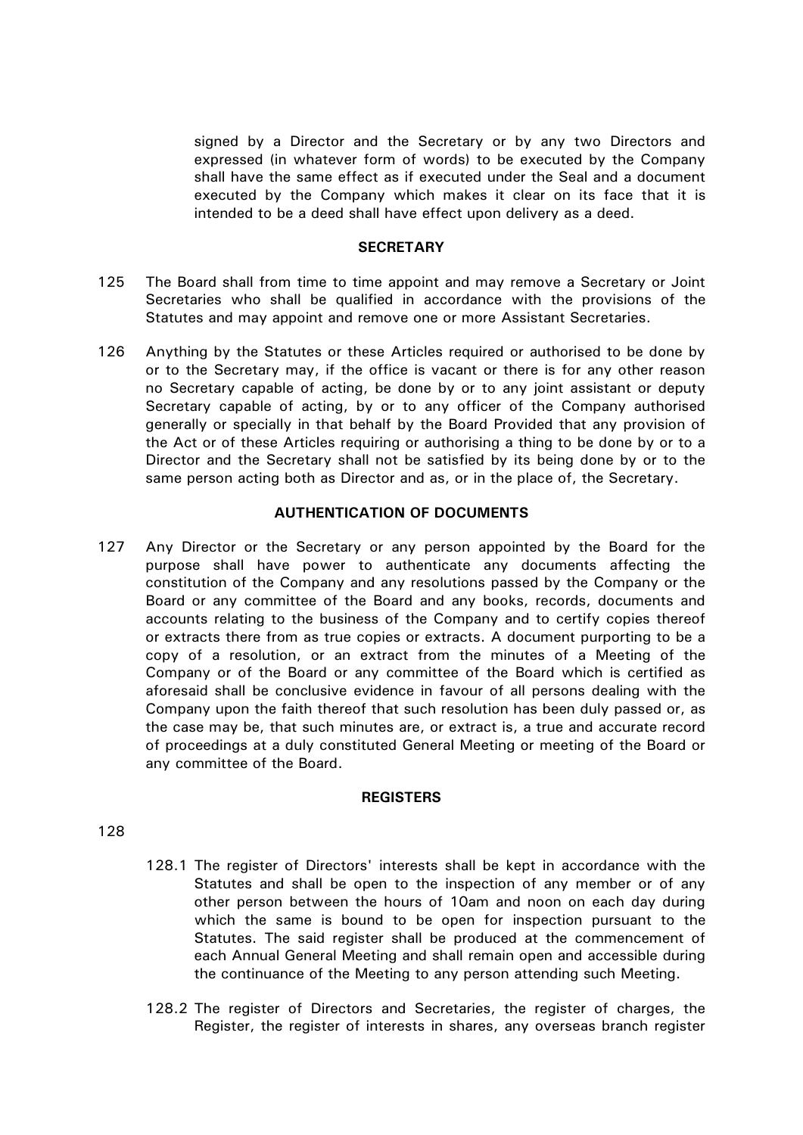signed by a Director and the Secretary or by any two Directors and expressed (in whatever form of words) to be executed by the Company shall have the same effect as if executed under the Seal and a document executed by the Company which makes it clear on its face that it is intended to be a deed shall have effect upon delivery as a deed.

## **SECRETARY**

- 125 The Board shall from time to time appoint and may remove a Secretary or Joint Secretaries who shall be qualified in accordance with the provisions of the Statutes and may appoint and remove one or more Assistant Secretaries.
- 126 Anything by the Statutes or these Articles required or authorised to be done by or to the Secretary may, if the office is vacant or there is for any other reason no Secretary capable of acting, be done by or to any joint assistant or deputy Secretary capable of acting, by or to any officer of the Company authorised generally or specially in that behalf by the Board Provided that any provision of the Act or of these Articles requiring or authorising a thing to be done by or to a Director and the Secretary shall not be satisfied by its being done by or to the same person acting both as Director and as, or in the place of, the Secretary.

# **AUTHENTICATION OF DOCUMENTS**

127 Any Director or the Secretary or any person appointed by the Board for the purpose shall have power to authenticate any documents affecting the constitution of the Company and any resolutions passed by the Company or the Board or any committee of the Board and any books, records, documents and accounts relating to the business of the Company and to certify copies thereof or extracts there from as true copies or extracts. A document purporting to be a copy of a resolution, or an extract from the minutes of a Meeting of the Company or of the Board or any committee of the Board which is certified as aforesaid shall be conclusive evidence in favour of all persons dealing with the Company upon the faith thereof that such resolution has been duly passed or, as the case may be, that such minutes are, or extract is, a true and accurate record of proceedings at a duly constituted General Meeting or meeting of the Board or any committee of the Board.

## **REGISTERS**

- 128.1 The register of Directors' interests shall be kept in accordance with the Statutes and shall be open to the inspection of any member or of any other person between the hours of 10am and noon on each day during which the same is bound to be open for inspection pursuant to the Statutes. The said register shall be produced at the commencement of each Annual General Meeting and shall remain open and accessible during the continuance of the Meeting to any person attending such Meeting.
- 128.2 The register of Directors and Secretaries, the register of charges, the Register, the register of interests in shares, any overseas branch register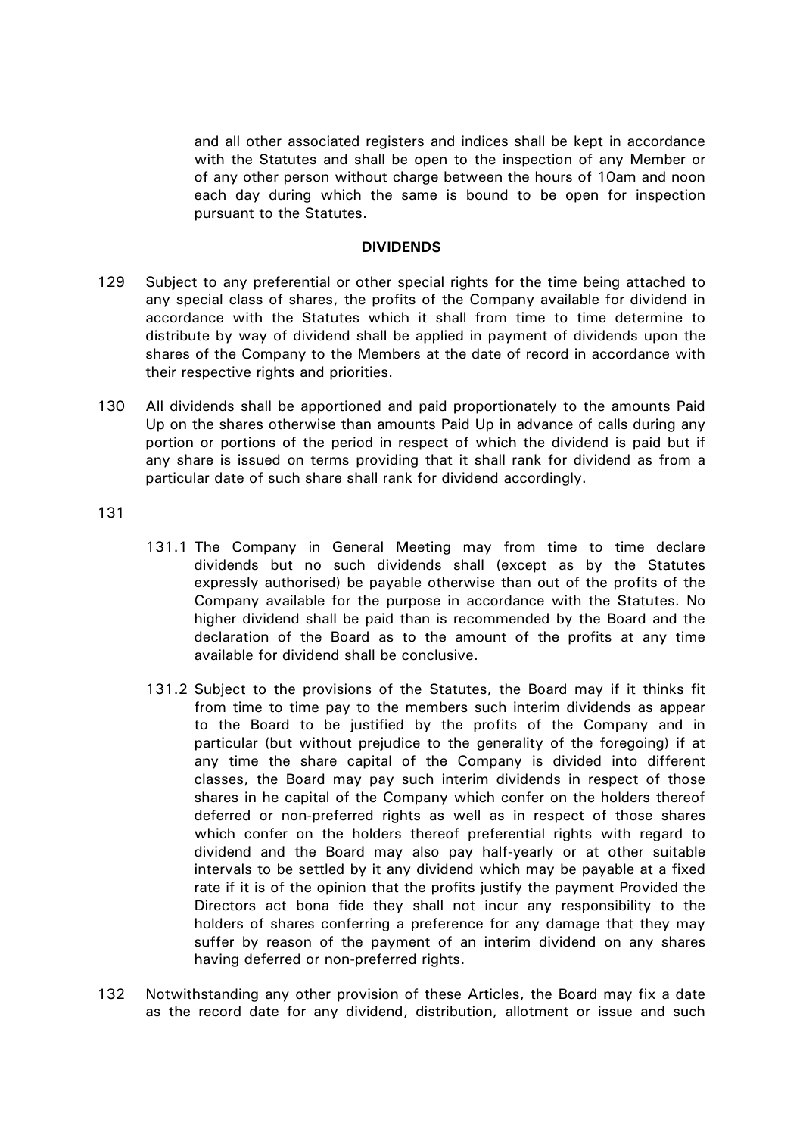and all other associated registers and indices shall be kept in accordance with the Statutes and shall be open to the inspection of any Member or of any other person without charge between the hours of 10am and noon each day during which the same is bound to be open for inspection pursuant to the Statutes.

## **DIVIDENDS**

- 129 Subject to any preferential or other special rights for the time being attached to any special class of shares, the profits of the Company available for dividend in accordance with the Statutes which it shall from time to time determine to distribute by way of dividend shall be applied in payment of dividends upon the shares of the Company to the Members at the date of record in accordance with their respective rights and priorities.
- 130 All dividends shall be apportioned and paid proportionately to the amounts Paid Up on the shares otherwise than amounts Paid Up in advance of calls during any portion or portions of the period in respect of which the dividend is paid but if any share is issued on terms providing that it shall rank for dividend as from a particular date of such share shall rank for dividend accordingly.

- 131.1 The Company in General Meeting may from time to time declare dividends but no such dividends shall (except as by the Statutes expressly authorised) be payable otherwise than out of the profits of the Company available for the purpose in accordance with the Statutes. No higher dividend shall be paid than is recommended by the Board and the declaration of the Board as to the amount of the profits at any time available for dividend shall be conclusive.
- 131.2 Subject to the provisions of the Statutes, the Board may if it thinks fit from time to time pay to the members such interim dividends as appear to the Board to be justified by the profits of the Company and in particular (but without prejudice to the generality of the foregoing) if at any time the share capital of the Company is divided into different classes, the Board may pay such interim dividends in respect of those shares in he capital of the Company which confer on the holders thereof deferred or non-preferred rights as well as in respect of those shares which confer on the holders thereof preferential rights with regard to dividend and the Board may also pay half-yearly or at other suitable intervals to be settled by it any dividend which may be payable at a fixed rate if it is of the opinion that the profits justify the payment Provided the Directors act bona fide they shall not incur any responsibility to the holders of shares conferring a preference for any damage that they may suffer by reason of the payment of an interim dividend on any shares having deferred or non-preferred rights.
- 132 Notwithstanding any other provision of these Articles, the Board may fix a date as the record date for any dividend, distribution, allotment or issue and such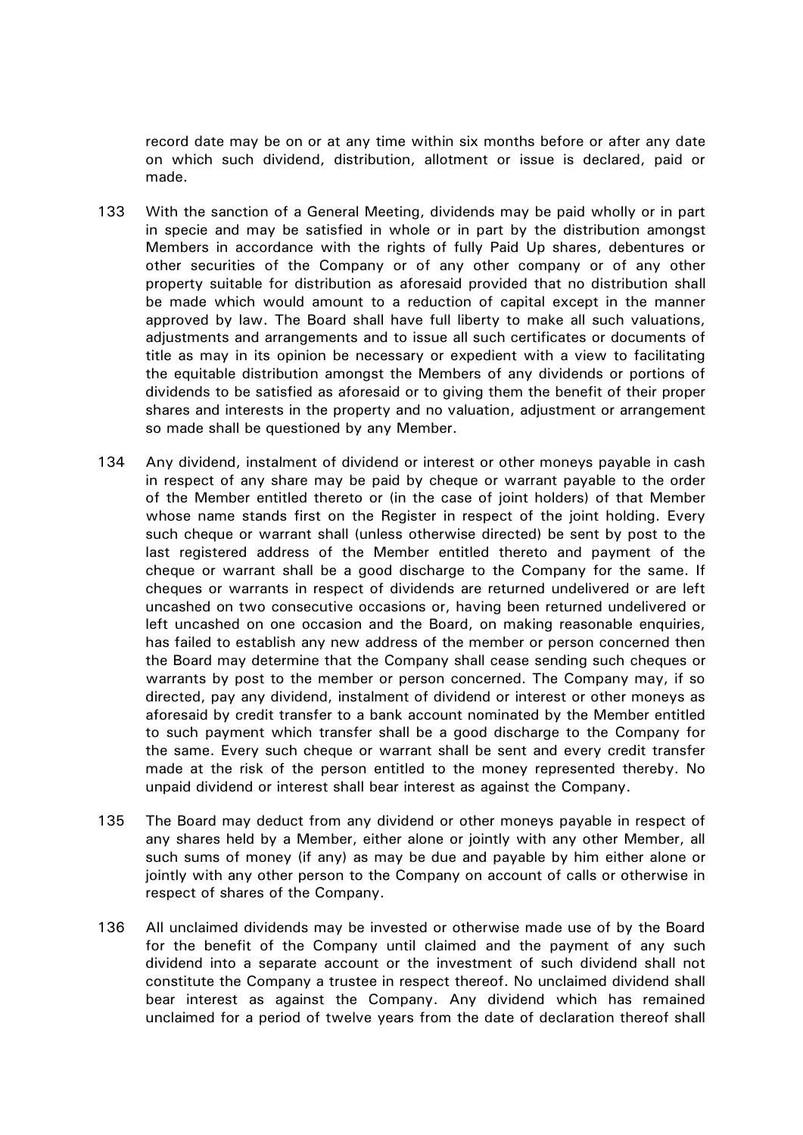record date may be on or at any time within six months before or after any date on which such dividend, distribution, allotment or issue is declared, paid or made.

- 133 With the sanction of a General Meeting, dividends may be paid wholly or in part in specie and may be satisfied in whole or in part by the distribution amongst Members in accordance with the rights of fully Paid Up shares, debentures or other securities of the Company or of any other company or of any other property suitable for distribution as aforesaid provided that no distribution shall be made which would amount to a reduction of capital except in the manner approved by law. The Board shall have full liberty to make all such valuations, adjustments and arrangements and to issue all such certificates or documents of title as may in its opinion be necessary or expedient with a view to facilitating the equitable distribution amongst the Members of any dividends or portions of dividends to be satisfied as aforesaid or to giving them the benefit of their proper shares and interests in the property and no valuation, adjustment or arrangement so made shall be questioned by any Member.
- 134 Any dividend, instalment of dividend or interest or other moneys payable in cash in respect of any share may be paid by cheque or warrant payable to the order of the Member entitled thereto or (in the case of joint holders) of that Member whose name stands first on the Register in respect of the joint holding. Every such cheque or warrant shall (unless otherwise directed) be sent by post to the last registered address of the Member entitled thereto and payment of the cheque or warrant shall be a good discharge to the Company for the same. If cheques or warrants in respect of dividends are returned undelivered or are left uncashed on two consecutive occasions or, having been returned undelivered or left uncashed on one occasion and the Board, on making reasonable enquiries, has failed to establish any new address of the member or person concerned then the Board may determine that the Company shall cease sending such cheques or warrants by post to the member or person concerned. The Company may, if so directed, pay any dividend, instalment of dividend or interest or other moneys as aforesaid by credit transfer to a bank account nominated by the Member entitled to such payment which transfer shall be a good discharge to the Company for the same. Every such cheque or warrant shall be sent and every credit transfer made at the risk of the person entitled to the money represented thereby. No unpaid dividend or interest shall bear interest as against the Company.
- 135 The Board may deduct from any dividend or other moneys payable in respect of any shares held by a Member, either alone or jointly with any other Member, all such sums of money (if any) as may be due and payable by him either alone or jointly with any other person to the Company on account of calls or otherwise in respect of shares of the Company.
- 136 All unclaimed dividends may be invested or otherwise made use of by the Board for the benefit of the Company until claimed and the payment of any such dividend into a separate account or the investment of such dividend shall not constitute the Company a trustee in respect thereof. No unclaimed dividend shall bear interest as against the Company. Any dividend which has remained unclaimed for a period of twelve years from the date of declaration thereof shall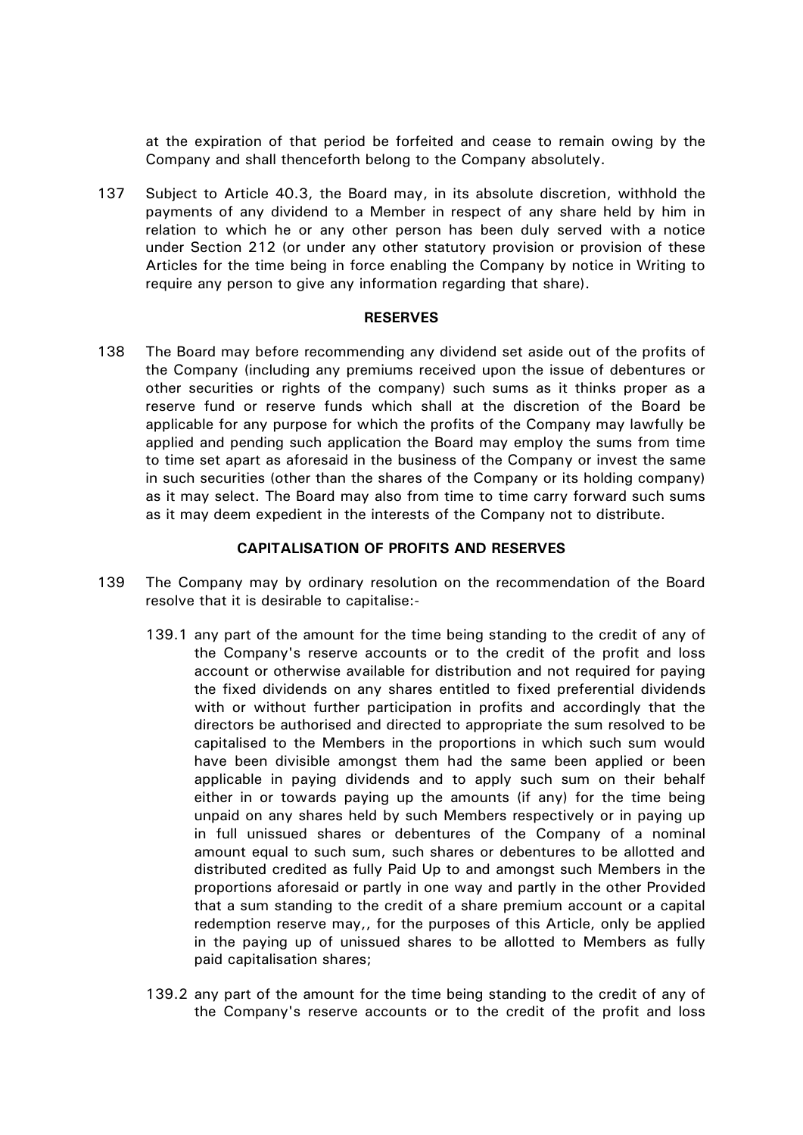at the expiration of that period be forfeited and cease to remain owing by the Company and shall thenceforth belong to the Company absolutely.

<span id="page-41-0"></span>137 Subject to Article [40.3,](#page-15-0) the Board may, in its absolute discretion, withhold the payments of any dividend to a Member in respect of any share held by him in relation to which he or any other person has been duly served with a notice under Section 212 (or under any other statutory provision or provision of these Articles for the time being in force enabling the Company by notice in Writing to require any person to give any information regarding that share).

## **RESERVES**

138 The Board may before recommending any dividend set aside out of the profits of the Company (including any premiums received upon the issue of debentures or other securities or rights of the company) such sums as it thinks proper as a reserve fund or reserve funds which shall at the discretion of the Board be applicable for any purpose for which the profits of the Company may lawfully be applied and pending such application the Board may employ the sums from time to time set apart as aforesaid in the business of the Company or invest the same in such securities (other than the shares of the Company or its holding company) as it may select. The Board may also from time to time carry forward such sums as it may deem expedient in the interests of the Company not to distribute.

## **CAPITALISATION OF PROFITS AND RESERVES**

- 139 The Company may by ordinary resolution on the recommendation of the Board resolve that it is desirable to capitalise:-
	- 139.1 any part of the amount for the time being standing to the credit of any of the Company's reserve accounts or to the credit of the profit and loss account or otherwise available for distribution and not required for paying the fixed dividends on any shares entitled to fixed preferential dividends with or without further participation in profits and accordingly that the directors be authorised and directed to appropriate the sum resolved to be capitalised to the Members in the proportions in which such sum would have been divisible amongst them had the same been applied or been applicable in paying dividends and to apply such sum on their behalf either in or towards paying up the amounts (if any) for the time being unpaid on any shares held by such Members respectively or in paying up in full unissued shares or debentures of the Company of a nominal amount equal to such sum, such shares or debentures to be allotted and distributed credited as fully Paid Up to and amongst such Members in the proportions aforesaid or partly in one way and partly in the other Provided that a sum standing to the credit of a share premium account or a capital redemption reserve may,, for the purposes of this Article, only be applied in the paying up of unissued shares to be allotted to Members as fully paid capitalisation shares;
	- 139.2 any part of the amount for the time being standing to the credit of any of the Company's reserve accounts or to the credit of the profit and loss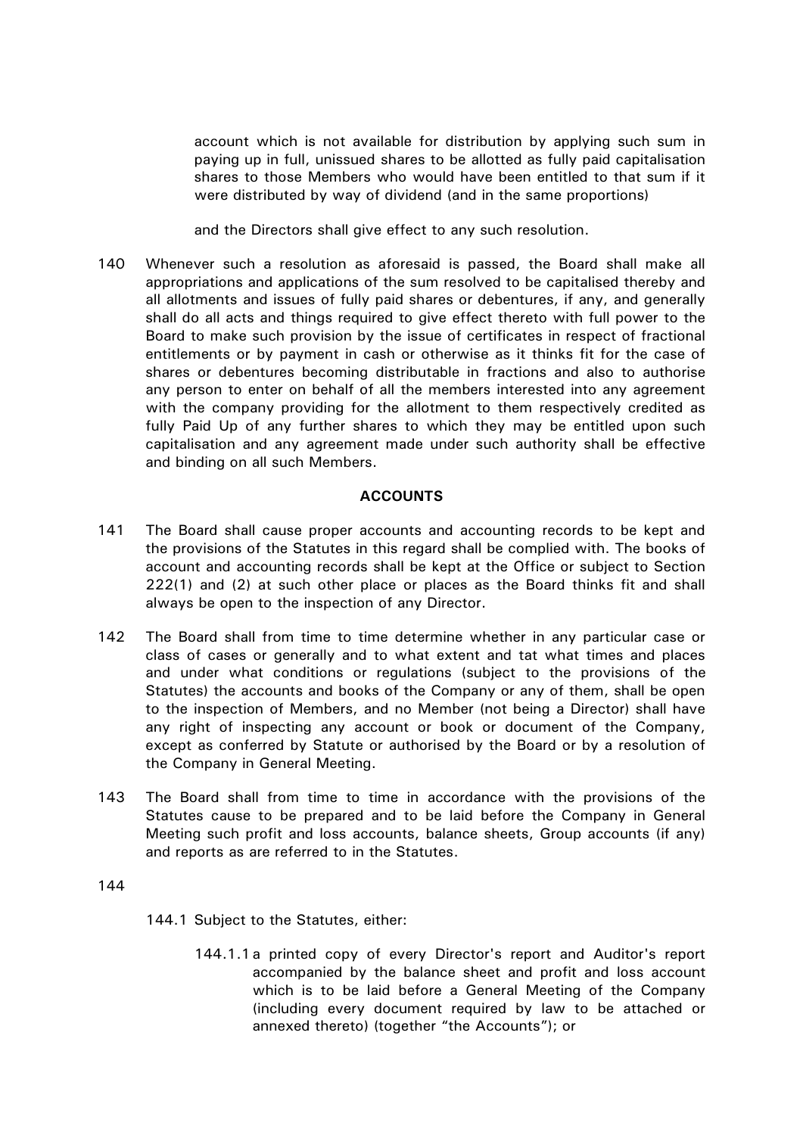account which is not available for distribution by applying such sum in paying up in full, unissued shares to be allotted as fully paid capitalisation shares to those Members who would have been entitled to that sum if it were distributed by way of dividend (and in the same proportions)

and the Directors shall give effect to any such resolution.

140 Whenever such a resolution as aforesaid is passed, the Board shall make all appropriations and applications of the sum resolved to be capitalised thereby and all allotments and issues of fully paid shares or debentures, if any, and generally shall do all acts and things required to give effect thereto with full power to the Board to make such provision by the issue of certificates in respect of fractional entitlements or by payment in cash or otherwise as it thinks fit for the case of shares or debentures becoming distributable in fractions and also to authorise any person to enter on behalf of all the members interested into any agreement with the company providing for the allotment to them respectively credited as fully Paid Up of any further shares to which they may be entitled upon such capitalisation and any agreement made under such authority shall be effective and binding on all such Members.

# **ACCOUNTS**

- 141 The Board shall cause proper accounts and accounting records to be kept and the provisions of the Statutes in this regard shall be complied with. The books of account and accounting records shall be kept at the Office or subject to Section 222(1) and (2) at such other place or places as the Board thinks fit and shall always be open to the inspection of any Director.
- 142 The Board shall from time to time determine whether in any particular case or class of cases or generally and to what extent and tat what times and places and under what conditions or regulations (subject to the provisions of the Statutes) the accounts and books of the Company or any of them, shall be open to the inspection of Members, and no Member (not being a Director) shall have any right of inspecting any account or book or document of the Company, except as conferred by Statute or authorised by the Board or by a resolution of the Company in General Meeting.
- 143 The Board shall from time to time in accordance with the provisions of the Statutes cause to be prepared and to be laid before the Company in General Meeting such profit and loss accounts, balance sheets, Group accounts (if any) and reports as are referred to in the Statutes.

- <span id="page-42-0"></span>144.1 Subject to the Statutes, either:
	- 144.1.1a printed copy of every Director's report and Auditor's report accompanied by the balance sheet and profit and loss account which is to be laid before a General Meeting of the Company (including every document required by law to be attached or annexed thereto) (together "the Accounts"); or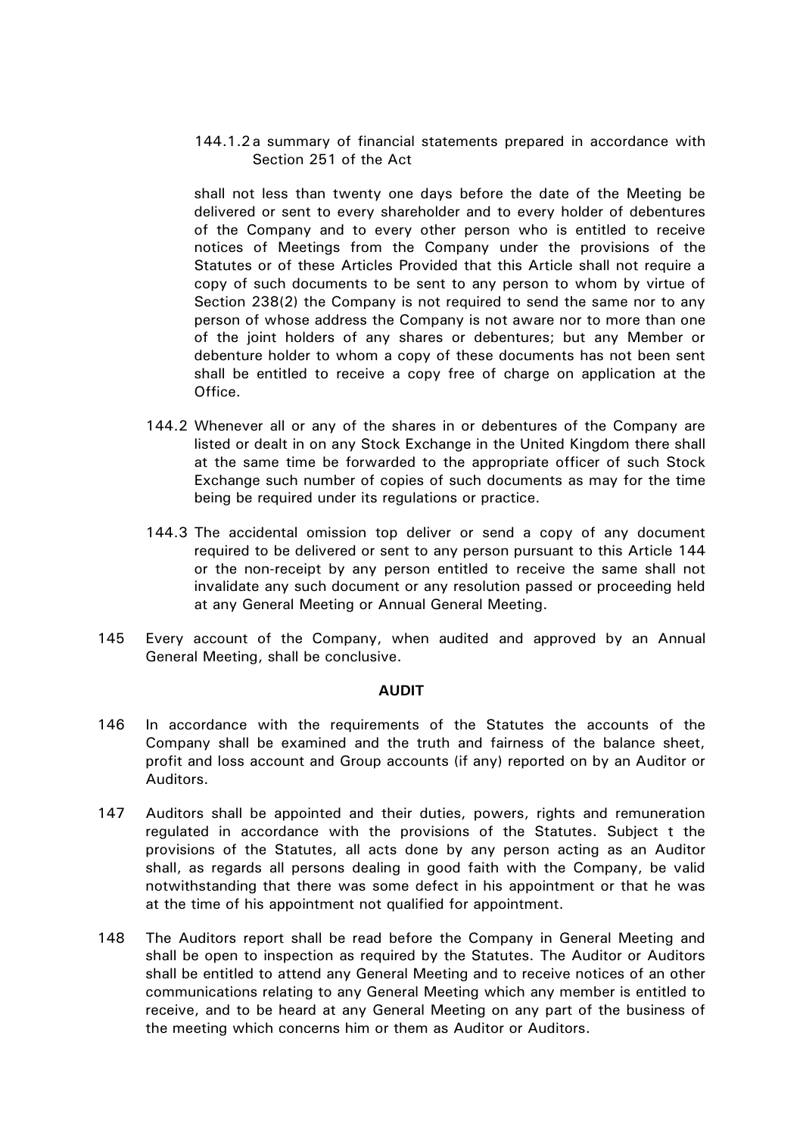144.1.2a summary of financial statements prepared in accordance with Section 251 of the Act

shall not less than twenty one days before the date of the Meeting be delivered or sent to every shareholder and to every holder of debentures of the Company and to every other person who is entitled to receive notices of Meetings from the Company under the provisions of the Statutes or of these Articles Provided that this Article shall not require a copy of such documents to be sent to any person to whom by virtue of Section 238(2) the Company is not required to send the same nor to any person of whose address the Company is not aware nor to more than one of the joint holders of any shares or debentures; but any Member or debenture holder to whom a copy of these documents has not been sent shall be entitled to receive a copy free of charge on application at the Office.

- 144.2 Whenever all or any of the shares in or debentures of the Company are listed or dealt in on any Stock Exchange in the United Kingdom there shall at the same time be forwarded to the appropriate officer of such Stock Exchange such number of copies of such documents as may for the time being be required under its regulations or practice.
- 144.3 The accidental omission top deliver or send a copy of any document required to be delivered or sent to any person pursuant to this Article [144](#page-42-0) or the non-receipt by any person entitled to receive the same shall not invalidate any such document or any resolution passed or proceeding held at any General Meeting or Annual General Meeting.
- 145 Every account of the Company, when audited and approved by an Annual General Meeting, shall be conclusive.

## **AUDIT**

- 146 In accordance with the requirements of the Statutes the accounts of the Company shall be examined and the truth and fairness of the balance sheet, profit and loss account and Group accounts (if any) reported on by an Auditor or Auditors.
- 147 Auditors shall be appointed and their duties, powers, rights and remuneration regulated in accordance with the provisions of the Statutes. Subject t the provisions of the Statutes, all acts done by any person acting as an Auditor shall, as regards all persons dealing in good faith with the Company, be valid notwithstanding that there was some defect in his appointment or that he was at the time of his appointment not qualified for appointment.
- 148 The Auditors report shall be read before the Company in General Meeting and shall be open to inspection as required by the Statutes. The Auditor or Auditors shall be entitled to attend any General Meeting and to receive notices of an other communications relating to any General Meeting which any member is entitled to receive, and to be heard at any General Meeting on any part of the business of the meeting which concerns him or them as Auditor or Auditors.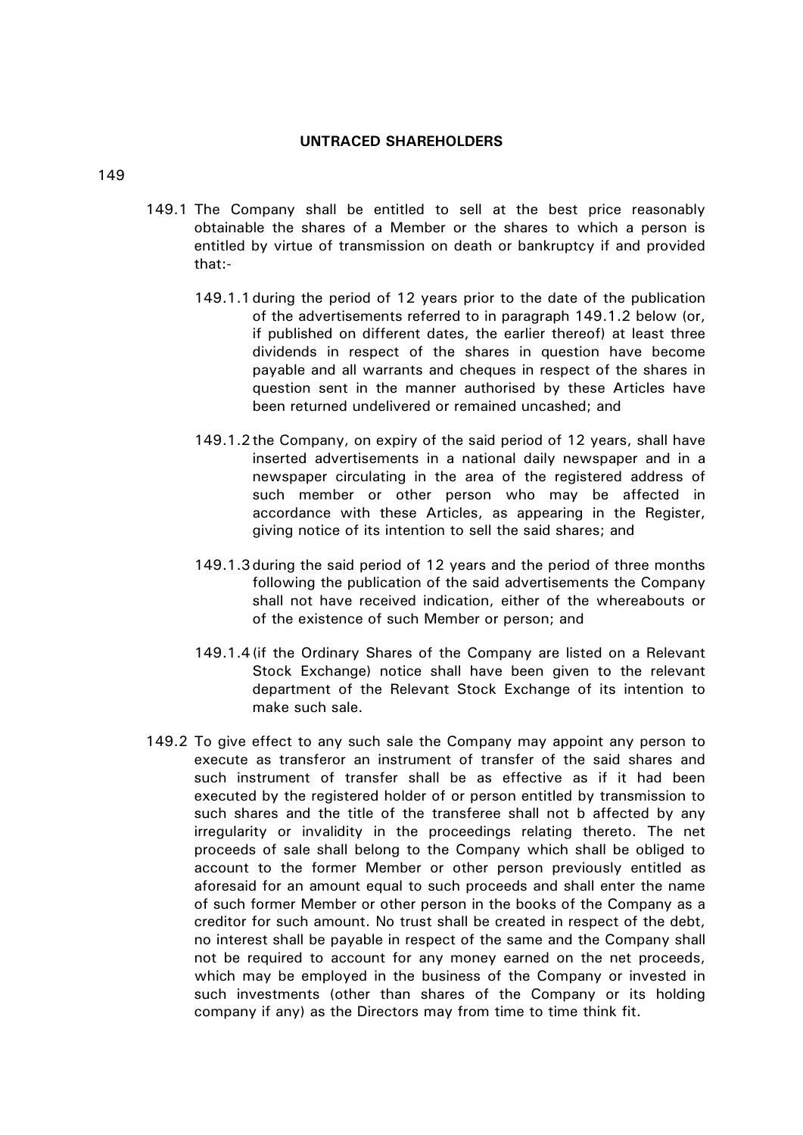## **UNTRACED SHAREHOLDERS**

- 149.1 The Company shall be entitled to sell at the best price reasonably obtainable the shares of a Member or the shares to which a person is entitled by virtue of transmission on death or bankruptcy if and provided that:-
	- 149.1.1during the period of 12 years prior to the date of the publication of the advertisements referred to in paragraph 149.1.2 below (or, if published on different dates, the earlier thereof) at least three dividends in respect of the shares in question have become payable and all warrants and cheques in respect of the shares in question sent in the manner authorised by these Articles have been returned undelivered or remained uncashed; and
	- 149.1.2the Company, on expiry of the said period of 12 years, shall have inserted advertisements in a national daily newspaper and in a newspaper circulating in the area of the registered address of such member or other person who may be affected in accordance with these Articles, as appearing in the Register, giving notice of its intention to sell the said shares; and
	- 149.1.3during the said period of 12 years and the period of three months following the publication of the said advertisements the Company shall not have received indication, either of the whereabouts or of the existence of such Member or person; and
	- 149.1.4(if the Ordinary Shares of the Company are listed on a Relevant Stock Exchange) notice shall have been given to the relevant department of the Relevant Stock Exchange of its intention to make such sale.
	- 149.2 To give effect to any such sale the Company may appoint any person to execute as transferor an instrument of transfer of the said shares and such instrument of transfer shall be as effective as if it had been executed by the registered holder of or person entitled by transmission to such shares and the title of the transferee shall not b affected by any irregularity or invalidity in the proceedings relating thereto. The net proceeds of sale shall belong to the Company which shall be obliged to account to the former Member or other person previously entitled as aforesaid for an amount equal to such proceeds and shall enter the name of such former Member or other person in the books of the Company as a creditor for such amount. No trust shall be created in respect of the debt, no interest shall be payable in respect of the same and the Company shall not be required to account for any money earned on the net proceeds, which may be employed in the business of the Company or invested in such investments (other than shares of the Company or its holding company if any) as the Directors may from time to time think fit.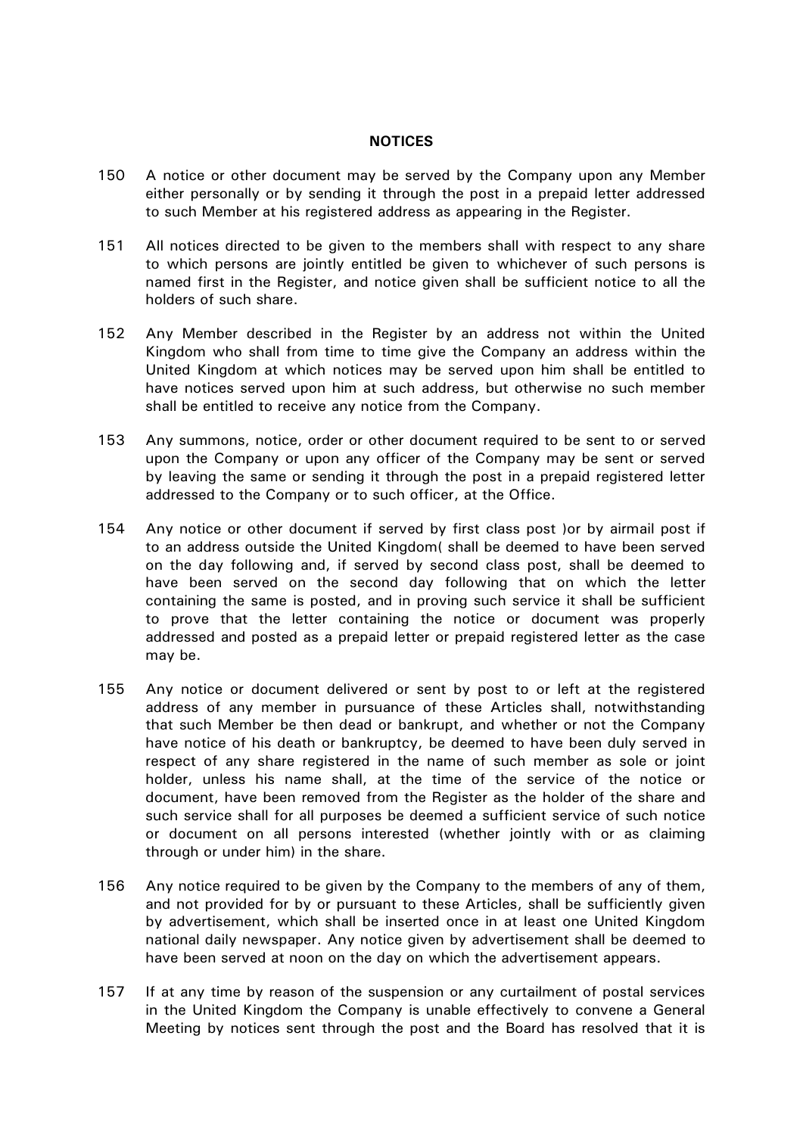#### **NOTICES**

- 150 A notice or other document may be served by the Company upon any Member either personally or by sending it through the post in a prepaid letter addressed to such Member at his registered address as appearing in the Register.
- 151 All notices directed to be given to the members shall with respect to any share to which persons are jointly entitled be given to whichever of such persons is named first in the Register, and notice given shall be sufficient notice to all the holders of such share.
- 152 Any Member described in the Register by an address not within the United Kingdom who shall from time to time give the Company an address within the United Kingdom at which notices may be served upon him shall be entitled to have notices served upon him at such address, but otherwise no such member shall be entitled to receive any notice from the Company.
- 153 Any summons, notice, order or other document required to be sent to or served upon the Company or upon any officer of the Company may be sent or served by leaving the same or sending it through the post in a prepaid registered letter addressed to the Company or to such officer, at the Office.
- 154 Any notice or other document if served by first class post )or by airmail post if to an address outside the United Kingdom( shall be deemed to have been served on the day following and, if served by second class post, shall be deemed to have been served on the second day following that on which the letter containing the same is posted, and in proving such service it shall be sufficient to prove that the letter containing the notice or document was properly addressed and posted as a prepaid letter or prepaid registered letter as the case may be.
- 155 Any notice or document delivered or sent by post to or left at the registered address of any member in pursuance of these Articles shall, notwithstanding that such Member be then dead or bankrupt, and whether or not the Company have notice of his death or bankruptcy, be deemed to have been duly served in respect of any share registered in the name of such member as sole or joint holder, unless his name shall, at the time of the service of the notice or document, have been removed from the Register as the holder of the share and such service shall for all purposes be deemed a sufficient service of such notice or document on all persons interested (whether jointly with or as claiming through or under him) in the share.
- 156 Any notice required to be given by the Company to the members of any of them, and not provided for by or pursuant to these Articles, shall be sufficiently given by advertisement, which shall be inserted once in at least one United Kingdom national daily newspaper. Any notice given by advertisement shall be deemed to have been served at noon on the day on which the advertisement appears.
- 157 If at any time by reason of the suspension or any curtailment of postal services in the United Kingdom the Company is unable effectively to convene a General Meeting by notices sent through the post and the Board has resolved that it is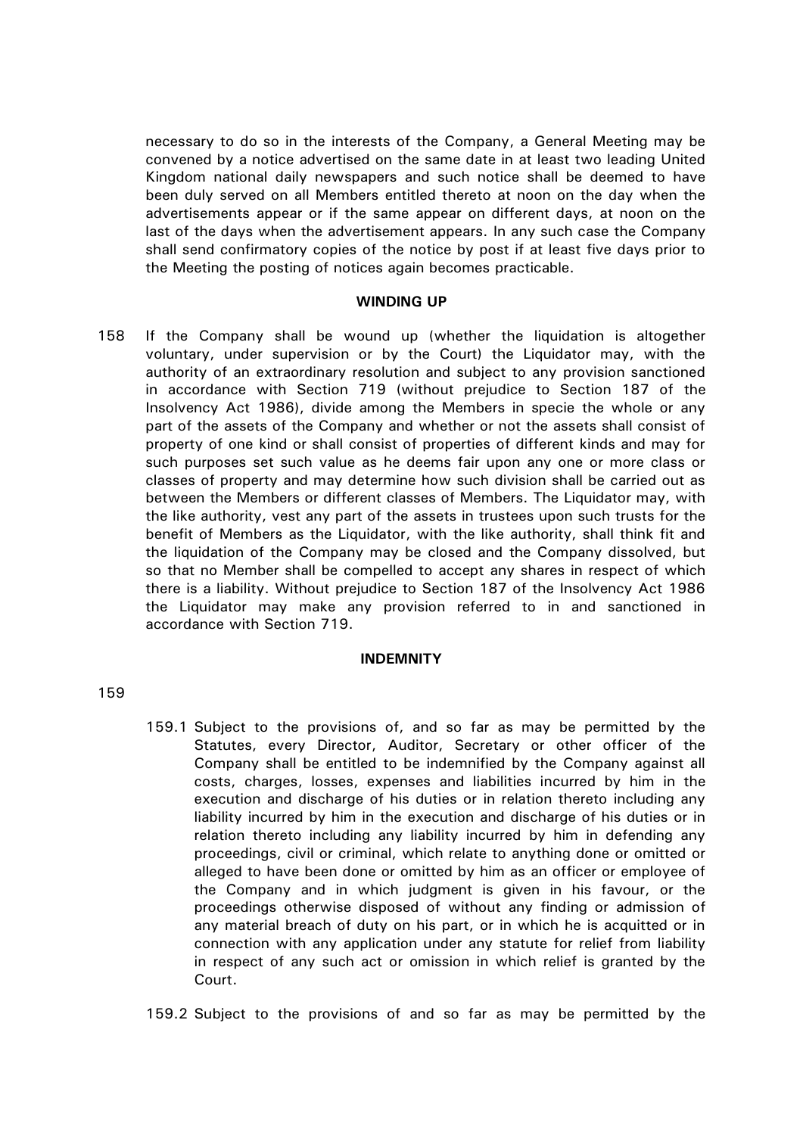necessary to do so in the interests of the Company, a General Meeting may be convened by a notice advertised on the same date in at least two leading United Kingdom national daily newspapers and such notice shall be deemed to have been duly served on all Members entitled thereto at noon on the day when the advertisements appear or if the same appear on different days, at noon on the last of the days when the advertisement appears. In any such case the Company shall send confirmatory copies of the notice by post if at least five days prior to the Meeting the posting of notices again becomes practicable.

## **WINDING UP**

158 If the Company shall be wound up (whether the liquidation is altogether voluntary, under supervision or by the Court) the Liquidator may, with the authority of an extraordinary resolution and subject to any provision sanctioned in accordance with Section 719 (without prejudice to Section 187 of the Insolvency Act 1986), divide among the Members in specie the whole or any part of the assets of the Company and whether or not the assets shall consist of property of one kind or shall consist of properties of different kinds and may for such purposes set such value as he deems fair upon any one or more class or classes of property and may determine how such division shall be carried out as between the Members or different classes of Members. The Liquidator may, with the like authority, vest any part of the assets in trustees upon such trusts for the benefit of Members as the Liquidator, with the like authority, shall think fit and the liquidation of the Company may be closed and the Company dissolved, but so that no Member shall be compelled to accept any shares in respect of which there is a liability. Without prejudice to Section 187 of the Insolvency Act 1986 the Liquidator may make any provision referred to in and sanctioned in accordance with Section 719.

#### **INDEMNITY**

## 159

159.1 Subject to the provisions of, and so far as may be permitted by the Statutes, every Director, Auditor, Secretary or other officer of the Company shall be entitled to be indemnified by the Company against all costs, charges, losses, expenses and liabilities incurred by him in the execution and discharge of his duties or in relation thereto including any liability incurred by him in the execution and discharge of his duties or in relation thereto including any liability incurred by him in defending any proceedings, civil or criminal, which relate to anything done or omitted or alleged to have been done or omitted by him as an officer or employee of the Company and in which judgment is given in his favour, or the proceedings otherwise disposed of without any finding or admission of any material breach of duty on his part, or in which he is acquitted or in connection with any application under any statute for relief from liability in respect of any such act or omission in which relief is granted by the Court.

159.2 Subject to the provisions of and so far as may be permitted by the